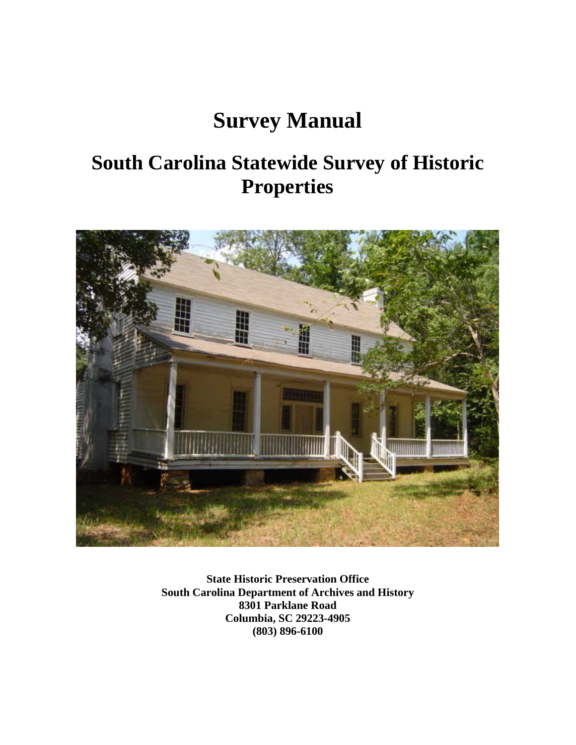# **Survey Manual**

# **South Carolina Statewide Survey of Historic Properties**



**State Historic Preservation Office South Carolina Department of Archives and History 8301 Parklane Road Columbia, SC 29223-4905 (803) 896-6100**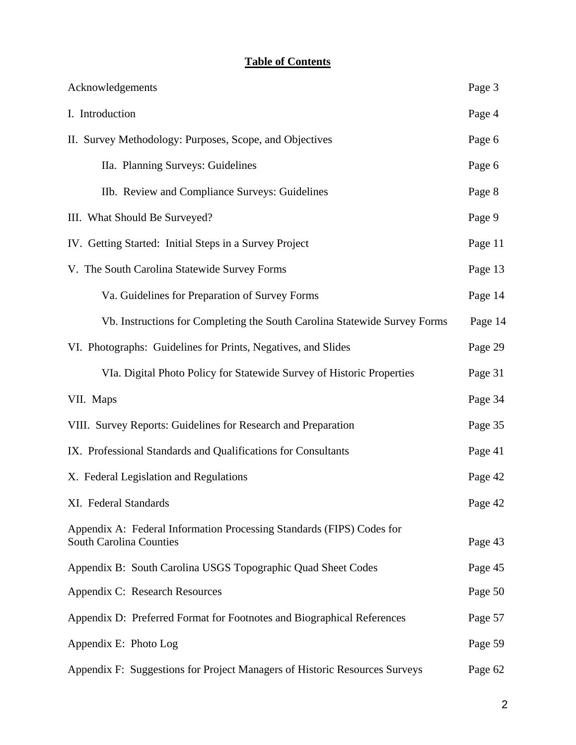# **Table of Contents**

| Acknowledgements                                                                                        | Page 3  |
|---------------------------------------------------------------------------------------------------------|---------|
| I. Introduction                                                                                         | Page 4  |
| II. Survey Methodology: Purposes, Scope, and Objectives                                                 | Page 6  |
| IIa. Planning Surveys: Guidelines                                                                       | Page 6  |
| IIb. Review and Compliance Surveys: Guidelines                                                          | Page 8  |
| III. What Should Be Surveyed?                                                                           | Page 9  |
| IV. Getting Started: Initial Steps in a Survey Project                                                  | Page 11 |
| V. The South Carolina Statewide Survey Forms                                                            | Page 13 |
| Va. Guidelines for Preparation of Survey Forms                                                          | Page 14 |
| Vb. Instructions for Completing the South Carolina Statewide Survey Forms                               | Page 14 |
| VI. Photographs: Guidelines for Prints, Negatives, and Slides                                           | Page 29 |
| VIa. Digital Photo Policy for Statewide Survey of Historic Properties                                   | Page 31 |
| VII. Maps                                                                                               | Page 34 |
| VIII. Survey Reports: Guidelines for Research and Preparation                                           | Page 35 |
| IX. Professional Standards and Qualifications for Consultants                                           | Page 41 |
| X. Federal Legislation and Regulations                                                                  | Page 42 |
| XI. Federal Standards                                                                                   | Page 42 |
| Appendix A: Federal Information Processing Standards (FIPS) Codes for<br><b>South Carolina Counties</b> | Page 43 |
| Appendix B: South Carolina USGS Topographic Quad Sheet Codes                                            | Page 45 |
| Appendix C: Research Resources                                                                          | Page 50 |
| Appendix D: Preferred Format for Footnotes and Biographical References                                  | Page 57 |
| Appendix E: Photo Log                                                                                   | Page 59 |
| Appendix F: Suggestions for Project Managers of Historic Resources Surveys                              | Page 62 |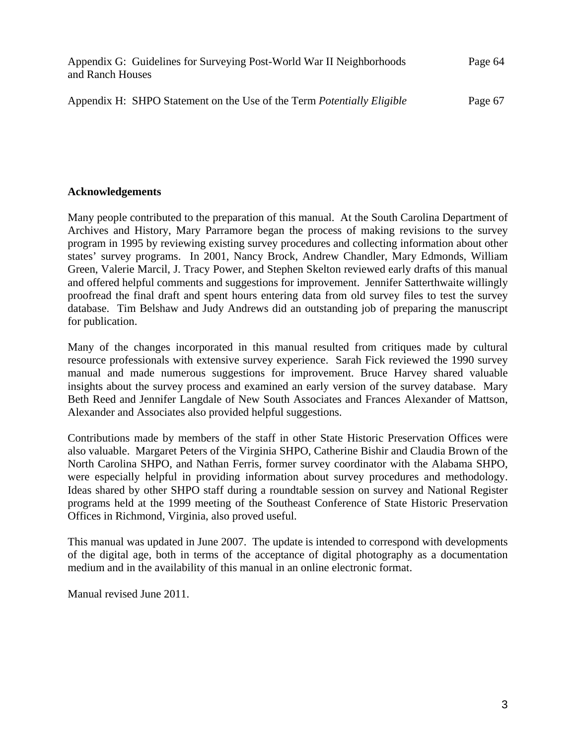| Appendix G: Guidelines for Surveying Post-World War II Neighborhoods | Page 64 |
|----------------------------------------------------------------------|---------|
| and Ranch Houses                                                     |         |
|                                                                      |         |

Appendix H: SHPO Statement on the Use of the Term *Potentially Eligible* Page 67

# **Acknowledgements**

Many people contributed to the preparation of this manual. At the South Carolina Department of Archives and History, Mary Parramore began the process of making revisions to the survey program in 1995 by reviewing existing survey procedures and collecting information about other states' survey programs. In 2001, Nancy Brock, Andrew Chandler, Mary Edmonds, William Green, Valerie Marcil, J. Tracy Power, and Stephen Skelton reviewed early drafts of this manual and offered helpful comments and suggestions for improvement. Jennifer Satterthwaite willingly proofread the final draft and spent hours entering data from old survey files to test the survey database. Tim Belshaw and Judy Andrews did an outstanding job of preparing the manuscript for publication.

Many of the changes incorporated in this manual resulted from critiques made by cultural resource professionals with extensive survey experience. Sarah Fick reviewed the 1990 survey manual and made numerous suggestions for improvement. Bruce Harvey shared valuable insights about the survey process and examined an early version of the survey database. Mary Beth Reed and Jennifer Langdale of New South Associates and Frances Alexander of Mattson, Alexander and Associates also provided helpful suggestions.

Contributions made by members of the staff in other State Historic Preservation Offices were also valuable. Margaret Peters of the Virginia SHPO, Catherine Bishir and Claudia Brown of the North Carolina SHPO, and Nathan Ferris, former survey coordinator with the Alabama SHPO, were especially helpful in providing information about survey procedures and methodology. Ideas shared by other SHPO staff during a roundtable session on survey and National Register programs held at the 1999 meeting of the Southeast Conference of State Historic Preservation Offices in Richmond, Virginia, also proved useful.

This manual was updated in June 2007. The update is intended to correspond with developments of the digital age, both in terms of the acceptance of digital photography as a documentation medium and in the availability of this manual in an online electronic format.

Manual revised June 2011.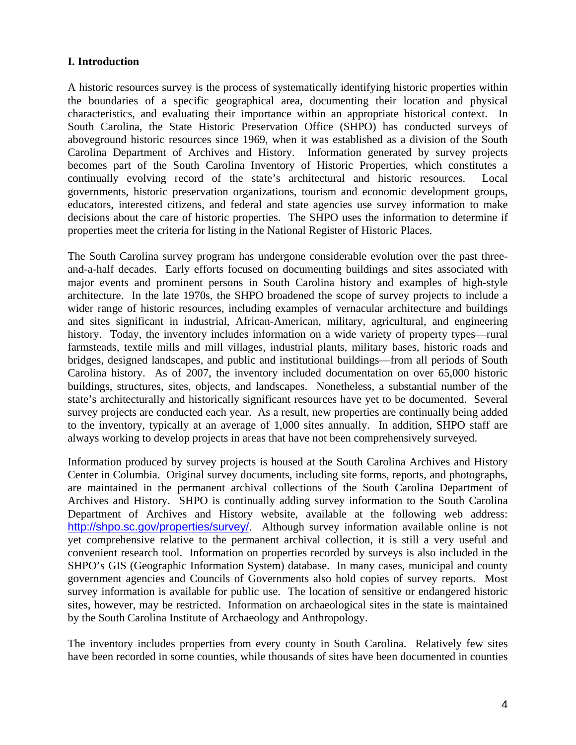# **I. Introduction**

A historic resources survey is the process of systematically identifying historic properties within the boundaries of a specific geographical area, documenting their location and physical characteristics, and evaluating their importance within an appropriate historical context. In South Carolina, the State Historic Preservation Office (SHPO) has conducted surveys of aboveground historic resources since 1969, when it was established as a division of the South Carolina Department of Archives and History. Information generated by survey projects becomes part of the South Carolina Inventory of Historic Properties, which constitutes a continually evolving record of the state's architectural and historic resources. Local governments, historic preservation organizations, tourism and economic development groups, educators, interested citizens, and federal and state agencies use survey information to make decisions about the care of historic properties. The SHPO uses the information to determine if properties meet the criteria for listing in the National Register of Historic Places.

The South Carolina survey program has undergone considerable evolution over the past threeand-a-half decades. Early efforts focused on documenting buildings and sites associated with major events and prominent persons in South Carolina history and examples of high-style architecture. In the late 1970s, the SHPO broadened the scope of survey projects to include a wider range of historic resources, including examples of vernacular architecture and buildings and sites significant in industrial, African-American, military, agricultural, and engineering history. Today, the inventory includes information on a wide variety of property types—rural farmsteads, textile mills and mill villages, industrial plants, military bases, historic roads and bridges, designed landscapes, and public and institutional buildings—from all periods of South Carolina history. As of 2007, the inventory included documentation on over 65,000 historic buildings, structures, sites, objects, and landscapes. Nonetheless, a substantial number of the state's architecturally and historically significant resources have yet to be documented. Several survey projects are conducted each year. As a result, new properties are continually being added to the inventory, typically at an average of 1,000 sites annually. In addition, SHPO staff are always working to develop projects in areas that have not been comprehensively surveyed.

Information produced by survey projects is housed at the South Carolina Archives and History Center in Columbia. Original survey documents, including site forms, reports, and photographs, are maintained in the permanent archival collections of the South Carolina Department of Archives and History. SHPO is continually adding survey information to the South Carolina Department of Archives and History website, available at the following web address: <http://shpo.sc.gov/properties/survey/>. Although survey information available online is not yet comprehensive relative to the permanent archival collection, it is still a very useful and convenient research tool. Information on properties recorded by surveys is also included in the SHPO's GIS (Geographic Information System) database. In many cases, municipal and county government agencies and Councils of Governments also hold copies of survey reports. Most survey information is available for public use. The location of sensitive or endangered historic sites, however, may be restricted. Information on archaeological sites in the state is maintained by the South Carolina Institute of Archaeology and Anthropology.

The inventory includes properties from every county in South Carolina. Relatively few sites have been recorded in some counties, while thousands of sites have been documented in counties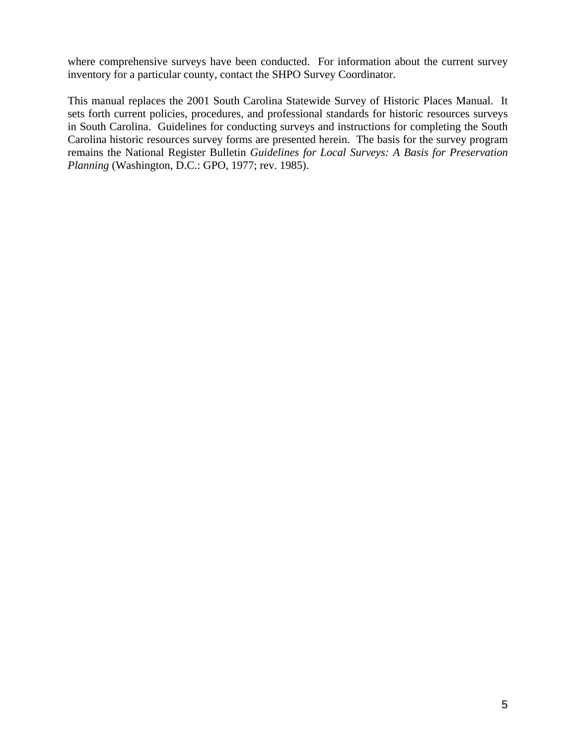where comprehensive surveys have been conducted. For information about the current survey inventory for a particular county, contact the SHPO Survey Coordinator.

This manual replaces the 2001 South Carolina Statewide Survey of Historic Places Manual. It sets forth current policies, procedures, and professional standards for historic resources surveys in South Carolina. Guidelines for conducting surveys and instructions for completing the South Carolina historic resources survey forms are presented herein. The basis for the survey program remains the National Register Bulletin *Guidelines for Local Surveys: A Basis for Preservation Planning* (Washington, D.C.: GPO, 1977; rev. 1985).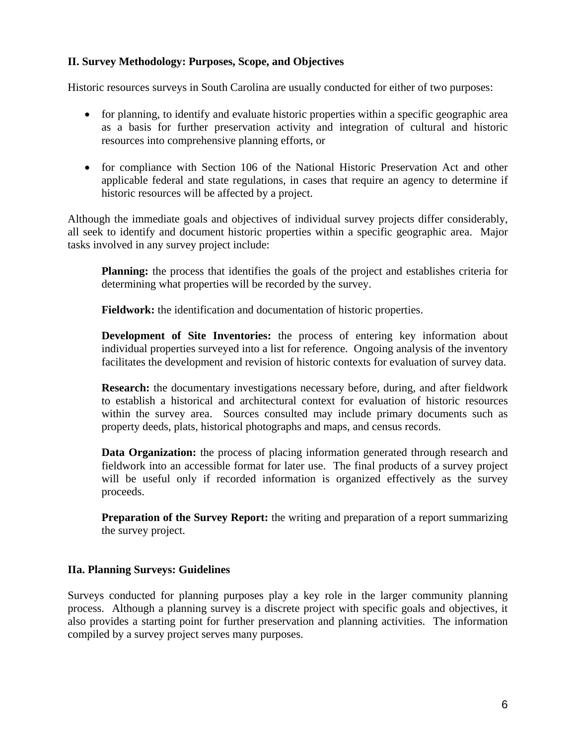# **II. Survey Methodology: Purposes, Scope, and Objectives**

Historic resources surveys in South Carolina are usually conducted for either of two purposes:

- for planning, to identify and evaluate historic properties within a specific geographic area as a basis for further preservation activity and integration of cultural and historic resources into comprehensive planning efforts, or
- for compliance with Section 106 of the National Historic Preservation Act and other applicable federal and state regulations, in cases that require an agency to determine if historic resources will be affected by a project.

Although the immediate goals and objectives of individual survey projects differ considerably, all seek to identify and document historic properties within a specific geographic area. Major tasks involved in any survey project include:

**Planning:** the process that identifies the goals of the project and establishes criteria for determining what properties will be recorded by the survey.

**Fieldwork:** the identification and documentation of historic properties.

**Development of Site Inventories:** the process of entering key information about individual properties surveyed into a list for reference. Ongoing analysis of the inventory facilitates the development and revision of historic contexts for evaluation of survey data.

**Research:** the documentary investigations necessary before, during, and after fieldwork to establish a historical and architectural context for evaluation of historic resources within the survey area. Sources consulted may include primary documents such as property deeds, plats, historical photographs and maps, and census records.

**Data Organization:** the process of placing information generated through research and fieldwork into an accessible format for later use. The final products of a survey project will be useful only if recorded information is organized effectively as the survey proceeds.

**Preparation of the Survey Report:** the writing and preparation of a report summarizing the survey project.

# **IIa. Planning Surveys: Guidelines**

Surveys conducted for planning purposes play a key role in the larger community planning process. Although a planning survey is a discrete project with specific goals and objectives, it also provides a starting point for further preservation and planning activities. The information compiled by a survey project serves many purposes.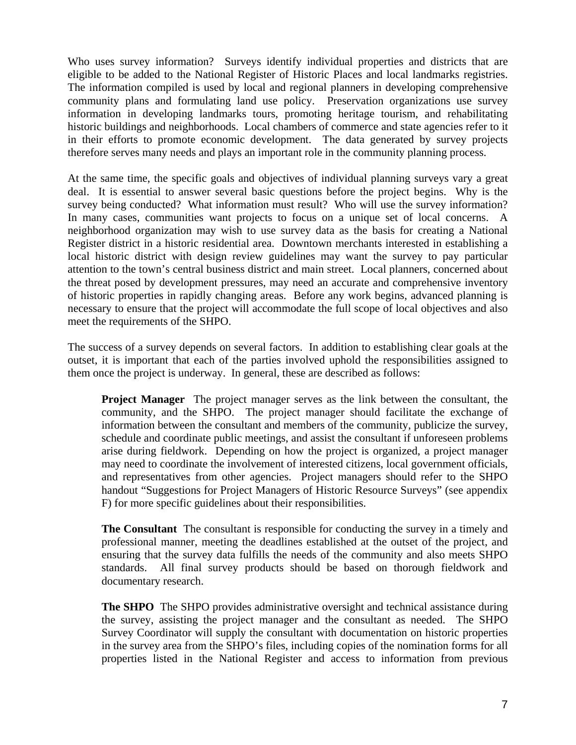Who uses survey information? Surveys identify individual properties and districts that are eligible to be added to the National Register of Historic Places and local landmarks registries. The information compiled is used by local and regional planners in developing comprehensive community plans and formulating land use policy. Preservation organizations use survey information in developing landmarks tours, promoting heritage tourism, and rehabilitating historic buildings and neighborhoods. Local chambers of commerce and state agencies refer to it in their efforts to promote economic development. The data generated by survey projects therefore serves many needs and plays an important role in the community planning process.

At the same time, the specific goals and objectives of individual planning surveys vary a great deal. It is essential to answer several basic questions before the project begins. Why is the survey being conducted? What information must result? Who will use the survey information? In many cases, communities want projects to focus on a unique set of local concerns. A neighborhood organization may wish to use survey data as the basis for creating a National Register district in a historic residential area. Downtown merchants interested in establishing a local historic district with design review guidelines may want the survey to pay particular attention to the town's central business district and main street. Local planners, concerned about the threat posed by development pressures, may need an accurate and comprehensive inventory of historic properties in rapidly changing areas. Before any work begins, advanced planning is necessary to ensure that the project will accommodate the full scope of local objectives and also meet the requirements of the SHPO.

The success of a survey depends on several factors. In addition to establishing clear goals at the outset, it is important that each of the parties involved uphold the responsibilities assigned to them once the project is underway. In general, these are described as follows:

**Project Manager** The project manager serves as the link between the consultant, the community, and the SHPO. The project manager should facilitate the exchange of information between the consultant and members of the community, publicize the survey, schedule and coordinate public meetings, and assist the consultant if unforeseen problems arise during fieldwork. Depending on how the project is organized, a project manager may need to coordinate the involvement of interested citizens, local government officials, and representatives from other agencies. Project managers should refer to the SHPO handout "Suggestions for Project Managers of Historic Resource Surveys" (see appendix F) for more specific guidelines about their responsibilities.

**The Consultant** The consultant is responsible for conducting the survey in a timely and professional manner, meeting the deadlines established at the outset of the project, and ensuring that the survey data fulfills the needs of the community and also meets SHPO standards. All final survey products should be based on thorough fieldwork and documentary research.

**The SHPO** The SHPO provides administrative oversight and technical assistance during the survey, assisting the project manager and the consultant as needed. The SHPO Survey Coordinator will supply the consultant with documentation on historic properties in the survey area from the SHPO's files, including copies of the nomination forms for all properties listed in the National Register and access to information from previous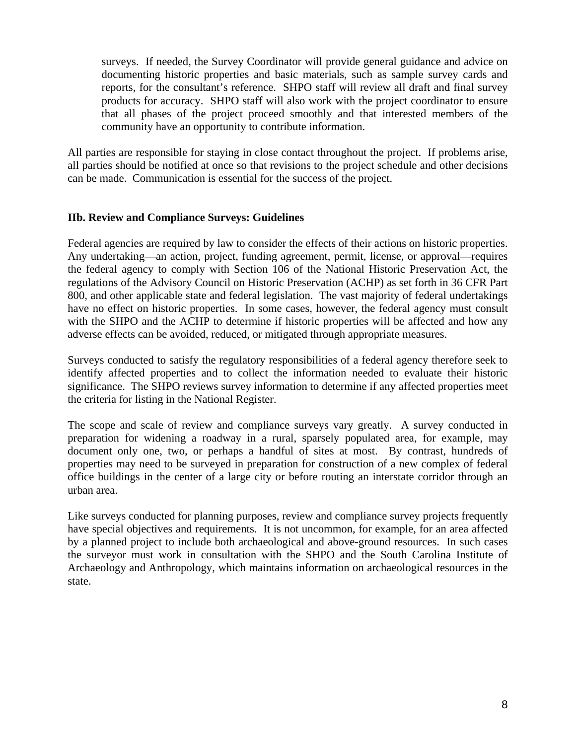surveys. If needed, the Survey Coordinator will provide general guidance and advice on documenting historic properties and basic materials, such as sample survey cards and reports, for the consultant's reference. SHPO staff will review all draft and final survey products for accuracy. SHPO staff will also work with the project coordinator to ensure that all phases of the project proceed smoothly and that interested members of the community have an opportunity to contribute information.

All parties are responsible for staying in close contact throughout the project. If problems arise, all parties should be notified at once so that revisions to the project schedule and other decisions can be made. Communication is essential for the success of the project.

# **IIb. Review and Compliance Surveys: Guidelines**

Federal agencies are required by law to consider the effects of their actions on historic properties. Any undertaking—an action, project, funding agreement, permit, license, or approval—requires the federal agency to comply with Section 106 of the National Historic Preservation Act, the regulations of the Advisory Council on Historic Preservation (ACHP) as set forth in 36 CFR Part 800, and other applicable state and federal legislation. The vast majority of federal undertakings have no effect on historic properties. In some cases, however, the federal agency must consult with the SHPO and the ACHP to determine if historic properties will be affected and how any adverse effects can be avoided, reduced, or mitigated through appropriate measures.

Surveys conducted to satisfy the regulatory responsibilities of a federal agency therefore seek to identify affected properties and to collect the information needed to evaluate their historic significance. The SHPO reviews survey information to determine if any affected properties meet the criteria for listing in the National Register.

The scope and scale of review and compliance surveys vary greatly. A survey conducted in preparation for widening a roadway in a rural, sparsely populated area, for example, may document only one, two, or perhaps a handful of sites at most. By contrast, hundreds of properties may need to be surveyed in preparation for construction of a new complex of federal office buildings in the center of a large city or before routing an interstate corridor through an urban area.

Like surveys conducted for planning purposes, review and compliance survey projects frequently have special objectives and requirements. It is not uncommon, for example, for an area affected by a planned project to include both archaeological and above-ground resources. In such cases the surveyor must work in consultation with the SHPO and the South Carolina Institute of Archaeology and Anthropology, which maintains information on archaeological resources in the state.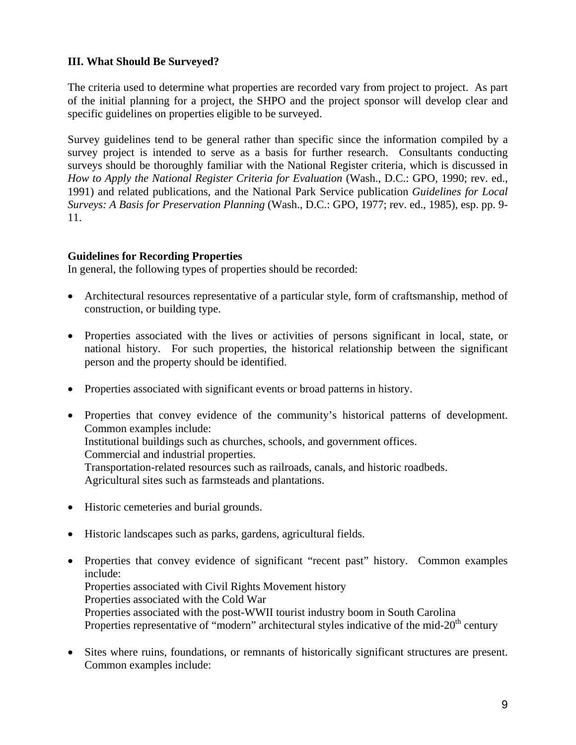# **III. What Should Be Surveyed?**

The criteria used to determine what properties are recorded vary from project to project. As part of the initial planning for a project, the SHPO and the project sponsor will develop clear and specific guidelines on properties eligible to be surveyed.

Survey guidelines tend to be general rather than specific since the information compiled by a survey project is intended to serve as a basis for further research. Consultants conducting surveys should be thoroughly familiar with the National Register criteria, which is discussed in *How to Apply the National Register Criteria for Evaluation* (Wash., D.C.: GPO, 1990; rev. ed., 1991) and related publications, and the National Park Service publication *Guidelines for Local Surveys: A Basis for Preservation Planning* (Wash., D.C.: GPO, 1977; rev. ed., 1985), esp. pp. 9- 11.

# **Guidelines for Recording Properties**

In general, the following types of properties should be recorded:

- Architectural resources representative of a particular style, form of craftsmanship, method of construction, or building type.
- Properties associated with the lives or activities of persons significant in local, state, or national history. For such properties, the historical relationship between the significant person and the property should be identified.
- Properties associated with significant events or broad patterns in history.
- Properties that convey evidence of the community's historical patterns of development. Common examples include: Institutional buildings such as churches, schools, and government offices. Commercial and industrial properties. Transportation-related resources such as railroads, canals, and historic roadbeds. Agricultural sites such as farmsteads and plantations.
- Historic cemeteries and burial grounds.
- Historic landscapes such as parks, gardens, agricultural fields.
- Properties that convey evidence of significant "recent past" history. Common examples include: Properties associated with Civil Rights Movement history Properties associated with the Cold War Properties associated with the post-WWII tourist industry boom in South Carolina Properties representative of "modern" architectural styles indicative of the mid- $20<sup>th</sup>$  century
- Sites where ruins, foundations, or remnants of historically significant structures are present. Common examples include: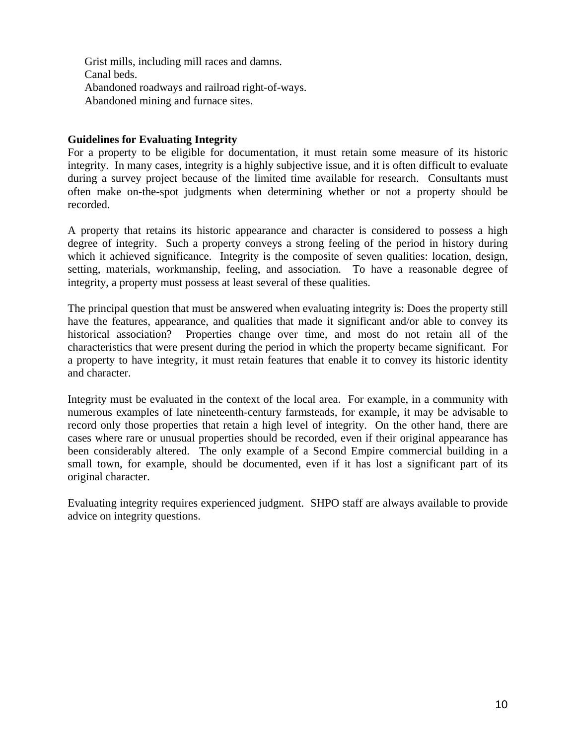Grist mills, including mill races and damns. Canal beds. Abandoned roadways and railroad right-of-ways. Abandoned mining and furnace sites.

# **Guidelines for Evaluating Integrity**

For a property to be eligible for documentation, it must retain some measure of its historic integrity. In many cases, integrity is a highly subjective issue, and it is often difficult to evaluate during a survey project because of the limited time available for research. Consultants must often make on-the-spot judgments when determining whether or not a property should be recorded.

A property that retains its historic appearance and character is considered to possess a high degree of integrity. Such a property conveys a strong feeling of the period in history during which it achieved significance. Integrity is the composite of seven qualities: location, design, setting, materials, workmanship, feeling, and association. To have a reasonable degree of integrity, a property must possess at least several of these qualities.

The principal question that must be answered when evaluating integrity is: Does the property still have the features, appearance, and qualities that made it significant and/or able to convey its historical association? Properties change over time, and most do not retain all of the characteristics that were present during the period in which the property became significant. For a property to have integrity, it must retain features that enable it to convey its historic identity and character.

Integrity must be evaluated in the context of the local area. For example, in a community with numerous examples of late nineteenth-century farmsteads, for example, it may be advisable to record only those properties that retain a high level of integrity. On the other hand, there are cases where rare or unusual properties should be recorded, even if their original appearance has been considerably altered. The only example of a Second Empire commercial building in a small town, for example, should be documented, even if it has lost a significant part of its original character.

Evaluating integrity requires experienced judgment. SHPO staff are always available to provide advice on integrity questions.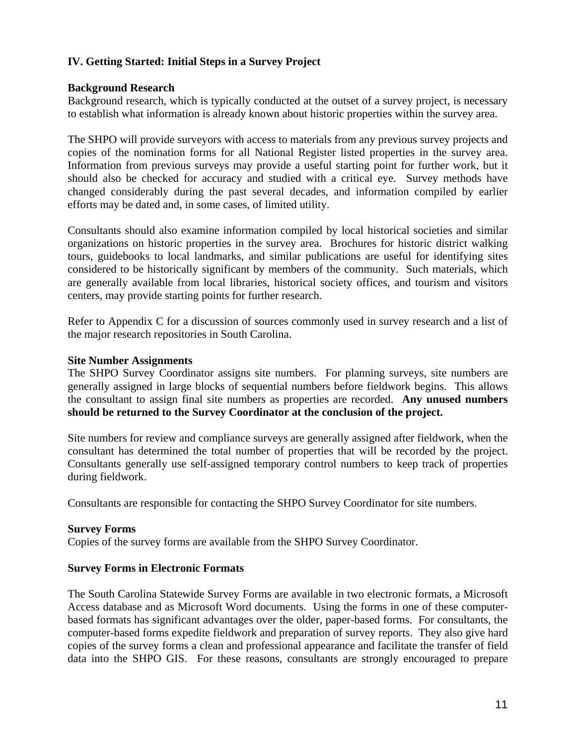# **IV. Getting Started: Initial Steps in a Survey Project**

# **Background Research**

Background research, which is typically conducted at the outset of a survey project, is necessary to establish what information is already known about historic properties within the survey area.

The SHPO will provide surveyors with access to materials from any previous survey projects and copies of the nomination forms for all National Register listed properties in the survey area. Information from previous surveys may provide a useful starting point for further work, but it should also be checked for accuracy and studied with a critical eye. Survey methods have changed considerably during the past several decades, and information compiled by earlier efforts may be dated and, in some cases, of limited utility.

Consultants should also examine information compiled by local historical societies and similar organizations on historic properties in the survey area. Brochures for historic district walking tours, guidebooks to local landmarks, and similar publications are useful for identifying sites considered to be historically significant by members of the community. Such materials, which are generally available from local libraries, historical society offices, and tourism and visitors centers, may provide starting points for further research.

Refer to Appendix C for a discussion of sources commonly used in survey research and a list of the major research repositories in South Carolina.

### **Site Number Assignments**

The SHPO Survey Coordinator assigns site numbers. For planning surveys, site numbers are generally assigned in large blocks of sequential numbers before fieldwork begins. This allows the consultant to assign final site numbers as properties are recorded. **Any unused numbers should be returned to the Survey Coordinator at the conclusion of the project.** 

Site numbers for review and compliance surveys are generally assigned after fieldwork, when the consultant has determined the total number of properties that will be recorded by the project. Consultants generally use self-assigned temporary control numbers to keep track of properties during fieldwork.

Consultants are responsible for contacting the SHPO Survey Coordinator for site numbers.

### **Survey Forms**

Copies of the survey forms are available from the SHPO Survey Coordinator.

### **Survey Forms in Electronic Formats**

The South Carolina Statewide Survey Forms are available in two electronic formats, a Microsoft Access database and as Microsoft Word documents. Using the forms in one of these computerbased formats has significant advantages over the older, paper-based forms. For consultants, the computer-based forms expedite fieldwork and preparation of survey reports. They also give hard copies of the survey forms a clean and professional appearance and facilitate the transfer of field data into the SHPO GIS. For these reasons, consultants are strongly encouraged to prepare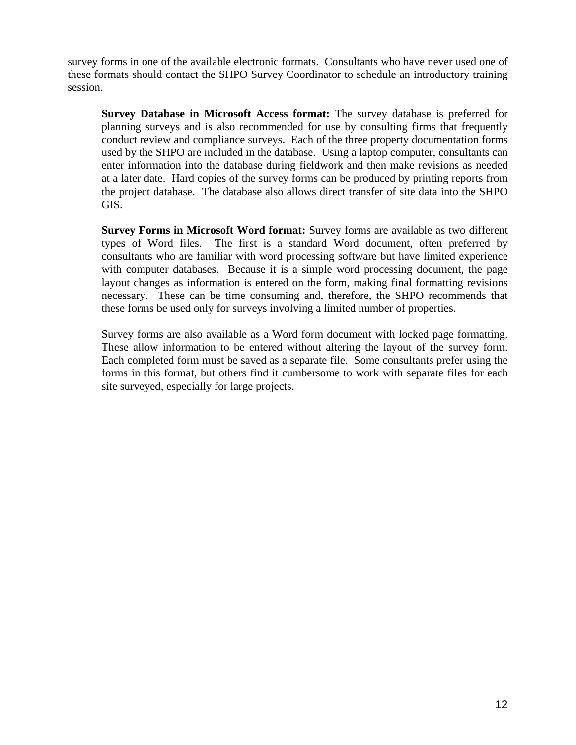survey forms in one of the available electronic formats. Consultants who have never used one of these formats should contact the SHPO Survey Coordinator to schedule an introductory training session.

**Survey Database in Microsoft Access format:** The survey database is preferred for planning surveys and is also recommended for use by consulting firms that frequently conduct review and compliance surveys. Each of the three property documentation forms used by the SHPO are included in the database. Using a laptop computer, consultants can enter information into the database during fieldwork and then make revisions as needed at a later date. Hard copies of the survey forms can be produced by printing reports from the project database. The database also allows direct transfer of site data into the SHPO GIS.

**Survey Forms in Microsoft Word format:** Survey forms are available as two different types of Word files. The first is a standard Word document, often preferred by consultants who are familiar with word processing software but have limited experience with computer databases. Because it is a simple word processing document, the page layout changes as information is entered on the form, making final formatting revisions necessary. These can be time consuming and, therefore, the SHPO recommends that these forms be used only for surveys involving a limited number of properties.

Survey forms are also available as a Word form document with locked page formatting. These allow information to be entered without altering the layout of the survey form. Each completed form must be saved as a separate file. Some consultants prefer using the forms in this format, but others find it cumbersome to work with separate files for each site surveyed, especially for large projects.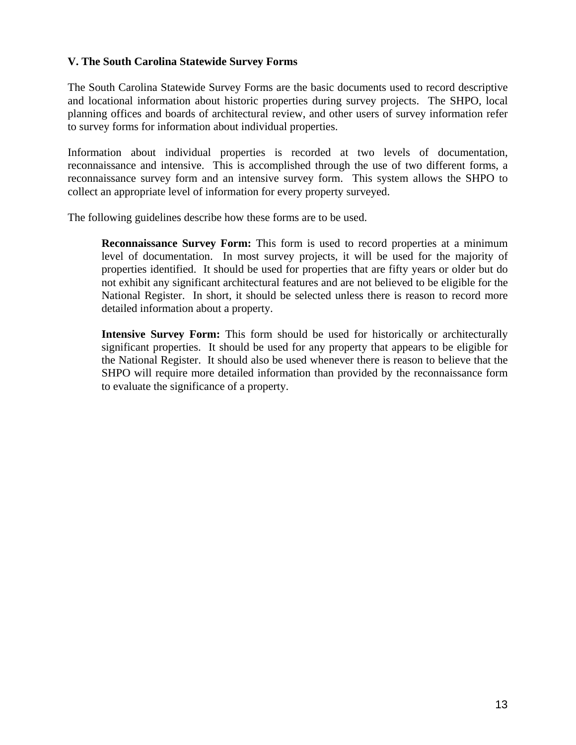# **V. The South Carolina Statewide Survey Forms**

The South Carolina Statewide Survey Forms are the basic documents used to record descriptive and locational information about historic properties during survey projects. The SHPO, local planning offices and boards of architectural review, and other users of survey information refer to survey forms for information about individual properties.

Information about individual properties is recorded at two levels of documentation, reconnaissance and intensive. This is accomplished through the use of two different forms, a reconnaissance survey form and an intensive survey form. This system allows the SHPO to collect an appropriate level of information for every property surveyed.

The following guidelines describe how these forms are to be used.

**Reconnaissance Survey Form:** This form is used to record properties at a minimum level of documentation. In most survey projects, it will be used for the majority of properties identified. It should be used for properties that are fifty years or older but do not exhibit any significant architectural features and are not believed to be eligible for the National Register. In short, it should be selected unless there is reason to record more detailed information about a property.

**Intensive Survey Form:** This form should be used for historically or architecturally significant properties. It should be used for any property that appears to be eligible for the National Register. It should also be used whenever there is reason to believe that the SHPO will require more detailed information than provided by the reconnaissance form to evaluate the significance of a property.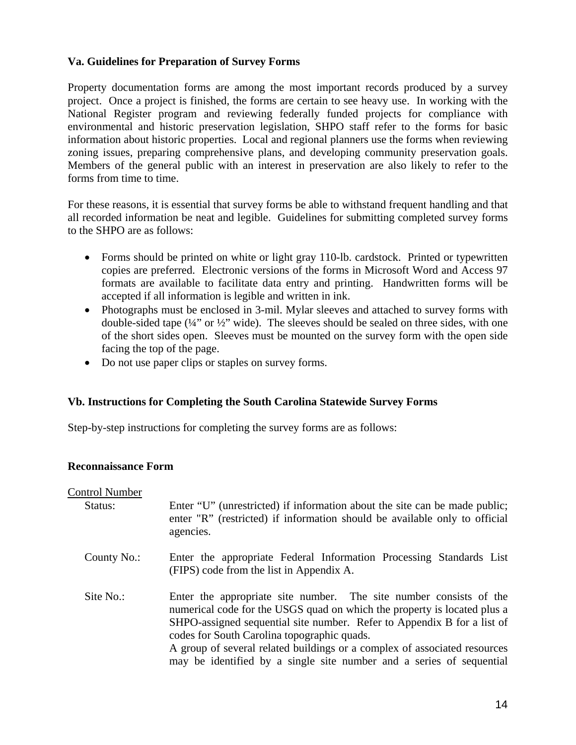# **Va. Guidelines for Preparation of Survey Forms**

Property documentation forms are among the most important records produced by a survey project. Once a project is finished, the forms are certain to see heavy use. In working with the National Register program and reviewing federally funded projects for compliance with environmental and historic preservation legislation, SHPO staff refer to the forms for basic information about historic properties. Local and regional planners use the forms when reviewing zoning issues, preparing comprehensive plans, and developing community preservation goals. Members of the general public with an interest in preservation are also likely to refer to the forms from time to time.

For these reasons, it is essential that survey forms be able to withstand frequent handling and that all recorded information be neat and legible. Guidelines for submitting completed survey forms to the SHPO are as follows:

- Forms should be printed on white or light gray 110-lb. cardstock. Printed or typewritten copies are preferred. Electronic versions of the forms in Microsoft Word and Access 97 formats are available to facilitate data entry and printing. Handwritten forms will be accepted if all information is legible and written in ink.
- Photographs must be enclosed in 3-mil. Mylar sleeves and attached to survey forms with double-sided tape  $(44)$ " or  $42$ " wide). The sleeves should be sealed on three sides, with one of the short sides open. Sleeves must be mounted on the survey form with the open side facing the top of the page.
- Do not use paper clips or staples on survey forms.

### **Vb. Instructions for Completing the South Carolina Statewide Survey Forms**

Step-by-step instructions for completing the survey forms are as follows:

#### **Reconnaissance Form**

#### Control Number

| Status: | Enter "U" (unrestricted) if information about the site can be made public; |
|---------|----------------------------------------------------------------------------|
|         | enter "R" (restricted) if information should be available only to official |
|         | agencies.                                                                  |

- County No.: Enter the appropriate Federal Information Processing Standards List (FIPS) code from the list in Appendix A.
- Site No.: Enter the appropriate site number. The site number consists of the numerical code for the USGS quad on which the property is located plus a SHPO-assigned sequential site number. Refer to Appendix B for a list of codes for South Carolina topographic quads. A group of several related buildings or a complex of associated resources

may be identified by a single site number and a series of sequential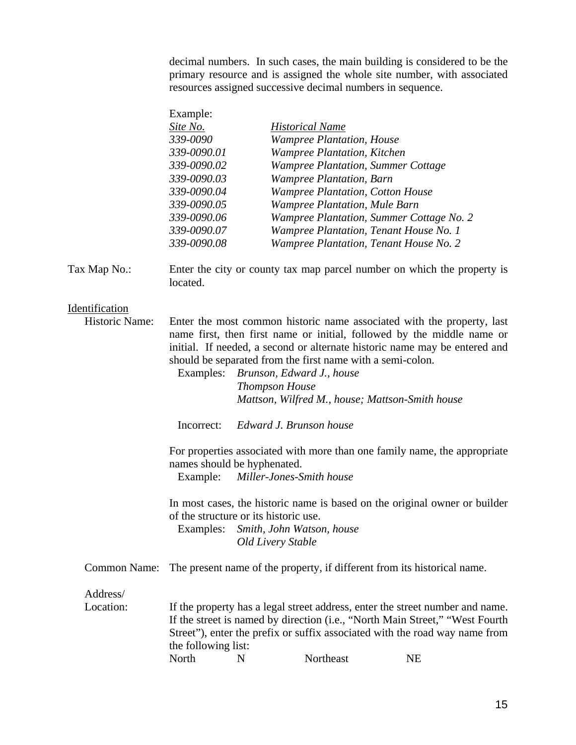decimal numbers. In such cases, the main building is considered to be the primary resource and is assigned the whole site number, with associated resources assigned successive decimal numbers in sequence.

| Example:    |                                           |
|-------------|-------------------------------------------|
| Site No.    | <b>Historical Name</b>                    |
| 339-0090    | <b>Wampree Plantation, House</b>          |
| 339-0090.01 | <b>Wampree Plantation, Kitchen</b>        |
| 339-0090.02 | <b>Wampree Plantation, Summer Cottage</b> |
| 339-0090.03 | <b>Wampree Plantation</b> , Barn          |
| 339-0090.04 | <b>Wampree Plantation, Cotton House</b>   |
| 339-0090.05 | <b>Wampree Plantation, Mule Barn</b>      |
| 339-0090.06 | Wampree Plantation, Summer Cottage No. 2  |
| 339-0090.07 | Wampree Plantation, Tenant House No. 1    |
| 339-0090.08 | Wampree Plantation, Tenant House No. 2    |

Tax Map No.: Enter the city or county tax map parcel number on which the property is located.

#### Identification

| Enter the most common historic name associated with the property, last     |
|----------------------------------------------------------------------------|
| name first, then first name or initial, followed by the middle name or     |
| initial. If needed, a second or alternate historic name may be entered and |
| should be separated from the first name with a semi-colon.                 |
|                                                                            |

Examples: *Brunson, Edward J., house Thompson House Mattson, Wilfred M., house; Mattson-Smith house* 

Incorrect: *Edward J. Brunson house* 

For properties associated with more than one family name, the appropriate names should be hyphenated.

Example: *Miller-Jones-Smith house*

In most cases, the historic name is based on the original owner or builder of the structure or its historic use.

Examples: *Smith, John Watson, house Old Livery Stable*

Common Name: The present name of the property, if different from its historical name.

Address/

Location: If the property has a legal street address, enter the street number and name. If the street is named by direction (i.e., "North Main Street," "West Fourth Street"), enter the prefix or suffix associated with the road way name from the following list: North N Northeast NE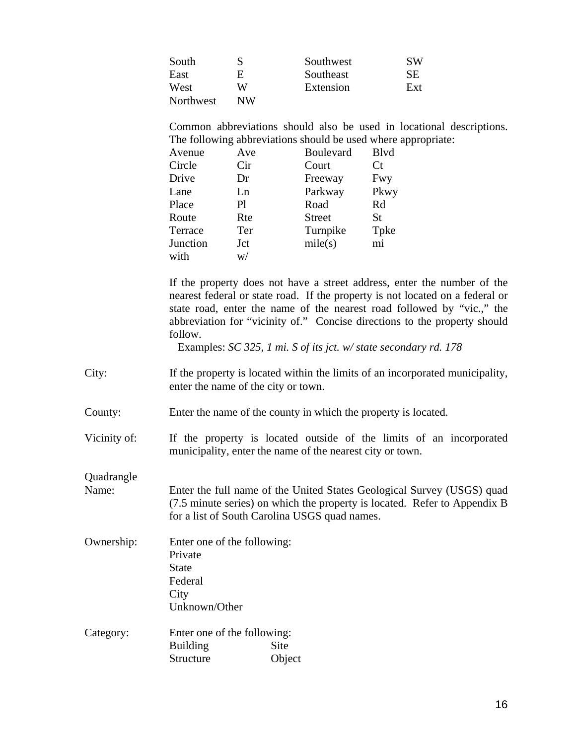| South     |    | Southwest | <b>SW</b> |
|-----------|----|-----------|-----------|
| East      | н  | Southeast | SЕ        |
| West      | W  | Extension | Ext       |
| Northwest | NW |           |           |

Common abbreviations should also be used in locational descriptions. The following abbreviations should be used where appropriate:

| Avenue   | Ave | <b>Boulevard</b> | <b>B</b> lvd |
|----------|-----|------------------|--------------|
| Circle   | Cir | Court            | <b>Ct</b>    |
| Drive    | Dr  | Freeway          | Fwy          |
| Lane     | Ln  | Parkway          | Pkwy         |
| Place    | P1  | Road             | Rd           |
| Route    | Rte | <b>Street</b>    | St           |
| Terrace  | Ter | Turnpike         | Tpke         |
| Junction | Jct | mile(s)          | mi           |
| with     | W/  |                  |              |

If the property does not have a street address, enter the number of the nearest federal or state road. If the property is not located on a federal or state road, enter the name of the nearest road followed by "vic.," the abbreviation for "vicinity of." Concise directions to the property should follow.

Examples: *SC 325, 1 mi. S of its jct. w/ state secondary rd. 178*

- City: If the property is located within the limits of an incorporated municipality, enter the name of the city or town.
- County: Enter the name of the county in which the property is located.

Vicinity of: If the property is located outside of the limits of an incorporated municipality, enter the name of the nearest city or town.

**Ouadrangle** 

- Name: Enter the full name of the United States Geological Survey (USGS) quad (7.5 minute series) on which the property is located. Refer to Appendix B for a list of South Carolina USGS quad names.
- Ownership: Enter one of the following: Private **State** Federal **City** Unknown/Other
- Category: Enter one of the following: Building Site Structure Object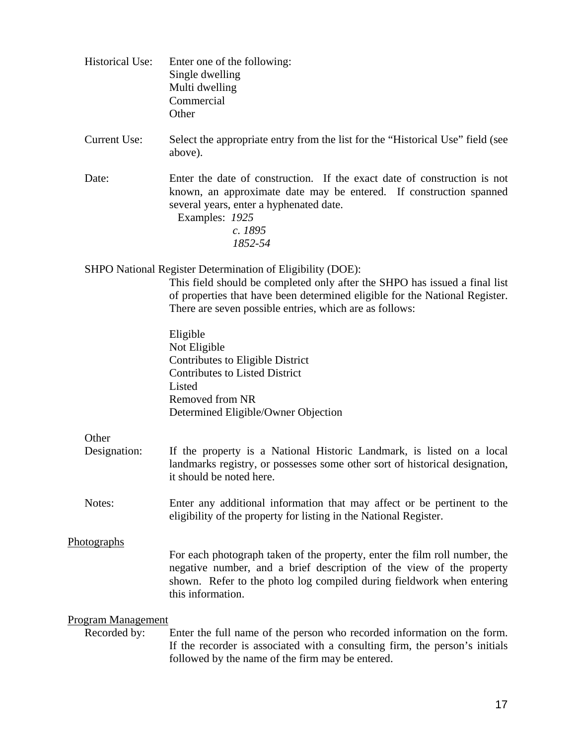| <b>Historical Use:</b>                    | Enter one of the following:<br>Single dwelling<br>Multi dwelling<br>Commercial<br>Other                                                                                                                                                                                            |
|-------------------------------------------|------------------------------------------------------------------------------------------------------------------------------------------------------------------------------------------------------------------------------------------------------------------------------------|
| <b>Current Use:</b>                       | Select the appropriate entry from the list for the "Historical Use" field (see<br>above).                                                                                                                                                                                          |
| Date:                                     | Enter the date of construction. If the exact date of construction is not<br>known, an approximate date may be entered. If construction spanned<br>several years, enter a hyphenated date.<br>Examples: 1925<br>c. 1895<br>1852-54                                                  |
|                                           | SHPO National Register Determination of Eligibility (DOE):<br>This field should be completed only after the SHPO has issued a final list<br>of properties that have been determined eligible for the National Register.<br>There are seven possible entries, which are as follows: |
|                                           | Eligible<br>Not Eligible<br>Contributes to Eligible District<br><b>Contributes to Listed District</b><br>Listed<br>Removed from NR<br>Determined Eligible/Owner Objection                                                                                                          |
| Other<br>Designation:                     | If the property is a National Historic Landmark, is listed on a local<br>landmarks registry, or possesses some other sort of historical designation,<br>it should be noted here.                                                                                                   |
| Notes:                                    | Enter any additional information that may affect or be pertinent to the<br>eligibility of the property for listing in the National Register.                                                                                                                                       |
| <b>Photographs</b>                        | For each photograph taken of the property, enter the film roll number, the<br>negative number, and a brief description of the view of the property<br>shown. Refer to the photo log compiled during fieldwork when entering<br>this information.                                   |
| <b>Program Management</b><br>Recorded by: | Enter the full name of the person who recorded information on the form.<br>If the recorder is associated with a consulting firm, the person's initials<br>followed by the name of the firm may be entered.                                                                         |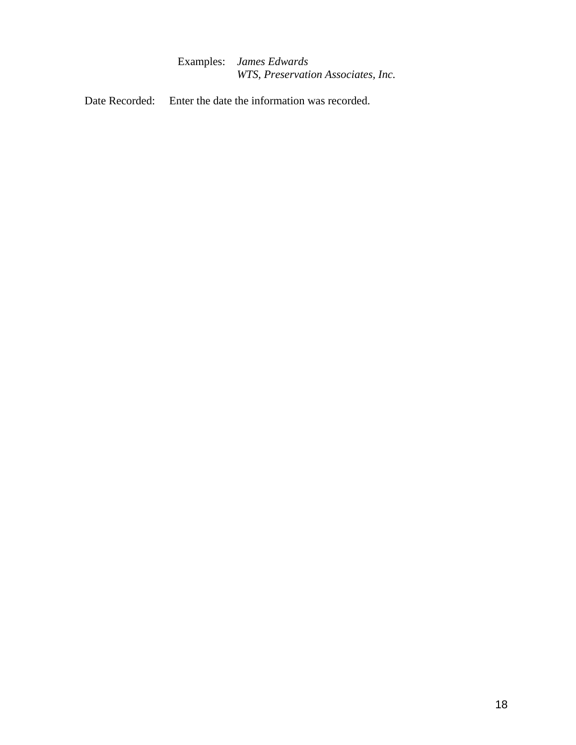Examples: *James Edwards WTS, Preservation Associates, Inc.* 

Date Recorded: Enter the date the information was recorded.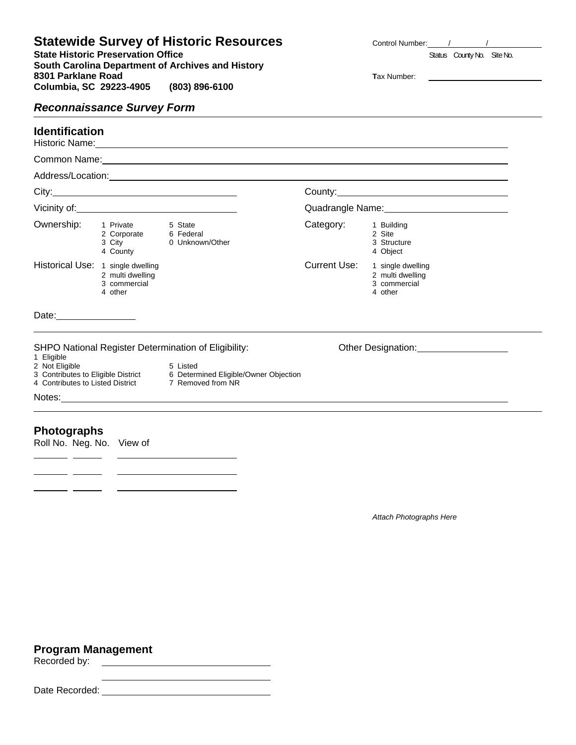# **Statewide Survey of Historic Resources**

**State Historic Preservation Office Status** County No. Site No. **South Carolina Department of Archives and History 8301 Parklane Road Tax Number:** Tax Number: **Columbia, SC 29223-4905 (803) 896-6100** 

| <b>Control Number:</b> |  |
|------------------------|--|
|                        |  |

# *Reconnaissance Survey Form*

# **Identification**

Historic Name:

|                                   |                                             | Address/Location: National Address of Address Address Address Address Address Address Address Address Address                          |                      |                                                                  |
|-----------------------------------|---------------------------------------------|----------------------------------------------------------------------------------------------------------------------------------------|----------------------|------------------------------------------------------------------|
|                                   |                                             |                                                                                                                                        |                      |                                                                  |
|                                   |                                             |                                                                                                                                        |                      |                                                                  |
|                                   | Ownership: 1 Private<br>4 County            | 5 State<br>2 Corporate 6 Federal<br>3 City 0 Unknown/Other                                                                             | Category: 1 Building | 2 Site<br>3 Structure<br>4 Object                                |
| Historical Use: 1 single dwelling | 2 multi dwelling<br>3 commercial<br>4 other |                                                                                                                                        | Current Use:         | 1 single dwelling<br>2 multi dwelling<br>3 commercial<br>4 other |
| Date: ___________________         |                                             |                                                                                                                                        |                      |                                                                  |
|                                   |                                             | SHPO National Register Determination of Eligibility:                                                                                   |                      | Other Designation: 2000 2012                                     |
|                                   |                                             | 2 Not Eligible<br>3 Contributes to Eligible District<br>6 Determined Eligible/Owner Objection<br>6 Determined Eligible/Owner Objection |                      |                                                                  |
| 1 Eligible                        |                                             | 4 Contributes to Listed District 7 Removed from NR                                                                                     |                      |                                                                  |

*Attach Photographs Here*

# **Program Management**  Recorded by:

 $\overline{\phantom{a}}$  and  $\overline{\phantom{a}}$ 

 $\overline{\phantom{a}}$ 

Date Recorded: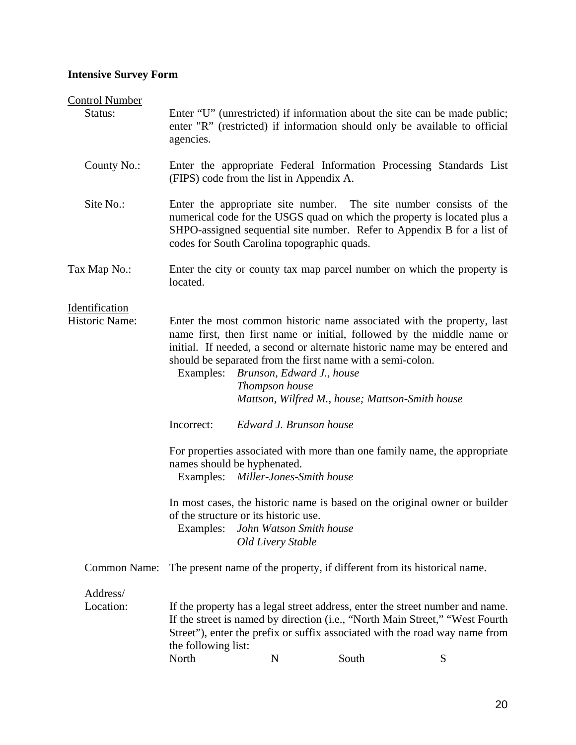#### **Intensive Survey Form**

#### Control Number

- Status: Enter "U" (unrestricted) if information about the site can be made public; enter "R" (restricted) if information should only be available to official agencies.
	- County No.: Enter the appropriate Federal Information Processing Standards List (FIPS) code from the list in Appendix A.
- Site No.: Enter the appropriate site number. The site number consists of the numerical code for the USGS quad on which the property is located plus a SHPO-assigned sequential site number. Refer to Appendix B for a list of codes for South Carolina topographic quads.
- Tax Map No.: Enter the city or county tax map parcel number on which the property is located.

Identification

- Historic Name: Enter the most common historic name associated with the property, last name first, then first name or initial, followed by the middle name or initial. If needed, a second or alternate historic name may be entered and should be separated from the first name with a semi-colon.
	- Examples: *Brunson, Edward J., house Thompson house Mattson, Wilfred M., house; Mattson-Smith house*
	- Incorrect: *Edward J. Brunson house*
	- For properties associated with more than one family name, the appropriate names should be hyphenated.

Examples: *Miller-Jones-Smith house*

In most cases, the historic name is based on the original owner or builder of the structure or its historic use.

Examples: *John Watson Smith house Old Livery Stable*

Common Name: The present name of the property, if different from its historical name.

Address/

Location: If the property has a legal street address, enter the street number and name. If the street is named by direction (i.e., "North Main Street," "West Fourth Street"), enter the prefix or suffix associated with the road way name from the following list: North N South S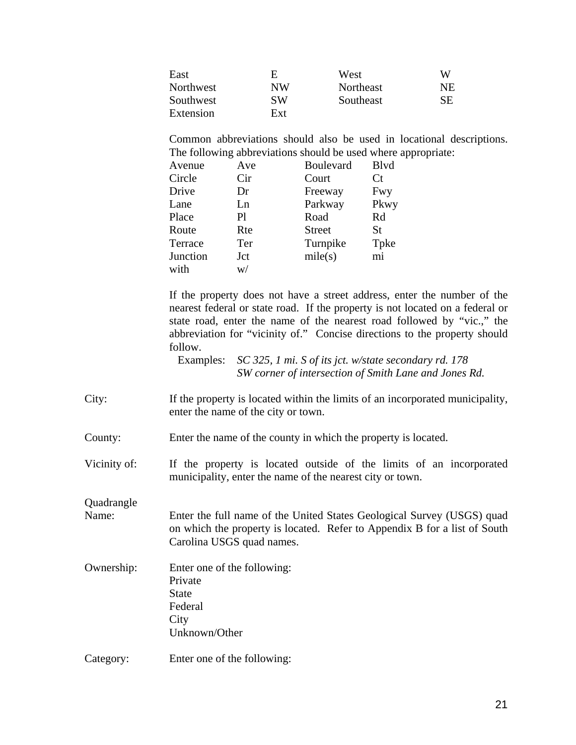| East      | F.  | West      | W   |
|-----------|-----|-----------|-----|
| Northwest | NW  | Northeast | NE. |
| Southwest | SW  | Southeast | SЕ  |
| Extension | Ext |           |     |

Common abbreviations should also be used in locational descriptions. The following abbreviations should be used where appropriate:

| Ave | <b>Boulevard</b> | <b>B</b> lvd |
|-----|------------------|--------------|
| Cir | Court            | Ct           |
| Dr  | Freeway          | Fwy          |
| Ln  | Parkway          | Pkwy         |
| Pl  | Road             | Rd           |
| Rte | <b>Street</b>    | <b>St</b>    |
| Ter | Turnpike         | Tpke         |
| Jct | mile(s)          | mi           |
| W/  |                  |              |
|     |                  |              |

If the property does not have a street address, enter the number of the nearest federal or state road. If the property is not located on a federal or state road, enter the name of the nearest road followed by "vic.," the abbreviation for "vicinity of." Concise directions to the property should follow.

Examples: *SC 325, 1 mi. S of its jct. w/state secondary rd. 178 SW corner of intersection of Smith Lane and Jones Rd.* 

- City: If the property is located within the limits of an incorporated municipality, enter the name of the city or town.
- County: Enter the name of the county in which the property is located.

Vicinity of: If the property is located outside of the limits of an incorporated municipality, enter the name of the nearest city or town.

**Quadrangle** 

- Name: Enter the full name of the United States Geological Survey (USGS) quad on which the property is located. Refer to Appendix B for a list of South Carolina USGS quad names.
- Ownership: Enter one of the following: Private State Federal **City** Unknown/Other
- Category: Enter one of the following: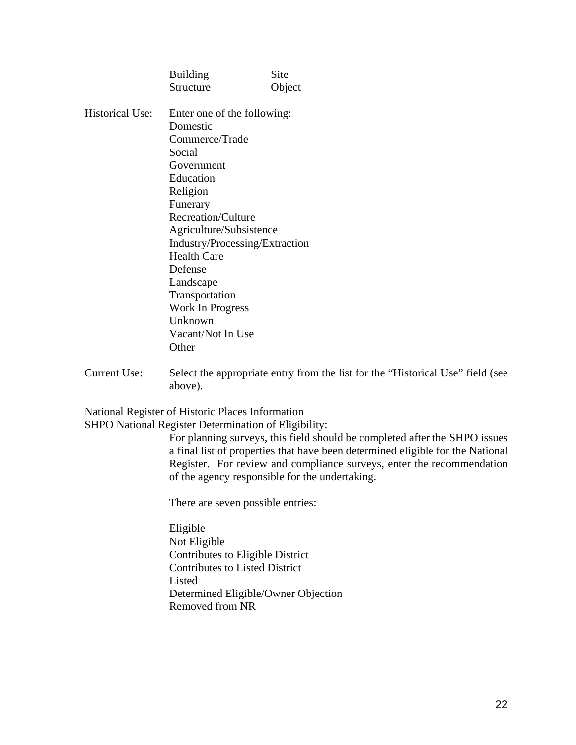|                        | <b>Building</b>                | Site   |  |  |  |
|------------------------|--------------------------------|--------|--|--|--|
|                        | <b>Structure</b>               | Object |  |  |  |
| <b>Historical Use:</b> | Enter one of the following:    |        |  |  |  |
|                        | Domestic                       |        |  |  |  |
|                        | Commerce/Trade                 |        |  |  |  |
|                        | Social                         |        |  |  |  |
|                        | Government                     |        |  |  |  |
|                        | Education                      |        |  |  |  |
|                        | Religion                       |        |  |  |  |
|                        | Funerary                       |        |  |  |  |
|                        | <b>Recreation/Culture</b>      |        |  |  |  |
|                        | Agriculture/Subsistence        |        |  |  |  |
|                        | Industry/Processing/Extraction |        |  |  |  |
|                        | <b>Health Care</b>             |        |  |  |  |
|                        | Defense                        |        |  |  |  |
|                        | Landscape                      |        |  |  |  |
|                        | Transportation                 |        |  |  |  |
|                        | Work In Progress               |        |  |  |  |
|                        | Unknown                        |        |  |  |  |
|                        | Vacant/Not In Use              |        |  |  |  |
|                        | Other                          |        |  |  |  |

Current Use: Select the appropriate entry from the list for the "Historical Use" field (see above).

National Register of Historic Places Information

SHPO National Register Determination of Eligibility:

For planning surveys, this field should be completed after the SHPO issues a final list of properties that have been determined eligible for the National Register. For review and compliance surveys, enter the recommendation of the agency responsible for the undertaking.

There are seven possible entries:

Eligible Not Eligible Contributes to Eligible District Contributes to Listed District Listed Determined Eligible/Owner Objection Removed from NR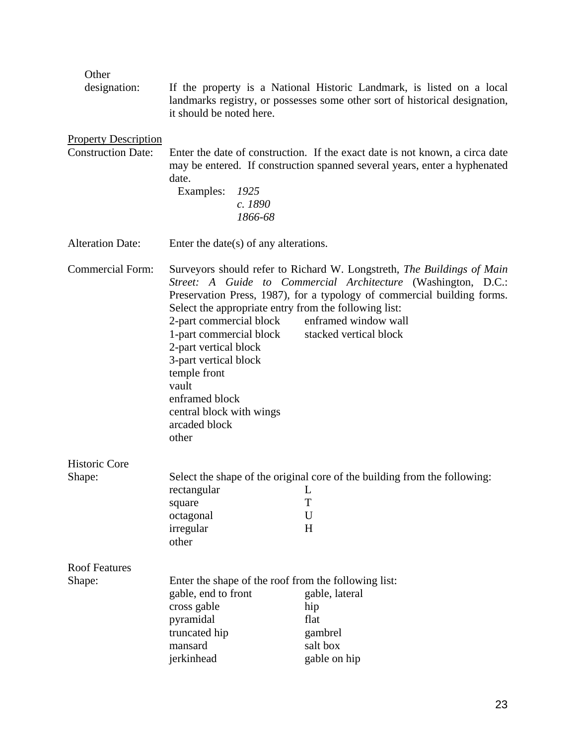| Other                                                    |                                                                                                                                                                                                                                                                |                                                                                                                                                                                                                                                                      |  |  |  |  |
|----------------------------------------------------------|----------------------------------------------------------------------------------------------------------------------------------------------------------------------------------------------------------------------------------------------------------------|----------------------------------------------------------------------------------------------------------------------------------------------------------------------------------------------------------------------------------------------------------------------|--|--|--|--|
| designation:                                             | If the property is a National Historic Landmark, is listed on a local<br>landmarks registry, or possesses some other sort of historical designation,<br>it should be noted here.                                                                               |                                                                                                                                                                                                                                                                      |  |  |  |  |
| <b>Property Description</b><br><b>Construction Date:</b> | date.<br>Examples:<br>1925<br>c. 1890<br>1866-68                                                                                                                                                                                                               | Enter the date of construction. If the exact date is not known, a circa date<br>may be entered. If construction spanned several years, enter a hyphenated                                                                                                            |  |  |  |  |
| <b>Alteration Date:</b>                                  | Enter the date(s) of any alterations.                                                                                                                                                                                                                          |                                                                                                                                                                                                                                                                      |  |  |  |  |
| <b>Commercial Form:</b>                                  | Select the appropriate entry from the following list:<br>2-part commercial block<br>1-part commercial block<br>2-part vertical block<br>3-part vertical block<br>temple front<br>vault<br>enframed block<br>central block with wings<br>arcaded block<br>other | Surveyors should refer to Richard W. Longstreth, The Buildings of Main<br>Street: A Guide to Commercial Architecture (Washington, D.C.:<br>Preservation Press, 1987), for a typology of commercial building forms.<br>enframed window wall<br>stacked vertical block |  |  |  |  |
| Historic Core                                            |                                                                                                                                                                                                                                                                |                                                                                                                                                                                                                                                                      |  |  |  |  |
| Shape:                                                   | rectangular L<br>square<br>octagonal<br>irregular<br>other                                                                                                                                                                                                     | Select the shape of the original core of the building from the following:<br>T<br>U<br>H                                                                                                                                                                             |  |  |  |  |
| <b>Roof Features</b>                                     |                                                                                                                                                                                                                                                                |                                                                                                                                                                                                                                                                      |  |  |  |  |
| Shape:                                                   | Enter the shape of the roof from the following list:<br>gable, end to front<br>cross gable<br>pyramidal<br>truncated hip<br>mansard<br>jerkinhead                                                                                                              | gable, lateral<br>hip<br>flat<br>gambrel<br>salt box<br>gable on hip                                                                                                                                                                                                 |  |  |  |  |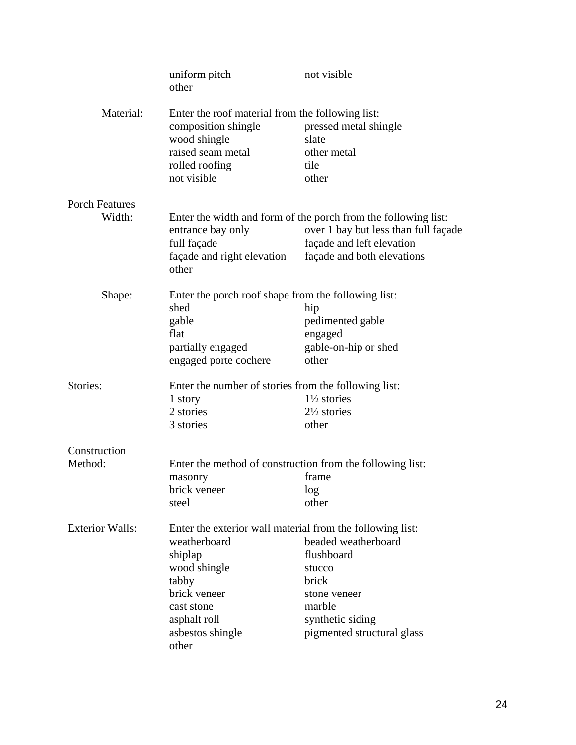|                        | uniform pitch<br>other                                                                                                                        | not visible                                                                                                                                                       |
|------------------------|-----------------------------------------------------------------------------------------------------------------------------------------------|-------------------------------------------------------------------------------------------------------------------------------------------------------------------|
| Material:              | Enter the roof material from the following list:<br>composition shingle<br>wood shingle<br>raised seam metal<br>rolled roofing<br>not visible | pressed metal shingle<br>slate<br>other metal<br>tile<br>other                                                                                                    |
| <b>Porch Features</b>  |                                                                                                                                               |                                                                                                                                                                   |
| Width:                 | entrance bay only<br>full façade<br>façade and right elevation<br>other                                                                       | Enter the width and form of the porch from the following list:<br>over 1 bay but less than full façade<br>façade and left elevation<br>façade and both elevations |
| Shape:                 | Enter the porch roof shape from the following list:                                                                                           |                                                                                                                                                                   |
|                        | shed                                                                                                                                          | hip                                                                                                                                                               |
|                        | gable                                                                                                                                         | pedimented gable                                                                                                                                                  |
|                        | flat                                                                                                                                          | engaged                                                                                                                                                           |
|                        | partially engaged<br>engaged porte cochere                                                                                                    | gable-on-hip or shed<br>other                                                                                                                                     |
| Stories:               | Enter the number of stories from the following list:                                                                                          |                                                                                                                                                                   |
|                        | 1 story                                                                                                                                       | $1\frac{1}{2}$ stories                                                                                                                                            |
|                        | 2 stories                                                                                                                                     | $2\frac{1}{2}$ stories                                                                                                                                            |
|                        | 3 stories                                                                                                                                     | other                                                                                                                                                             |
| Construction           |                                                                                                                                               |                                                                                                                                                                   |
| Method:                |                                                                                                                                               | Enter the method of construction from the following list:                                                                                                         |
|                        | masonry<br>brick veneer                                                                                                                       | frame                                                                                                                                                             |
|                        | steel                                                                                                                                         | log<br>other                                                                                                                                                      |
| <b>Exterior Walls:</b> | Enter the exterior wall material from the following list:                                                                                     |                                                                                                                                                                   |
|                        | weatherboard                                                                                                                                  | beaded weatherboard                                                                                                                                               |
|                        | shiplap                                                                                                                                       | flushboard                                                                                                                                                        |
|                        | wood shingle                                                                                                                                  | stucco                                                                                                                                                            |
|                        | tabby                                                                                                                                         | brick                                                                                                                                                             |
|                        | brick veneer                                                                                                                                  | stone veneer                                                                                                                                                      |
|                        | cast stone                                                                                                                                    | marble                                                                                                                                                            |
|                        | asphalt roll                                                                                                                                  | synthetic siding                                                                                                                                                  |
|                        | asbestos shingle<br>other                                                                                                                     | pigmented structural glass                                                                                                                                        |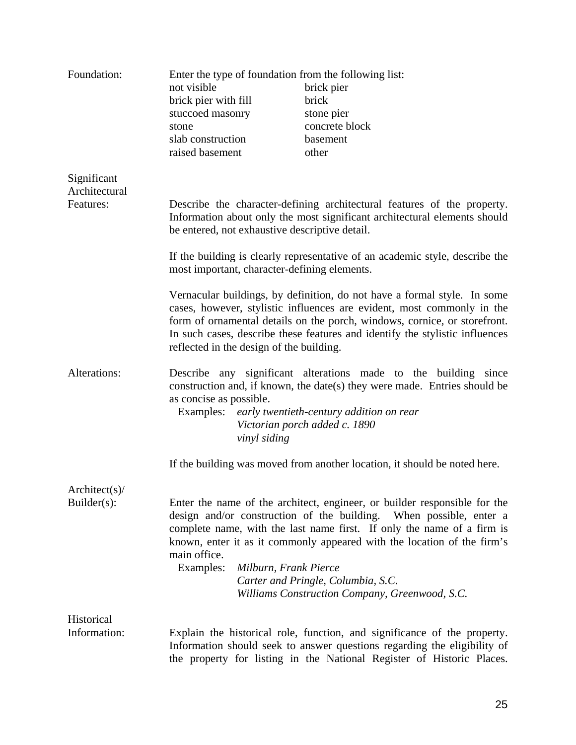| Foundation:                  |                                      |                                          | Enter the type of foundation from the following list:                                                                                                                                                                                                                                                                                                                                        |
|------------------------------|--------------------------------------|------------------------------------------|----------------------------------------------------------------------------------------------------------------------------------------------------------------------------------------------------------------------------------------------------------------------------------------------------------------------------------------------------------------------------------------------|
|                              | not visible                          |                                          | brick pier                                                                                                                                                                                                                                                                                                                                                                                   |
|                              | brick pier with fill                 |                                          | brick                                                                                                                                                                                                                                                                                                                                                                                        |
|                              | stuccoed masonry                     |                                          | stone pier                                                                                                                                                                                                                                                                                                                                                                                   |
|                              | stone                                |                                          | concrete block                                                                                                                                                                                                                                                                                                                                                                               |
|                              | slab construction                    |                                          | basement                                                                                                                                                                                                                                                                                                                                                                                     |
|                              | raised basement                      |                                          | other                                                                                                                                                                                                                                                                                                                                                                                        |
| Significant<br>Architectural |                                      |                                          |                                                                                                                                                                                                                                                                                                                                                                                              |
| Features:                    |                                      |                                          | Describe the character-defining architectural features of the property.<br>Information about only the most significant architectural elements should<br>be entered, not exhaustive descriptive detail.                                                                                                                                                                                       |
|                              |                                      |                                          | If the building is clearly representative of an academic style, describe the<br>most important, character-defining elements.                                                                                                                                                                                                                                                                 |
|                              |                                      | reflected in the design of the building. | Vernacular buildings, by definition, do not have a formal style. In some<br>cases, however, stylistic influences are evident, most commonly in the<br>form of ornamental details on the porch, windows, cornice, or storefront.<br>In such cases, describe these features and identify the stylistic influences                                                                              |
| Alterations:                 | as concise as possible.<br>Examples: | vinyl siding                             | Describe any significant alterations made to the building since<br>construction and, if known, the date(s) they were made. Entries should be<br>early twentieth-century addition on rear<br>Victorian porch added c. 1890                                                                                                                                                                    |
|                              |                                      |                                          | If the building was moved from another location, it should be noted here.                                                                                                                                                                                                                                                                                                                    |
| Architect(s)                 |                                      |                                          |                                                                                                                                                                                                                                                                                                                                                                                              |
| $Builder(s)$ :               | main office.<br>Examples:            | Milburn, Frank Pierce                    | Enter the name of the architect, engineer, or builder responsible for the<br>design and/or construction of the building. When possible, enter a<br>complete name, with the last name first. If only the name of a firm is<br>known, enter it as it commonly appeared with the location of the firm's<br>Carter and Pringle, Columbia, S.C.<br>Williams Construction Company, Greenwood, S.C. |
| Historical                   |                                      |                                          |                                                                                                                                                                                                                                                                                                                                                                                              |
| Information:                 |                                      |                                          | Explain the historical role, function, and significance of the property.<br>Information should seek to answer questions regarding the eligibility of<br>the property for listing in the National Register of Historic Places.                                                                                                                                                                |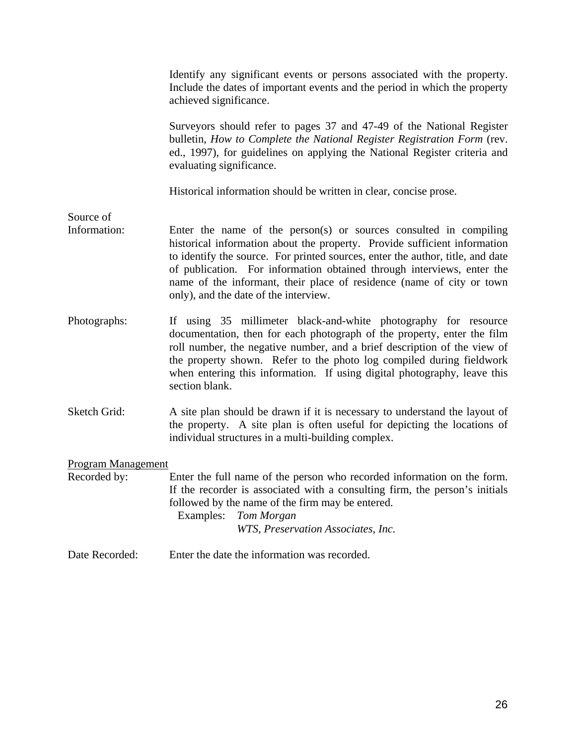|                           | Identify any significant events or persons associated with the property.<br>Include the dates of important events and the period in which the property<br>achieved significance.                                                                                                                                                                                                                                             |
|---------------------------|------------------------------------------------------------------------------------------------------------------------------------------------------------------------------------------------------------------------------------------------------------------------------------------------------------------------------------------------------------------------------------------------------------------------------|
|                           | Surveyors should refer to pages 37 and 47-49 of the National Register<br>bulletin, How to Complete the National Register Registration Form (rev.<br>ed., 1997), for guidelines on applying the National Register criteria and<br>evaluating significance.                                                                                                                                                                    |
|                           | Historical information should be written in clear, concise prose.                                                                                                                                                                                                                                                                                                                                                            |
| Source of<br>Information: | Enter the name of the person(s) or sources consulted in compiling<br>historical information about the property. Provide sufficient information<br>to identify the source. For printed sources, enter the author, title, and date<br>of publication. For information obtained through interviews, enter the<br>name of the informant, their place of residence (name of city or town<br>only), and the date of the interview. |
| Photographs:              | If using 35 millimeter black-and-white photography for resource<br>documentation, then for each photograph of the property, enter the film<br>roll number, the negative number, and a brief description of the view of<br>the property shown. Refer to the photo log compiled during fieldwork<br>when entering this information. If using digital photography, leave this<br>section blank.                                 |
| Sketch Grid:              | A site plan should be drawn if it is necessary to understand the layout of<br>the property. A site plan is often useful for depicting the locations of<br>individual structures in a multi-building complex.                                                                                                                                                                                                                 |
| Program Management        |                                                                                                                                                                                                                                                                                                                                                                                                                              |
| Recorded by:              | Enter the full name of the person who recorded information on the form.<br>If the recorder is associated with a consulting firm, the person's initials<br>followed by the name of the firm may be entered.<br>Examples:<br>Tom Morgan<br>WTS, Preservation Associates, Inc.                                                                                                                                                  |
| Date Recorded:            | Enter the date the information was recorded.                                                                                                                                                                                                                                                                                                                                                                                 |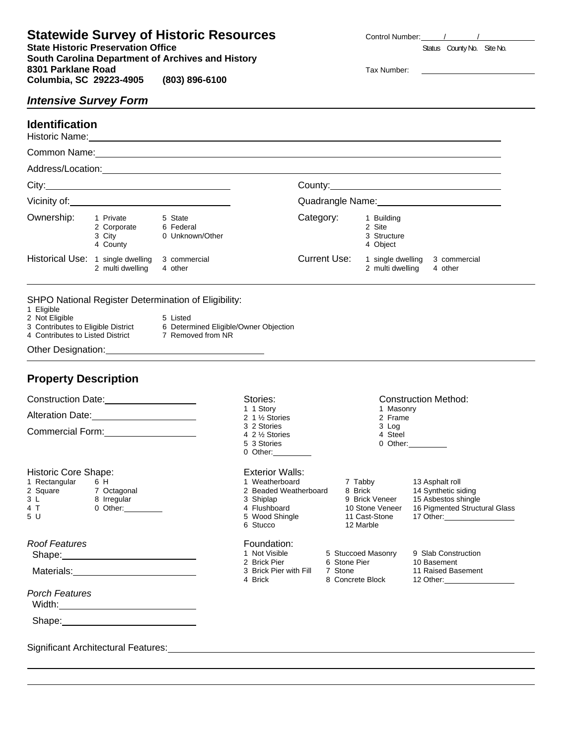**Statewide Survey of Historic Resources Control Number:** / / / / **State Historic Preservation Office Status County No. Site No.** Side No. Site No. **South Carolina Department of Archives and History 8301 Parklane Road 19805 1880 1898-6100**<br>**Columbia, SC 29223-4905 1803) 896-6100 Columbia, SC 29223-4905 (803) 896-6100** 

# *Intensive Survey Form*

#### **Identification**

Historic Name:

| Common Name:                      |                                                |                                         |                  |                      |                                                 |                         |  |
|-----------------------------------|------------------------------------------------|-----------------------------------------|------------------|----------------------|-------------------------------------------------|-------------------------|--|
|                                   | Address/Location:                              |                                         |                  |                      |                                                 |                         |  |
| City:                             |                                                |                                         |                  | County:_____________ |                                                 |                         |  |
| Vicinity of:                      |                                                |                                         | Quadrangle Name: |                      |                                                 |                         |  |
| Ownership:                        | 1 Private<br>2 Corporate<br>3 City<br>4 County | 5 State<br>6 Federal<br>0 Unknown/Other |                  | Category:            | 1 Building<br>2 Site<br>3 Structure<br>4 Object |                         |  |
| Historical Use: 1 single dwelling | 2 multi dwelling                               | 3 commercial<br>4 other                 |                  | Current Use:         | single dwelling<br>2 multi dwelling             | 3 commercial<br>4 other |  |

SHPO National Register Determination of Eligibility:

1 Eligible

 $\overline{a}$ 

- 2 Not Eligible 5 Listed<br>3 Contributes to Eligible District 6 Detern
- 4 Contributes to Listed District

Other Designation:

# **Property Description**

#### Construction Date: 2000

Alteration Date: 2000 Million Date:

Commercial Form:<br>
<u>
Commercial Form:</u>

#### Historic Core Shape:

|     | 1 Rectangular | 6 H         |
|-----|---------------|-------------|
|     | 2 Square      | 7 Octagonal |
| 3 L |               | 8 Irregular |
|     | 4 T           | 0 Other:    |

5 U

#### *Roof Features*

Shape: **Shape: Shape: Shape: Shape: Shape: Shape: Shape: Shape: Shape: Shape: Shape: Shape: Shape: Shape: Shape: Shape: Shape: Shape: Shape: Shape: Shape: Shape: Shape: Shape:** 

Materials: 2008. [19] Materials:

*Porch Features*

Width: **Width:** Width: **Width:** Width: **Width:**  $\frac{1}{2}$ 

Shape:

 $\overline{a}$  $\overline{a}$ 

Significant Architectural Features:

#### Exterior Walls:

- 
- 
- 
- 
- 5 Wood Shingle<br>6 Stucco
- 

# Foundation:<br>1 Not Visible

- 
- 
- 
- -
- 2 Beaded Weatherboard 8 Brick<br>3 Shiplap 9 Brick Veneer
	- -
		-

5 3 Stories

Stories: Construction Method:<br>1 1 Story 1 Masonry 2 1 ½ Stories 2 Frame 2 Frame 2 Stories 2 Stories 2 Prame 2 Stories 2 Stories 2 Stories 2 Stories 2 Stories 2 Stories 2 Stories 2 Stories 2 Stories 2 Stories 2 Stories 2 Stories 2 Stories 2 Stories 2 Stories 2 Stories 2 St

0 Other:

6 Determined Eligible/Owner Objection<br>7 Removed from NR

3 2 Stories 3 Log<br>4 2 1/2 Stories 3 Log<br>4 Steel 4 2 <sup>1</sup>/<sub>2</sub> Stories 4 Steel<br>5 3 Stories 6 2 1 0 Other:

1 Masonry<br>2 Frame

1 Weatherboard 17 Tabby 13 Asphalt roll<br>
2 Beaded Weatherboard 8 Brick 14 Synthetic siding 3 Shiplap 9 Brick Veneer 15 Asbestos shingle<br>4 Flushboard 10 Stone Veneer 16 Pigmented Structu 10 Stone Veneer 16 Pigmented Structural Glass<br>11 Cast-Stone 17 Other: 12 Marble

1 Not Visible 5 Stuccoed Masonry 9 Slab Construction<br>2 Brick Pier 6 Stone Pier 10 Basement 6 Stone Pier

3 Brick Pier with Fill 7 Stone 11 Raised Basement<br>4 Brick 8 Concrete Block 12 Other: 8 Concrete Block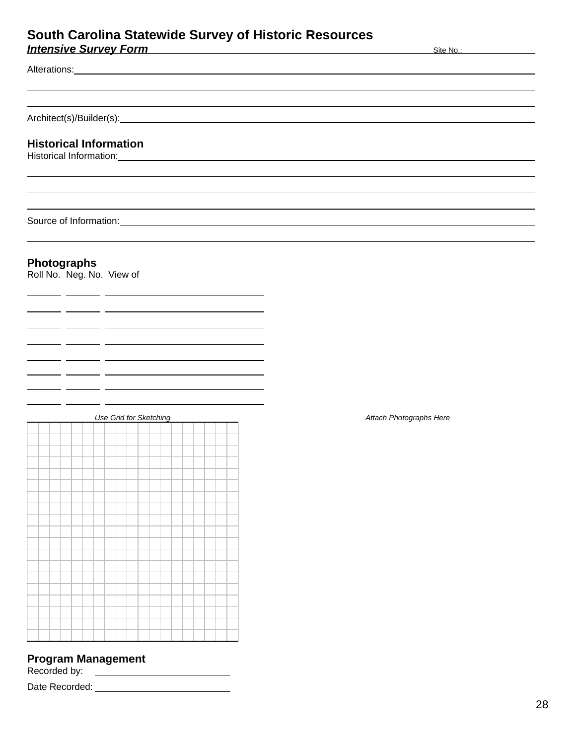# **South Carolina Statewide Survey of Historic Resources Intensive Survey Form** Site No.: Site No.: Site No.: Site No.: Site No.: Site No.: Site No.: Site No.: Site No.: Site No.: Site No.: Site No.: Site No.: Site No.: Site No.: Site No.: Site No.: Site No.: Site No.: Site No.

Alterations:  $\overline{a}$ 

 $\overline{a}$ 

Architect(s)/Builder(s): Architect(s) Architect(s) Architect(s) Architect(s) Architect(s) Architect

# **Historical Information**

Historical Information:

Source of Information:

# **Photographs**

 $-$ 

Roll No. Neg. No. View of

 $-$ 



# **Program Management**

Recorded by:

Date Recorded: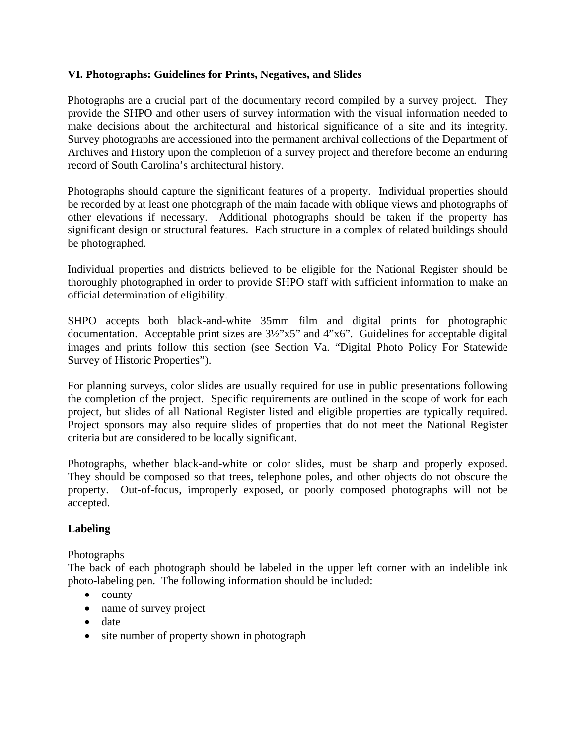# **VI. Photographs: Guidelines for Prints, Negatives, and Slides**

Photographs are a crucial part of the documentary record compiled by a survey project. They provide the SHPO and other users of survey information with the visual information needed to make decisions about the architectural and historical significance of a site and its integrity. Survey photographs are accessioned into the permanent archival collections of the Department of Archives and History upon the completion of a survey project and therefore become an enduring record of South Carolina's architectural history.

Photographs should capture the significant features of a property. Individual properties should be recorded by at least one photograph of the main facade with oblique views and photographs of other elevations if necessary. Additional photographs should be taken if the property has significant design or structural features. Each structure in a complex of related buildings should be photographed.

Individual properties and districts believed to be eligible for the National Register should be thoroughly photographed in order to provide SHPO staff with sufficient information to make an official determination of eligibility.

SHPO accepts both black-and-white 35mm film and digital prints for photographic documentation. Acceptable print sizes are 3½"x5" and 4"x6". Guidelines for acceptable digital images and prints follow this section (see Section Va. "Digital Photo Policy For Statewide Survey of Historic Properties").

For planning surveys, color slides are usually required for use in public presentations following the completion of the project. Specific requirements are outlined in the scope of work for each project, but slides of all National Register listed and eligible properties are typically required. Project sponsors may also require slides of properties that do not meet the National Register criteria but are considered to be locally significant.

Photographs, whether black-and-white or color slides, must be sharp and properly exposed. They should be composed so that trees, telephone poles, and other objects do not obscure the property. Out-of-focus, improperly exposed, or poorly composed photographs will not be accepted.

# **Labeling**

# Photographs

The back of each photograph should be labeled in the upper left corner with an indelible ink photo-labeling pen. The following information should be included:

- county
- name of survey project
- date
- site number of property shown in photograph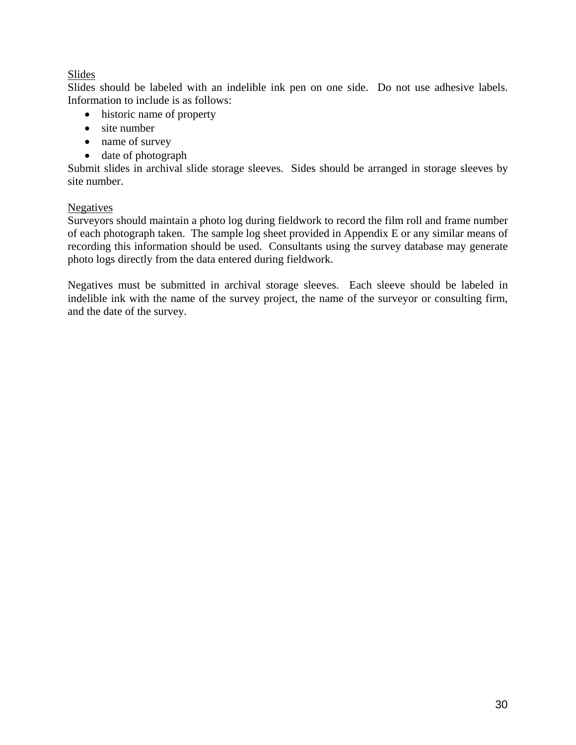# Slides

Slides should be labeled with an indelible ink pen on one side. Do not use adhesive labels. Information to include is as follows:

- historic name of property
- site number
- name of survey
- date of photograph

Submit slides in archival slide storage sleeves. Sides should be arranged in storage sleeves by site number.

# Negatives

Surveyors should maintain a photo log during fieldwork to record the film roll and frame number of each photograph taken. The sample log sheet provided in Appendix E or any similar means of recording this information should be used. Consultants using the survey database may generate photo logs directly from the data entered during fieldwork.

Negatives must be submitted in archival storage sleeves. Each sleeve should be labeled in indelible ink with the name of the survey project, the name of the surveyor or consulting firm, and the date of the survey.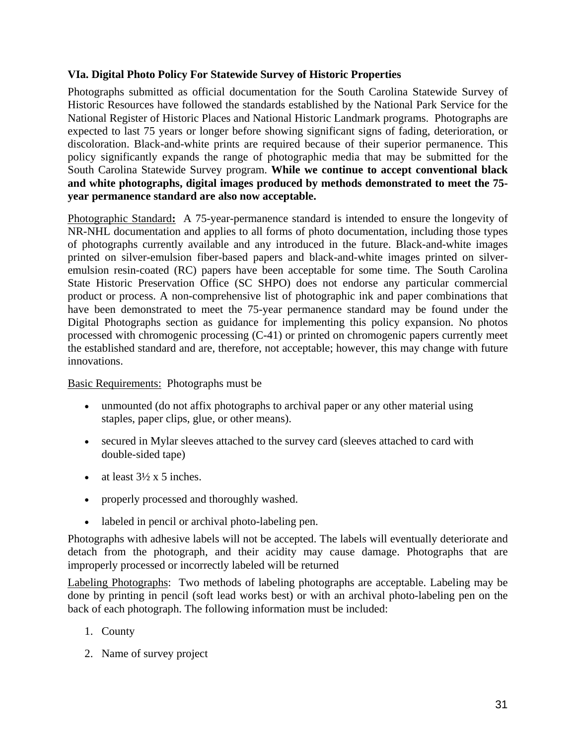# **VIa. Digital Photo Policy For Statewide Survey of Historic Properties**

Photographs submitted as official documentation for the South Carolina Statewide Survey of Historic Resources have followed the standards established by the National Park Service for the National Register of Historic Places and National Historic Landmark programs. Photographs are expected to last 75 years or longer before showing significant signs of fading, deterioration, or discoloration. Black-and-white prints are required because of their superior permanence. This policy significantly expands the range of photographic media that may be submitted for the South Carolina Statewide Survey program. **While we continue to accept conventional black and white photographs, digital images produced by methods demonstrated to meet the 75 year permanence standard are also now acceptable.**

Photographic Standard**:** A 75-year-permanence standard is intended to ensure the longevity of NR-NHL documentation and applies to all forms of photo documentation, including those types of photographs currently available and any introduced in the future. Black-and-white images printed on silver-emulsion fiber-based papers and black-and-white images printed on silveremulsion resin-coated (RC) papers have been acceptable for some time. The South Carolina State Historic Preservation Office (SC SHPO) does not endorse any particular commercial product or process. A non-comprehensive list of photographic ink and paper combinations that have been demonstrated to meet the 75-year permanence standard may be found under the Digital Photographs section as guidance for implementing this policy expansion. No photos processed with chromogenic processing (C-41) or printed on chromogenic papers currently meet the established standard and are, therefore, not acceptable; however, this may change with future innovations.

# Basic Requirements:Photographs must be

- unmounted (do not affix photographs to archival paper or any other material using staples, paper clips, glue, or other means).
- secured in Mylar sleeves attached to the survey card (sleeves attached to card with double-sided tape)
- at least  $3\frac{1}{2} \times 5$  inches.
- properly processed and thoroughly washed.
- labeled in pencil or archival photo-labeling pen.

Photographs with adhesive labels will not be accepted. The labels will eventually deteriorate and detach from the photograph, and their acidity may cause damage. Photographs that are improperly processed or incorrectly labeled will be returned

Labeling Photographs: Two methods of labeling photographs are acceptable. Labeling may be done by printing in pencil (soft lead works best) or with an archival photo-labeling pen on the back of each photograph. The following information must be included:

- 1. County
- 2. Name of survey project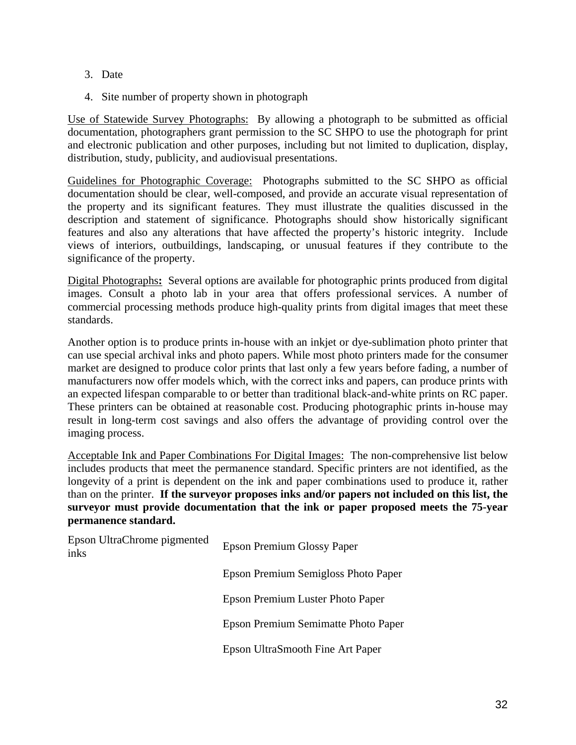- 3. Date
- 4. Site number of property shown in photograph

Use of Statewide Survey Photographs:By allowing a photograph to be submitted as official documentation, photographers grant permission to the SC SHPO to use the photograph for print and electronic publication and other purposes, including but not limited to duplication, display, distribution, study, publicity, and audiovisual presentations.

Guidelines for Photographic Coverage:Photographs submitted to the SC SHPO as official documentation should be clear, well-composed, and provide an accurate visual representation of the property and its significant features. They must illustrate the qualities discussed in the description and statement of significance. Photographs should show historically significant features and also any alterations that have affected the property's historic integrity. Include views of interiors, outbuildings, landscaping, or unusual features if they contribute to the significance of the property.

Digital Photographs**:** Several options are available for photographic prints produced from digital images. Consult a photo lab in your area that offers professional services. A number of commercial processing methods produce high-quality prints from digital images that meet these standards.

Another option is to produce prints in-house with an inkjet or dye-sublimation photo printer that can use special archival inks and photo papers. While most photo printers made for the consumer market are designed to produce color prints that last only a few years before fading, a number of manufacturers now offer models which, with the correct inks and papers, can produce prints with an expected lifespan comparable to or better than traditional black-and-white prints on RC paper. These printers can be obtained at reasonable cost. Producing photographic prints in-house may result in long-term cost savings and also offers the advantage of providing control over the imaging process.

Acceptable Ink and Paper Combinations For Digital Images:The non-comprehensive list below includes products that meet the permanence standard. Specific printers are not identified, as the longevity of a print is dependent on the ink and paper combinations used to produce it, rather than on the printer. **If the surveyor proposes inks and/or papers not included on this list, the surveyor must provide documentation that the ink or paper proposed meets the 75-year permanence standard.**

| Epson UltraChrome pigmented<br>inks | Epson Premium Glossy Paper          |  |
|-------------------------------------|-------------------------------------|--|
|                                     | Epson Premium Semigloss Photo Paper |  |
|                                     | Epson Premium Luster Photo Paper    |  |
|                                     | Epson Premium Semimatte Photo Paper |  |
|                                     | Epson UltraSmooth Fine Art Paper    |  |
|                                     |                                     |  |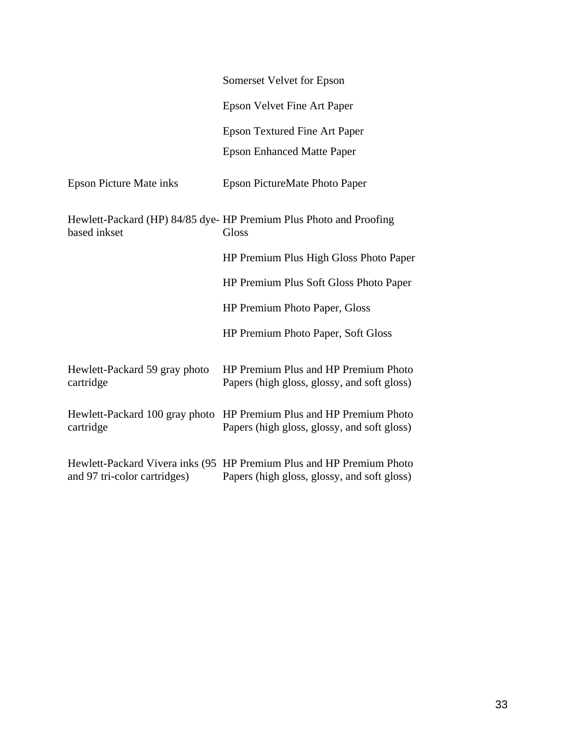|                                            | Somerset Velvet for Epson                                                                                           |
|--------------------------------------------|---------------------------------------------------------------------------------------------------------------------|
|                                            | <b>Epson Velvet Fine Art Paper</b>                                                                                  |
|                                            | <b>Epson Textured Fine Art Paper</b>                                                                                |
|                                            | <b>Epson Enhanced Matte Paper</b>                                                                                   |
| <b>Epson Picture Mate inks</b>             | Epson PictureMate Photo Paper                                                                                       |
| based inkset                               | Hewlett-Packard (HP) 84/85 dye- HP Premium Plus Photo and Proofing<br>Gloss                                         |
|                                            | HP Premium Plus High Gloss Photo Paper                                                                              |
|                                            | HP Premium Plus Soft Gloss Photo Paper                                                                              |
|                                            | HP Premium Photo Paper, Gloss                                                                                       |
|                                            | HP Premium Photo Paper, Soft Gloss                                                                                  |
| Hewlett-Packard 59 gray photo<br>cartridge | HP Premium Plus and HP Premium Photo<br>Papers (high gloss, glossy, and soft gloss)                                 |
| cartridge                                  | Hewlett-Packard 100 gray photo HP Premium Plus and HP Premium Photo<br>Papers (high gloss, glossy, and soft gloss)  |
| and 97 tri-color cartridges)               | Hewlett-Packard Vivera inks (95 HP Premium Plus and HP Premium Photo<br>Papers (high gloss, glossy, and soft gloss) |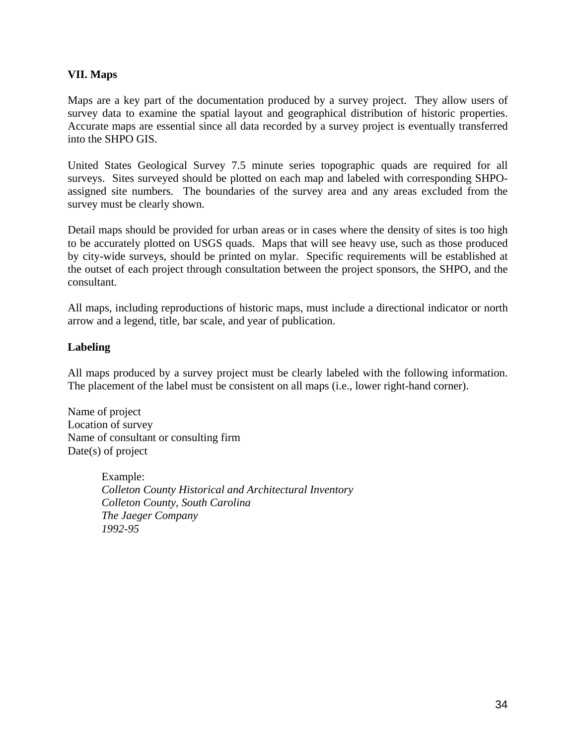# **VII. Maps**

Maps are a key part of the documentation produced by a survey project. They allow users of survey data to examine the spatial layout and geographical distribution of historic properties. Accurate maps are essential since all data recorded by a survey project is eventually transferred into the SHPO GIS.

United States Geological Survey 7.5 minute series topographic quads are required for all surveys. Sites surveyed should be plotted on each map and labeled with corresponding SHPOassigned site numbers. The boundaries of the survey area and any areas excluded from the survey must be clearly shown.

Detail maps should be provided for urban areas or in cases where the density of sites is too high to be accurately plotted on USGS quads. Maps that will see heavy use, such as those produced by city-wide surveys, should be printed on mylar. Specific requirements will be established at the outset of each project through consultation between the project sponsors, the SHPO, and the consultant.

All maps, including reproductions of historic maps, must include a directional indicator or north arrow and a legend, title, bar scale, and year of publication.

# **Labeling**

All maps produced by a survey project must be clearly labeled with the following information. The placement of the label must be consistent on all maps (i.e., lower right-hand corner).

Name of project Location of survey Name of consultant or consulting firm Date(s) of project

> Example: *Colleton County Historical and Architectural Inventory Colleton County, South Carolina The Jaeger Company 1992-95*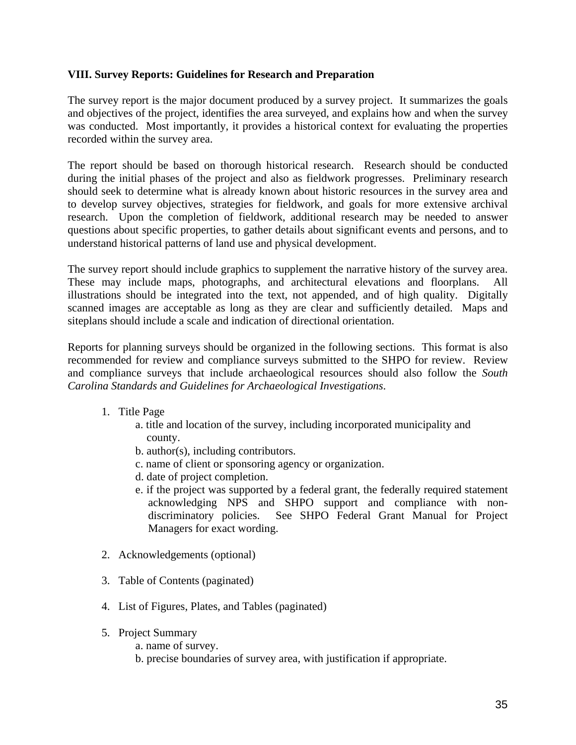# **VIII. Survey Reports: Guidelines for Research and Preparation**

The survey report is the major document produced by a survey project. It summarizes the goals and objectives of the project, identifies the area surveyed, and explains how and when the survey was conducted. Most importantly, it provides a historical context for evaluating the properties recorded within the survey area.

The report should be based on thorough historical research. Research should be conducted during the initial phases of the project and also as fieldwork progresses. Preliminary research should seek to determine what is already known about historic resources in the survey area and to develop survey objectives, strategies for fieldwork, and goals for more extensive archival research. Upon the completion of fieldwork, additional research may be needed to answer questions about specific properties, to gather details about significant events and persons, and to understand historical patterns of land use and physical development.

The survey report should include graphics to supplement the narrative history of the survey area. These may include maps, photographs, and architectural elevations and floorplans. All illustrations should be integrated into the text, not appended, and of high quality. Digitally scanned images are acceptable as long as they are clear and sufficiently detailed. Maps and siteplans should include a scale and indication of directional orientation.

Reports for planning surveys should be organized in the following sections. This format is also recommended for review and compliance surveys submitted to the SHPO for review. Review and compliance surveys that include archaeological resources should also follow the *South Carolina Standards and Guidelines for Archaeological Investigations*.

- 1. Title Page
	- a. title and location of the survey, including incorporated municipality and county.
	- b. author(s), including contributors.
	- c. name of client or sponsoring agency or organization.
	- d. date of project completion.
	- e. if the project was supported by a federal grant, the federally required statement acknowledging NPS and SHPO support and compliance with nondiscriminatory policies. See SHPO Federal Grant Manual for Project Managers for exact wording.
- 2. Acknowledgements (optional)
- 3. Table of Contents (paginated)
- 4. List of Figures, Plates, and Tables (paginated)
- 5. Project Summary
	- a. name of survey.
	- b. precise boundaries of survey area, with justification if appropriate.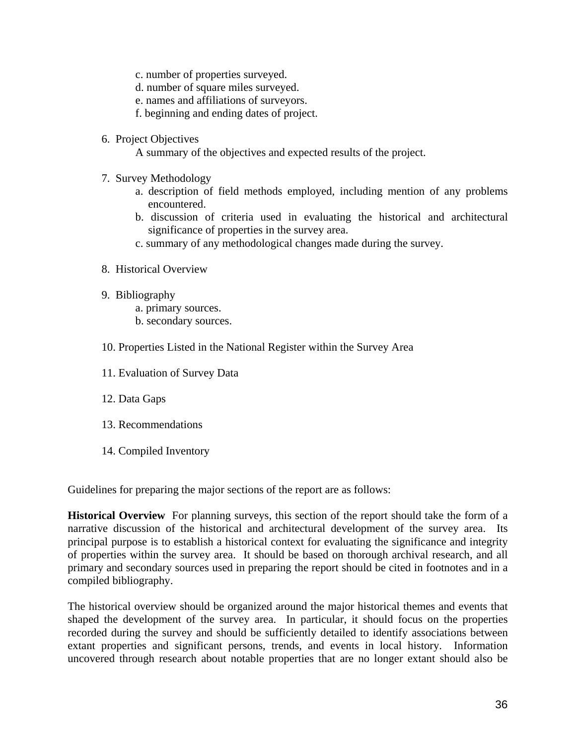- c. number of properties surveyed.
- d. number of square miles surveyed.
- e. names and affiliations of surveyors.
- f. beginning and ending dates of project.
- 6. Project Objectives
	- A summary of the objectives and expected results of the project.
- 7. Survey Methodology
	- a. description of field methods employed, including mention of any problems encountered.
	- b. discussion of criteria used in evaluating the historical and architectural significance of properties in the survey area.
	- c. summary of any methodological changes made during the survey.
- 8. Historical Overview
- 9. Bibliography
	- a. primary sources.
	- b. secondary sources.
- 10. Properties Listed in the National Register within the Survey Area
- 11. Evaluation of Survey Data
- 12. Data Gaps
- 13. Recommendations
- 14. Compiled Inventory

Guidelines for preparing the major sections of the report are as follows:

**Historical Overview** For planning surveys, this section of the report should take the form of a narrative discussion of the historical and architectural development of the survey area. Its principal purpose is to establish a historical context for evaluating the significance and integrity of properties within the survey area. It should be based on thorough archival research, and all primary and secondary sources used in preparing the report should be cited in footnotes and in a compiled bibliography.

The historical overview should be organized around the major historical themes and events that shaped the development of the survey area. In particular, it should focus on the properties recorded during the survey and should be sufficiently detailed to identify associations between extant properties and significant persons, trends, and events in local history. Information uncovered through research about notable properties that are no longer extant should also be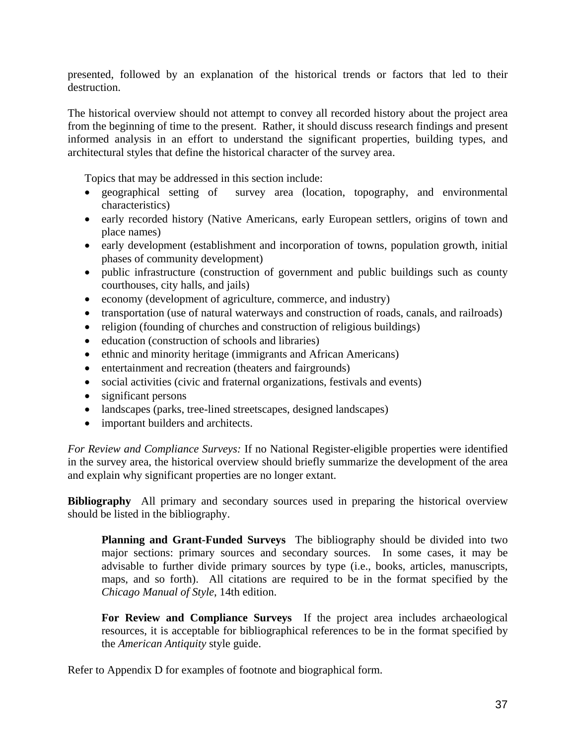presented, followed by an explanation of the historical trends or factors that led to their destruction.

The historical overview should not attempt to convey all recorded history about the project area from the beginning of time to the present. Rather, it should discuss research findings and present informed analysis in an effort to understand the significant properties, building types, and architectural styles that define the historical character of the survey area.

Topics that may be addressed in this section include:

- geographical setting of survey area (location, topography, and environmental characteristics)
- early recorded history (Native Americans, early European settlers, origins of town and place names)
- early development (establishment and incorporation of towns, population growth, initial phases of community development)
- public infrastructure (construction of government and public buildings such as county courthouses, city halls, and jails)
- economy (development of agriculture, commerce, and industry)
- transportation (use of natural waterways and construction of roads, canals, and railroads)
- religion (founding of churches and construction of religious buildings)
- education (construction of schools and libraries)
- ethnic and minority heritage (immigrants and African Americans)
- entertainment and recreation (theaters and fairgrounds)
- social activities (civic and fraternal organizations, festivals and events)
- significant persons
- landscapes (parks, tree-lined streetscapes, designed landscapes)
- important builders and architects.

*For Review and Compliance Surveys:* If no National Register-eligible properties were identified in the survey area, the historical overview should briefly summarize the development of the area and explain why significant properties are no longer extant.

**Bibliography** All primary and secondary sources used in preparing the historical overview should be listed in the bibliography.

**Planning and Grant-Funded Surveys** The bibliography should be divided into two major sections: primary sources and secondary sources. In some cases, it may be advisable to further divide primary sources by type (i.e., books, articles, manuscripts, maps, and so forth). All citations are required to be in the format specified by the *Chicago Manual of Style*, 14th edition.

**For Review and Compliance Surveys** If the project area includes archaeological resources, it is acceptable for bibliographical references to be in the format specified by the *American Antiquity* style guide.

Refer to Appendix D for examples of footnote and biographical form.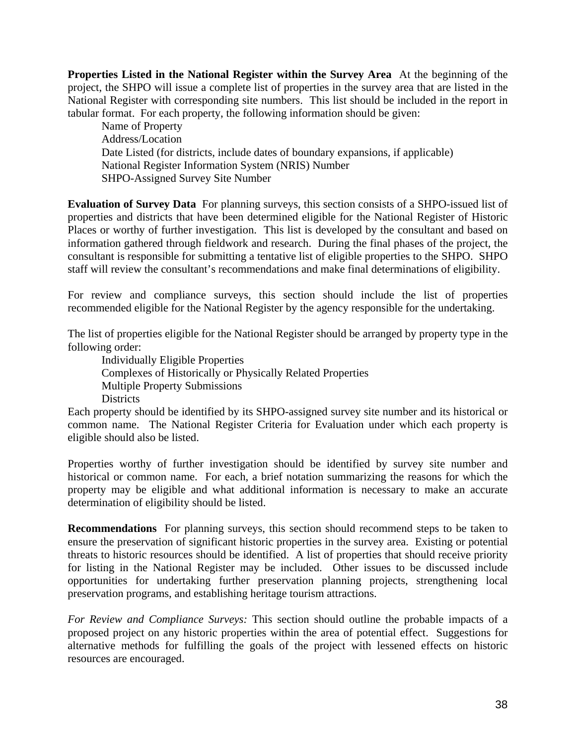**Properties Listed in the National Register within the Survey Area** At the beginning of the project, the SHPO will issue a complete list of properties in the survey area that are listed in the National Register with corresponding site numbers. This list should be included in the report in tabular format. For each property, the following information should be given:

Name of Property Address/Location Date Listed (for districts, include dates of boundary expansions, if applicable) National Register Information System (NRIS) Number SHPO-Assigned Survey Site Number

**Evaluation of Survey Data** For planning surveys, this section consists of a SHPO-issued list of properties and districts that have been determined eligible for the National Register of Historic Places or worthy of further investigation. This list is developed by the consultant and based on information gathered through fieldwork and research. During the final phases of the project, the consultant is responsible for submitting a tentative list of eligible properties to the SHPO. SHPO staff will review the consultant's recommendations and make final determinations of eligibility.

For review and compliance surveys, this section should include the list of properties recommended eligible for the National Register by the agency responsible for the undertaking.

The list of properties eligible for the National Register should be arranged by property type in the following order:

 Individually Eligible Properties Complexes of Historically or Physically Related Properties Multiple Property Submissions **Districts** 

Each property should be identified by its SHPO-assigned survey site number and its historical or common name. The National Register Criteria for Evaluation under which each property is eligible should also be listed.

Properties worthy of further investigation should be identified by survey site number and historical or common name. For each, a brief notation summarizing the reasons for which the property may be eligible and what additional information is necessary to make an accurate determination of eligibility should be listed.

**Recommendations** For planning surveys, this section should recommend steps to be taken to ensure the preservation of significant historic properties in the survey area. Existing or potential threats to historic resources should be identified. A list of properties that should receive priority for listing in the National Register may be included. Other issues to be discussed include opportunities for undertaking further preservation planning projects, strengthening local preservation programs, and establishing heritage tourism attractions.

*For Review and Compliance Surveys:* This section should outline the probable impacts of a proposed project on any historic properties within the area of potential effect. Suggestions for alternative methods for fulfilling the goals of the project with lessened effects on historic resources are encouraged.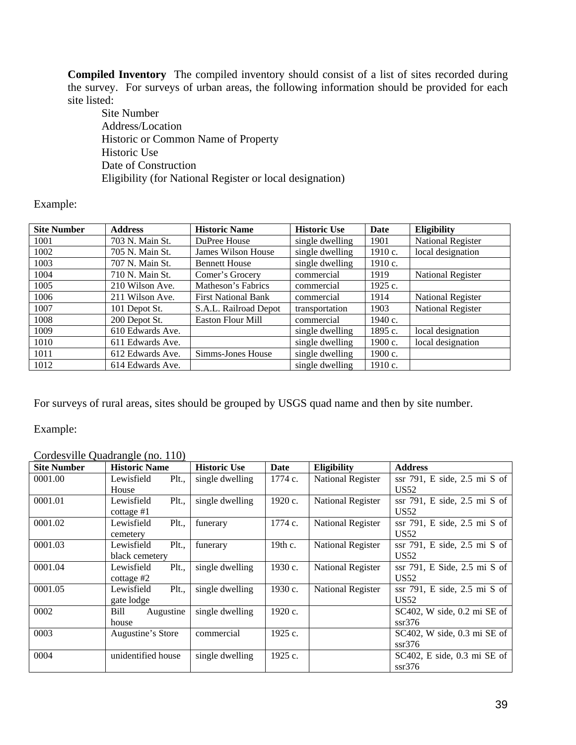**Compiled Inventory** The compiled inventory should consist of a list of sites recorded during the survey. For surveys of urban areas, the following information should be provided for each site listed:

 Site Number Address/Location Historic or Common Name of Property Historic Use Date of Construction Eligibility (for National Register or local designation)

# Example:

| <b>Site Number</b> | <b>Address</b>   | <b>Historic Name</b>       | <b>Historic Use</b> | Date      | <b>Eligibility</b>       |
|--------------------|------------------|----------------------------|---------------------|-----------|--------------------------|
| 1001               | 703 N. Main St.  | DuPree House               | single dwelling     | 1901      | <b>National Register</b> |
| 1002               | 705 N. Main St.  | James Wilson House         | single dwelling     | 1910 c.   | local designation        |
| 1003               | 707 N. Main St.  | <b>Bennett House</b>       | single dwelling     | 1910 c.   |                          |
| 1004               | 710 N. Main St.  | Comer's Grocery            | commercial          | 1919      | <b>National Register</b> |
| 1005               | 210 Wilson Ave.  | Matheson's Fabrics         | commercial          | 1925 c.   |                          |
| 1006               | 211 Wilson Ave.  | <b>First National Bank</b> | commercial          | 1914      | <b>National Register</b> |
| 1007               | 101 Depot St.    | S.A.L. Railroad Depot      | transportation      | 1903      | <b>National Register</b> |
| 1008               | 200 Depot St.    | <b>Easton Flour Mill</b>   | commercial          | 1940 c.   |                          |
| 1009               | 610 Edwards Ave. |                            | single dwelling     | 1895 c.   | local designation        |
| 1010               | 611 Edwards Ave. |                            | single dwelling     | 1900 c.   | local designation        |
| 1011               | 612 Edwards Ave. | Simms-Jones House          | single dwelling     | $1900c$ . |                          |
| 1012               | 614 Edwards Ave. |                            | single dwelling     | 1910c.    |                          |

For surveys of rural areas, sites should be grouped by USGS quad name and then by site number.

Example:

### Cordesville Quadrangle (no. 110)

| <b>Site Number</b> | <b>Historic Name</b>  | <b>Historic Use</b> | Date    | Eligibility              | <b>Address</b>                    |
|--------------------|-----------------------|---------------------|---------|--------------------------|-----------------------------------|
| 0001.00            | Lewisfield<br>$Plt$ . | single dwelling     | 1774 c. | <b>National Register</b> | ssr 791, E side, 2.5 mi S of      |
|                    | House                 |                     |         |                          | US52                              |
| 0001.01            | $Plt$<br>Lewisfield   | single dwelling     | 1920 c. | <b>National Register</b> | ssr 791, E side, 2.5 mi S of      |
|                    | cottage $#1$          |                     |         |                          | US52                              |
| 0001.02            | Plt.,<br>Lewisfield   | funerary            | 1774 c. | <b>National Register</b> | ssr 791, E side, 2.5 mi S of      |
|                    | cemetery              |                     |         |                          | US52                              |
| 0001.03            | Plt.,<br>Lewisfield   | funerary            | 19th c. | <b>National Register</b> | ssr $791$ , E side, $2.5$ mi S of |
|                    | black cemetery        |                     |         |                          | US52                              |
| 0001.04            | Plt.,<br>Lewisfield   | single dwelling     | 1930 c. | <b>National Register</b> | ssr 791, E Side, 2.5 mi S of      |
|                    | cottage $#2$          |                     |         |                          | US52                              |
| 0001.05            | $Plt$<br>Lewisfield   | single dwelling     | 1930 c. | <b>National Register</b> | ssr $791$ , E side, $2.5$ mi S of |
|                    | gate lodge            |                     |         |                          | US52                              |
| 0002               | Bill<br>Augustine     | single dwelling     | 1920 c. |                          | SC402, W side, 0.2 mi SE of       |
|                    | house                 |                     |         |                          | ssr376                            |
| 0003               | Augustine's Store     | commercial          | 1925 c. |                          | $SC402$ , W side, 0.3 mi SE of    |
|                    |                       |                     |         |                          | ssr376                            |
| 0004               | unidentified house    | single dwelling     | 1925 c. |                          | $SC402$ , E side, 0.3 mi SE of    |
|                    |                       |                     |         |                          | ssr376                            |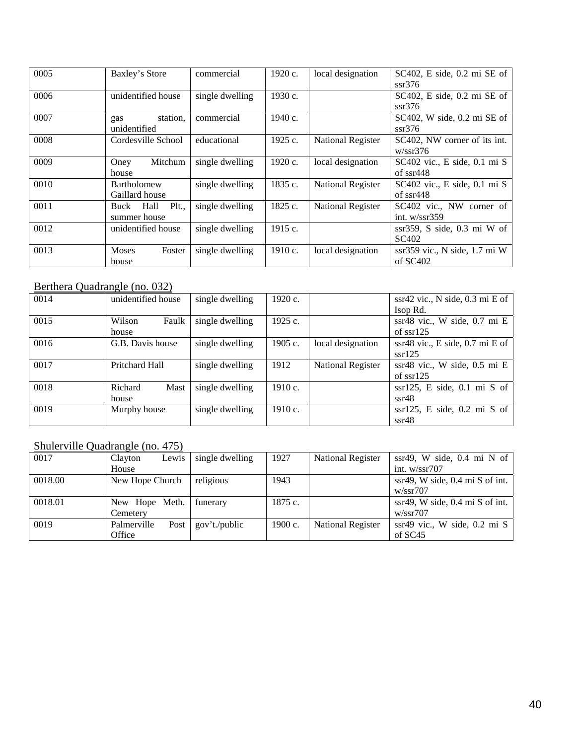| 0005 | Baxley's Store         | commercial      | 1920 c. | local designation        | $SC402$ , E side, 0.2 mi SE of |
|------|------------------------|-----------------|---------|--------------------------|--------------------------------|
|      |                        |                 |         |                          | ssr376                         |
| 0006 | unidentified house     | single dwelling | 1930 c. |                          | $SC402$ , E side, 0.2 mi SE of |
|      |                        |                 |         |                          | ssr376                         |
| 0007 | station.<br>gas        | commercial      | 1940 c. |                          | $SC402$ , W side, 0.2 mi SE of |
|      | unidentified           |                 |         |                          | ssr376                         |
| 0008 | Cordesville School     | educational     | 1925c.  | National Register        | SC402, NW corner of its int.   |
|      |                        |                 |         |                          | w/ssr376                       |
| 0009 | Mitchum<br>Oney        | single dwelling | 1920 c. | local designation        | SC402 vic., E side, 0.1 mi S   |
|      | house                  |                 |         |                          | of $s$ sr $448$                |
| 0010 | <b>Bartholomew</b>     | single dwelling | 1835 c. | <b>National Register</b> | $SC402$ vic., E side, 0.1 mi S |
|      | Gaillard house         |                 |         |                          | of $s$ sr $448$                |
| 0011 | Plt.<br>Buck Hall      | single dwelling | 1825 c. | <b>National Register</b> | SC402 vic., NW corner of       |
|      | summer house           |                 |         |                          | int. $w/ssr359$                |
| 0012 | unidentified house     | single dwelling | 1915 c. |                          | $ssr359$ , S side, 0.3 mi W of |
|      |                        |                 |         |                          | SC <sub>402</sub>              |
| 0013 | <b>Moses</b><br>Foster | single dwelling | 1910c.  | local designation        | ssr359 vic., N side, 1.7 mi W  |
|      | house                  |                 |         |                          | of $SC402$                     |

# Berthera Quadrangle (no. 032)

| 0014 | unidentified house | single dwelling | 1920c.  |                          | $ssr42$ vic., N side, 0.3 mi E of  |
|------|--------------------|-----------------|---------|--------------------------|------------------------------------|
|      |                    |                 |         |                          | Isop Rd.                           |
| 0015 | Wilson<br>Faulk    | single dwelling | 1925c.  |                          | ssr48 vic., W side, 0.7 mi E       |
|      | house              |                 |         |                          | of $sr125$                         |
| 0016 | G.B. Davis house   | single dwelling | 1905 c. | local designation        | $s$ sr48 vic., E side, 0.7 mi E of |
|      |                    |                 |         |                          | ssr125                             |
| 0017 | Pritchard Hall     | single dwelling | 1912    | <b>National Register</b> | ssr48 vic., W side, 0.5 mi E       |
|      |                    |                 |         |                          | of $sr125$                         |
| 0018 | Richard<br>Mast    | single dwelling | 1910c.  |                          | $sr125$ , E side, 0.1 mi S of      |
|      | house              |                 |         |                          | $s$ sr48                           |
| 0019 | Murphy house       | single dwelling | 1910c.  |                          | $sr125$ , E side, 0.2 mi S of      |
|      |                    |                 |         |                          | $ss + 48$                          |

# Shulerville Quadrangle (no. 475)

| 0017    | Lewis<br>Clayton    | single dwelling | 1927    | <b>National Register</b> | ssr49, W side, $0.4$ mi N of       |
|---------|---------------------|-----------------|---------|--------------------------|------------------------------------|
|         | House               |                 |         |                          | int. $w/ssr707$                    |
| 0018.00 | New Hope Church     | religious       | 1943    |                          | $sr49$ , W side, 0.4 mi S of int.  |
|         |                     |                 |         |                          | w/ssr707                           |
| 0018.01 | New Hope Meth.      | funerary        | 1875 c. |                          | $ssr49$ , W side, 0.4 mi S of int. |
|         | Cemetery            |                 |         |                          | w/ssr707                           |
| 0019    | Palmerville<br>Post | gov't./public   | 1900 c. | <b>National Register</b> | $ssr49$ vic., W side, 0.2 mi S     |
|         | Office              |                 |         |                          | of $SC45$                          |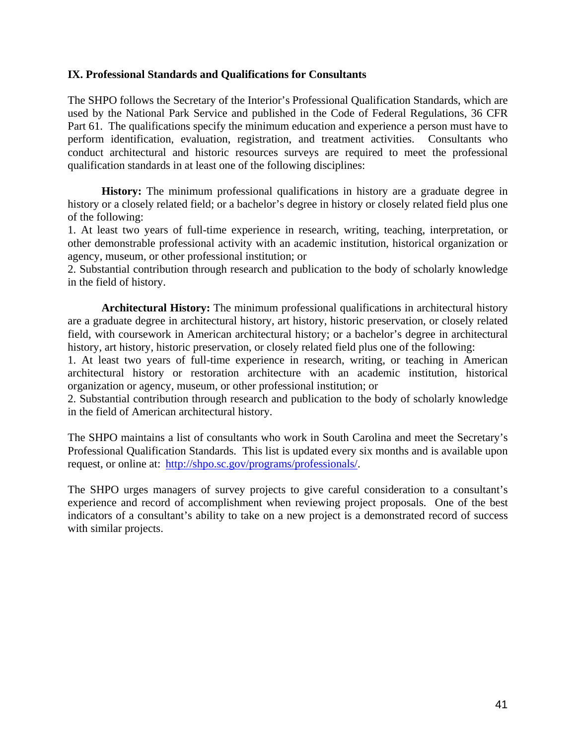### **IX. Professional Standards and Qualifications for Consultants**

The SHPO follows the Secretary of the Interior's Professional Qualification Standards, which are used by the National Park Service and published in the Code of Federal Regulations, 36 CFR Part 61. The qualifications specify the minimum education and experience a person must have to perform identification, evaluation, registration, and treatment activities. Consultants who conduct architectural and historic resources surveys are required to meet the professional qualification standards in at least one of the following disciplines:

**History:** The minimum professional qualifications in history are a graduate degree in history or a closely related field; or a bachelor's degree in history or closely related field plus one of the following:

1. At least two years of full-time experience in research, writing, teaching, interpretation, or other demonstrable professional activity with an academic institution, historical organization or agency, museum, or other professional institution; or

2. Substantial contribution through research and publication to the body of scholarly knowledge in the field of history.

**Architectural History:** The minimum professional qualifications in architectural history are a graduate degree in architectural history, art history, historic preservation, or closely related field, with coursework in American architectural history; or a bachelor's degree in architectural history, art history, historic preservation, or closely related field plus one of the following:

1. At least two years of full-time experience in research, writing, or teaching in American architectural history or restoration architecture with an academic institution, historical organization or agency, museum, or other professional institution; or

2. Substantial contribution through research and publication to the body of scholarly knowledge in the field of American architectural history.

The SHPO maintains a list of consultants who work in South Carolina and meet the Secretary's Professional Qualification Standards. This list is updated every six months and is available upon request, or online at: <http://shpo.sc.gov/programs/professionals/>.

The SHPO urges managers of survey projects to give careful consideration to a consultant's experience and record of accomplishment when reviewing project proposals. One of the best indicators of a consultant's ability to take on a new project is a demonstrated record of success with similar projects.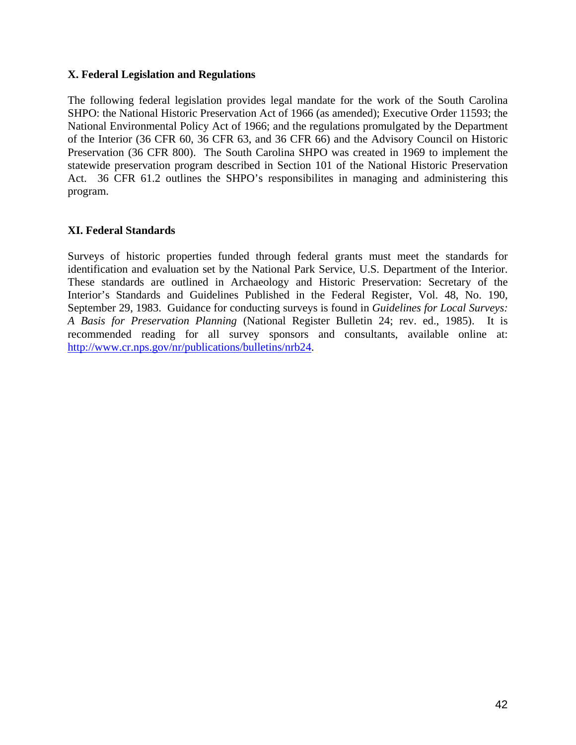# **X. Federal Legislation and Regulations**

The following federal legislation provides legal mandate for the work of the South Carolina SHPO: the National Historic Preservation Act of 1966 (as amended); Executive Order 11593; the National Environmental Policy Act of 1966; and the regulations promulgated by the Department of the Interior (36 CFR 60, 36 CFR 63, and 36 CFR 66) and the Advisory Council on Historic Preservation (36 CFR 800). The South Carolina SHPO was created in 1969 to implement the statewide preservation program described in Section 101 of the National Historic Preservation Act. 36 CFR 61.2 outlines the SHPO's responsibilites in managing and administering this program.

# **XI. Federal Standards**

Surveys of historic properties funded through federal grants must meet the standards for identification and evaluation set by the National Park Service, U.S. Department of the Interior. These standards are outlined in Archaeology and Historic Preservation: Secretary of the Interior's Standards and Guidelines Published in the Federal Register, Vol. 48, No. 190, September 29, 1983. Guidance for conducting surveys is found in *Guidelines for Local Surveys: A Basis for Preservation Planning* (National Register Bulletin 24; rev. ed., 1985). It is recommended reading for all survey sponsors and consultants, available online at: <http://www.cr.nps.gov/nr/publications/bulletins/nrb24>.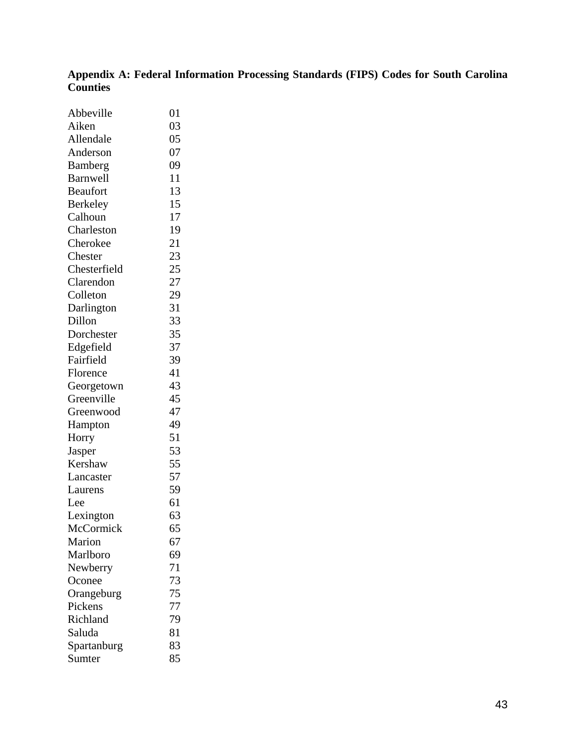# **Appendix A: Federal Information Processing Standards (FIPS) Codes for South Carolina Counties**

| Abbeville       | 01 |
|-----------------|----|
| Aiken           | 03 |
| Allendale       | 05 |
| Anderson        | 07 |
| Bamberg         | 09 |
| <b>Barnwell</b> | 11 |
| <b>Beaufort</b> | 13 |
| <b>Berkeley</b> | 15 |
| Calhoun         | 17 |
| Charleston      | 19 |
| Cherokee        | 21 |
| Chester         | 23 |
| Chesterfield    | 25 |
| Clarendon       | 27 |
| Colleton        | 29 |
| Darlington      | 31 |
| Dillon          | 33 |
| Dorchester      | 35 |
| Edgefield       | 37 |
| Fairfield       | 39 |
| Florence        | 41 |
| Georgetown      | 43 |
| Greenville      | 45 |
| Greenwood       | 47 |
| Hampton         | 49 |
| Horry           | 51 |
| Jasper          | 53 |
| Kershaw         | 55 |
| Lancaster       | 57 |
| Laurens         | 59 |
| Lee             | 61 |
| Lexington       | 63 |
| McCormick       | 65 |
| Marion          | 67 |
| Marlboro        | 69 |
| Newberry        | 71 |
| Oconee          | 73 |
| Orangeburg      | 75 |
| Pickens         | 77 |
| Richland        | 79 |
| Saluda          | 81 |
| Spartanburg     | 83 |
| Sumter          | 85 |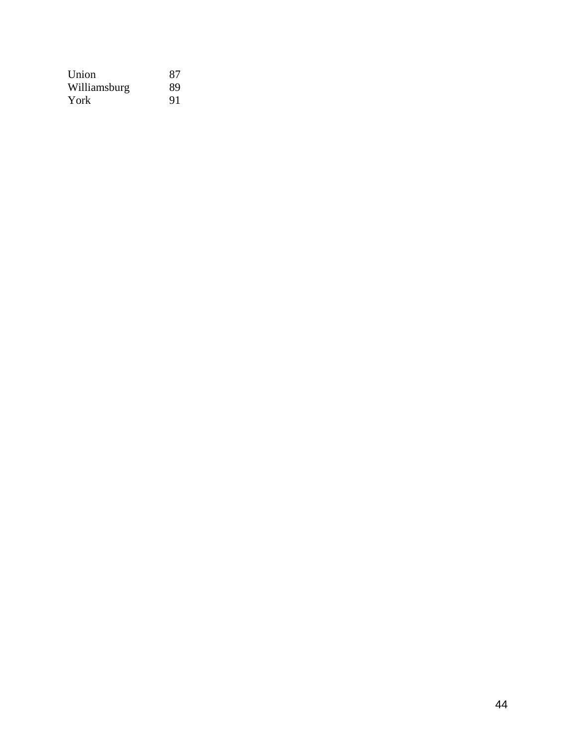| Union        | 87 |
|--------------|----|
| Williamsburg | 89 |
| York         | 91 |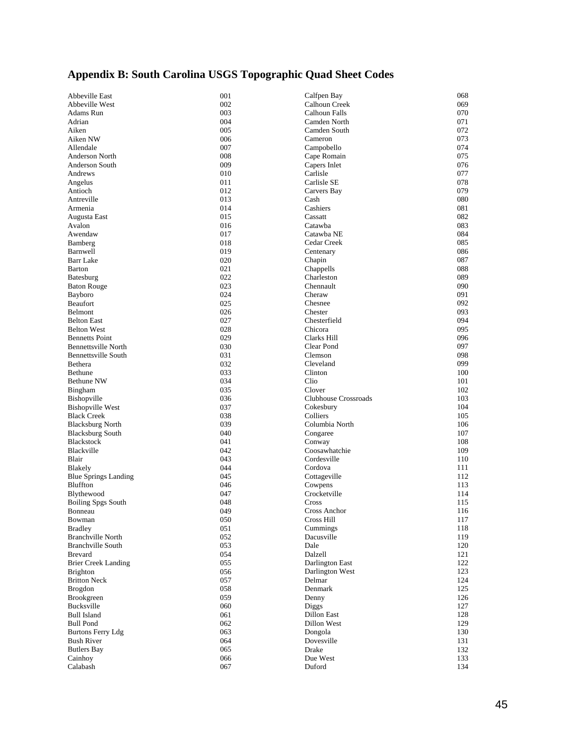# **Appendix B: South Carolina USGS Topographic Quad Sheet Codes**

| Abbeville East              | 001 | Calfpen Bay          | 068 |
|-----------------------------|-----|----------------------|-----|
| Abbeville West              | 002 | Calhoun Creek        | 069 |
| Adams Run                   | 003 | Calhoun Falls        | 070 |
| Adrian                      | 004 | Camden North         | 071 |
| Aiken                       | 005 | Camden South         | 072 |
| Aiken NW                    | 006 |                      | 073 |
|                             |     | Cameron              |     |
| Allendale                   | 007 | Campobello           | 074 |
| Anderson North              | 008 | Cape Romain          | 075 |
| Anderson South              | 009 | Capers Inlet         | 076 |
| Andrews                     | 010 | Carlisle             | 077 |
| Angelus                     | 011 | Carlisle SE          | 078 |
| Antioch                     | 012 | Carvers Bay          | 079 |
| Antreville                  | 013 | Cash                 | 080 |
| Armenia                     | 014 | Cashiers             | 081 |
| Augusta East                | 015 | Cassatt              | 082 |
| Avalon                      | 016 | Catawba              | 083 |
| Awendaw                     | 017 | Catawba NE           | 084 |
| Bamberg                     | 018 | Cedar Creek          | 085 |
| Barnwell                    | 019 |                      | 086 |
|                             |     | Centenary            |     |
| <b>Barr Lake</b>            | 020 | Chapin               | 087 |
| Barton                      | 021 | Chappells            | 088 |
| Batesburg                   | 022 | Charleston           | 089 |
| <b>Baton Rouge</b>          | 023 | Chennault            | 090 |
| Bayboro                     | 024 | Cheraw               | 091 |
| <b>Beaufort</b>             | 025 | Chesnee              | 092 |
| Belmont                     | 026 | Chester              | 093 |
| <b>Belton East</b>          | 027 | Chesterfield         | 094 |
| <b>Belton West</b>          | 028 | Chicora              | 095 |
| <b>Bennetts Point</b>       | 029 | Clarks Hill          | 096 |
| <b>Bennettsville North</b>  | 030 | Clear Pond           | 097 |
| <b>Bennettsville South</b>  | 031 | Clemson              | 098 |
|                             | 032 |                      |     |
| Bethera                     |     | Cleveland            | 099 |
| Bethune                     | 033 | Clinton              | 100 |
| Bethune NW                  | 034 | Clio                 | 101 |
| Bingham                     | 035 | Clover               | 102 |
| <b>Bishopville</b>          | 036 | Clubhouse Crossroads | 103 |
| <b>Bishopville West</b>     | 037 | Cokesbury            | 104 |
| <b>Black Creek</b>          | 038 | Colliers             | 105 |
| <b>Blacksburg North</b>     | 039 | Columbia North       | 106 |
| <b>Blacksburg South</b>     | 040 | Congaree             | 107 |
| Blackstock                  | 041 | Conway               | 108 |
| Blackville                  | 042 | Coosawhatchie        | 109 |
| Blair                       | 043 | Cordesville          | 110 |
| Blakely                     | 044 | Cordova              | 111 |
| <b>Blue Springs Landing</b> | 045 | Cottageville         | 112 |
| Bluffton                    | 046 | Cowpens              | 113 |
|                             |     |                      |     |
| Blythewood                  | 047 | Crocketville         | 114 |
| <b>Boiling Spgs South</b>   | 048 | Cross                | 115 |
| Bonneau                     | 049 | Cross Anchor         | 116 |
| Bowman                      | 050 | Cross Hill           | 117 |
| <b>Bradley</b>              | 051 | Cummings             | 118 |
| <b>Branchville North</b>    | 052 | Dacusville           | 119 |
| <b>Branchville South</b>    | 053 | Dale                 | 120 |
| <b>Brevard</b>              | 054 | Dalzell              | 121 |
| <b>Brier Creek Landing</b>  | 055 | Darlington East      | 122 |
| <b>Brighton</b>             | 056 | Darlington West      | 123 |
| <b>Britton Neck</b>         | 057 | Delmar               | 124 |
| <b>Brogdon</b>              | 058 | Denmark              | 125 |
| Brookgreen                  | 059 | Denny                | 126 |
| Bucksville                  | 060 | Diggs                | 127 |
|                             |     |                      |     |
| <b>Bull Island</b>          | 061 | Dillon East          | 128 |
| <b>Bull Pond</b>            | 062 | Dillon West          | 129 |
| <b>Burtons Ferry Ldg</b>    | 063 | Dongola              | 130 |
| <b>Bush River</b>           | 064 | Dovesville           | 131 |
| <b>Butlers Bay</b>          | 065 | Drake                | 132 |
| Cainhoy                     | 066 | Due West             | 133 |
| Calabash                    | 067 | Duford               | 134 |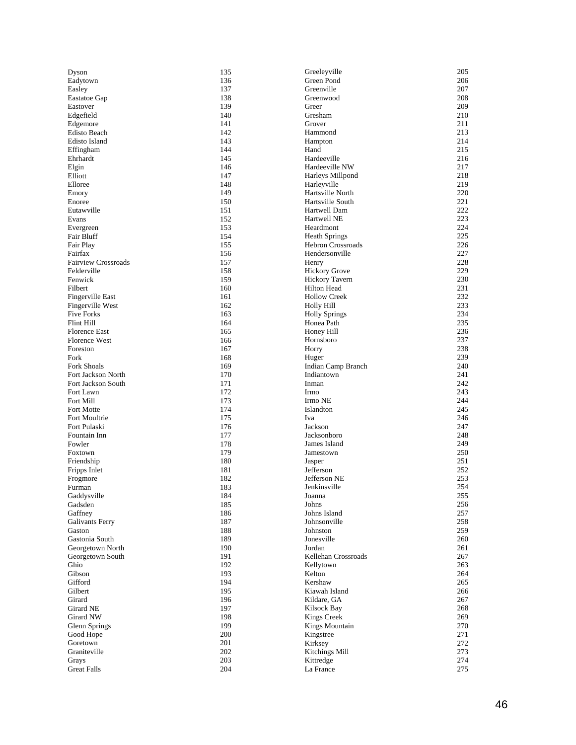| Dyson                      | 135 | Greeleyville             | 205 |
|----------------------------|-----|--------------------------|-----|
| Eadytown                   | 136 | Green Pond               | 206 |
| Easley                     | 137 | Greenville               | 207 |
| Eastatoe Gap               | 138 | Greenwood                | 208 |
| Eastover                   | 139 | Greer                    | 209 |
| Edgefield                  | 140 | Gresham                  | 210 |
| Edgemore                   | 141 | Grover                   | 211 |
| <b>Edisto Beach</b>        | 142 | Hammond                  | 213 |
| Edisto Island              | 143 | Hampton                  | 214 |
| Effingham                  | 144 | Hand                     | 215 |
| Ehrhardt                   | 145 | Hardeeville              | 216 |
| Elgin                      | 146 | Hardeeville NW           | 217 |
| Elliott                    | 147 | Harleys Millpond         | 218 |
| Elloree                    | 148 | Harleyville              | 219 |
| Emory                      | 149 | Hartsville North         | 220 |
| Enoree                     | 150 | Hartsville South         | 221 |
| Eutawville                 | 151 | Hartwell Dam             | 222 |
| Evans                      | 152 | Hartwell NE              | 223 |
| Evergreen                  | 153 | Heardmont                | 224 |
| Fair Bluff                 | 154 | <b>Heath Springs</b>     | 225 |
| Fair Play                  | 155 | <b>Hebron Crossroads</b> | 226 |
| Fairfax                    | 156 | Hendersonville           | 227 |
| <b>Fairview Crossroads</b> | 157 | Henry                    | 228 |
| Felderville                | 158 | <b>Hickory Grove</b>     | 229 |
| Fenwick                    | 159 | <b>Hickory Tavern</b>    | 230 |
| Filbert                    | 160 | Hilton Head              | 231 |
| Fingerville East           | 161 | <b>Hollow Creek</b>      | 232 |
| Fingerville West           | 162 | Holly Hill               | 233 |
| <b>Five Forks</b>          | 163 | <b>Holly Springs</b>     | 234 |
| Flint Hill                 | 164 | Honea Path               | 235 |
| <b>Florence East</b>       | 165 | Honey Hill               | 236 |
| <b>Florence West</b>       | 166 | Hornsboro                | 237 |
| Foreston                   | 167 | Horry                    | 238 |
| Fork                       | 168 | Huger                    | 239 |
| <b>Fork Shoals</b>         | 169 | Indian Camp Branch       | 240 |
| Fort Jackson North         | 170 | Indiantown               | 241 |
| Fort Jackson South         | 171 | Inman                    | 242 |
| Fort Lawn                  | 172 | Irmo                     | 243 |
| Fort Mill                  | 173 | Irmo NE                  | 244 |
| Fort Motte                 | 174 | Islandton                | 245 |
| Fort Moultrie              | 175 | Iva                      | 246 |
| Fort Pulaski               | 176 | Jackson                  | 247 |
| Fountain Inn               | 177 | Jacksonboro              | 248 |
| Fowler                     | 178 | James Island             | 249 |
| Foxtown                    | 179 | Jamestown                | 250 |
| Friendship                 | 180 | Jasper                   | 251 |
| Fripps Inlet               | 181 | Jefferson                | 252 |
| Frogmore                   | 182 | Jefferson NE             | 253 |
| Furman                     | 183 | Jenkinsville             | 254 |
| Gaddysville                | 184 | Joanna                   | 255 |
| Gadsden                    | 185 | Johns                    | 256 |
| Gaffney                    | 186 | Johns Island             | 257 |
| Galivants Ferry            | 187 | Johnsonville             | 258 |
| Gaston                     | 188 | Johnston                 | 259 |
| Gastonia South             | 189 | Jonesville               | 260 |
| Georgetown North           | 190 | Jordan                   | 261 |
| Georgetown South           | 191 | Kellehan Crossroads      | 267 |
| Ghio                       | 192 | Kellytown                | 263 |
| Gibson                     | 193 | Kelton                   | 264 |
| Gifford                    | 194 | Kershaw                  | 265 |
| Gilbert                    | 195 | Kiawah Island            | 266 |
| Girard                     | 196 | Kildare, GA              | 267 |
| Girard NE                  | 197 | Kilsock Bay              | 268 |
| Girard NW                  | 198 | Kings Creek              | 269 |
| Glenn Springs              | 199 | Kings Mountain           | 270 |
| Good Hope                  | 200 | Kingstree                | 271 |
| Goretown                   | 201 | Kirksey                  | 272 |
| Graniteville               | 202 | Kitchings Mill           | 273 |
| Grays                      | 203 | Kittredge                | 274 |
| <b>Great Falls</b>         | 204 | La France                | 275 |
|                            |     |                          |     |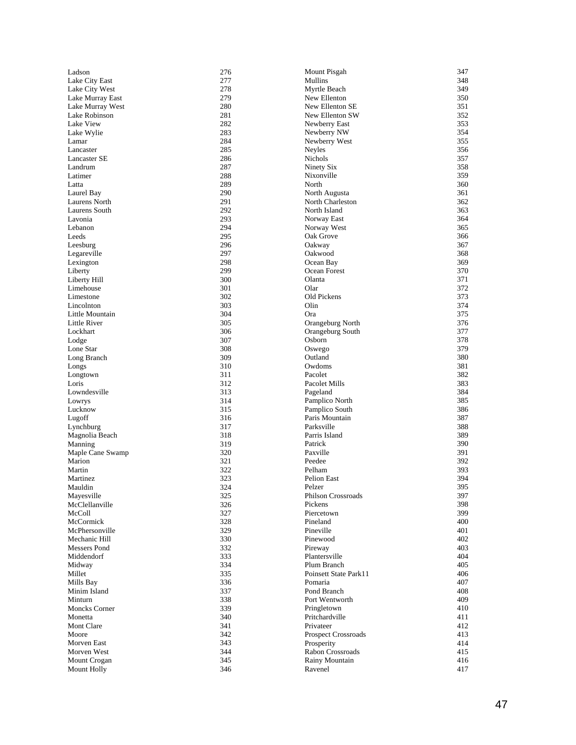| Ladson               | 276 | Mount Pisgah              | 347 |
|----------------------|-----|---------------------------|-----|
| Lake City East       | 277 | Mullins                   | 348 |
| Lake City West       | 278 | Myrtle Beach              | 349 |
| Lake Murray East     | 279 | New Ellenton              | 350 |
| Lake Murray West     | 280 | New Ellenton SE           | 351 |
| Lake Robinson        | 281 | New Ellenton SW           | 352 |
| Lake View            | 282 | Newberry East             | 353 |
| Lake Wylie           | 283 | Newberry NW               | 354 |
| Lamar                | 284 | Newberry West             | 355 |
| Lancaster            | 285 | Neyles                    | 356 |
| Lancaster SE         | 286 | Nichols                   | 357 |
| Landrum              | 287 | Ninety Six                | 358 |
| Latimer              | 288 | Nixonville                | 359 |
| Latta                | 289 | North                     | 360 |
| Laurel Bay           | 290 | North Augusta             | 361 |
| Laurens North        | 291 | North Charleston          | 362 |
| Laurens South        | 292 | North Island              | 363 |
| Lavonia              | 293 | Norway East               | 364 |
| Lebanon              | 294 | Norway West               | 365 |
| Leeds                | 295 | Oak Grove                 | 366 |
| Leesburg             | 296 | Oakway                    | 367 |
| Legareville          | 297 | Oakwood                   | 368 |
| Lexington            | 298 | Ocean Bay                 | 369 |
| Liberty              | 299 | Ocean Forest              | 370 |
| Liberty Hill         | 300 | Olanta                    | 371 |
| Limehouse            | 301 | Olar                      | 372 |
| Limestone            | 302 | Old Pickens               | 373 |
| Lincolnton           | 303 | Olin                      | 374 |
| Little Mountain      | 304 | Ora                       | 375 |
| Little River         | 305 | Orangeburg North          | 376 |
| Lockhart             | 306 | Orangeburg South          | 377 |
| Lodge                | 307 | Osborn                    | 378 |
| Lone Star            | 308 | Oswego                    | 379 |
| Long Branch          | 309 | Outland                   | 380 |
| Longs                | 310 | Owdoms                    | 381 |
| Longtown             | 311 | Pacolet                   | 382 |
| Loris                | 312 | Pacolet Mills             | 383 |
| Lowndesville         | 313 | Pageland                  | 384 |
| Lowrys               | 314 | Pamplico North            | 385 |
| Lucknow              | 315 | Pamplico South            | 386 |
| Lugoff               | 316 | Paris Mountain            | 387 |
| Lynchburg            | 317 | Parksville                | 388 |
| Magnolia Beach       | 318 | Parris Island             | 389 |
| Manning              | 319 | Patrick                   | 390 |
| Maple Cane Swamp     | 320 | Paxville                  | 391 |
| Marion               | 321 | Peedee                    | 392 |
| Martin               | 322 | Pelham                    | 393 |
| Martinez             | 323 | Pelion East               | 394 |
| Mauldin              | 324 | Pelzer                    | 395 |
| Mayesville           | 325 | <b>Philson Crossroads</b> | 397 |
| McClellanville       | 326 | Pickens                   | 398 |
| McColl               | 327 | Piercetown                | 399 |
| McCormick            | 328 | Pineland                  | 400 |
| McPhersonville       | 329 | Pineville                 | 401 |
| Mechanic Hill        | 330 | Pinewood                  | 402 |
| Messers Pond         | 332 | Pireway                   | 403 |
| Middendorf           | 333 | Plantersville             | 404 |
| Midway               | 334 | Plum Branch               | 405 |
| Millet               | 335 | Poinsett State Park11     | 406 |
| Mills Bay            | 336 | Pomaria                   | 407 |
| Minim Island         | 337 | Pond Branch               | 408 |
| Minturn              | 338 | Port Wentworth            | 409 |
| <b>Moncks Corner</b> | 339 | Pringletown               | 410 |
| Monetta              | 340 | Pritchardville            | 411 |
| Mont Clare           | 341 | Privateer                 | 412 |
| Moore                | 342 | Prospect Crossroads       | 413 |
| Morven East          | 343 | Prosperity                | 414 |
| Morven West          | 344 | Rabon Crossroads          | 415 |
| Mount Crogan         | 345 | Rainy Mountain            | 416 |
| Mount Holly          | 346 | Ravenel                   | 417 |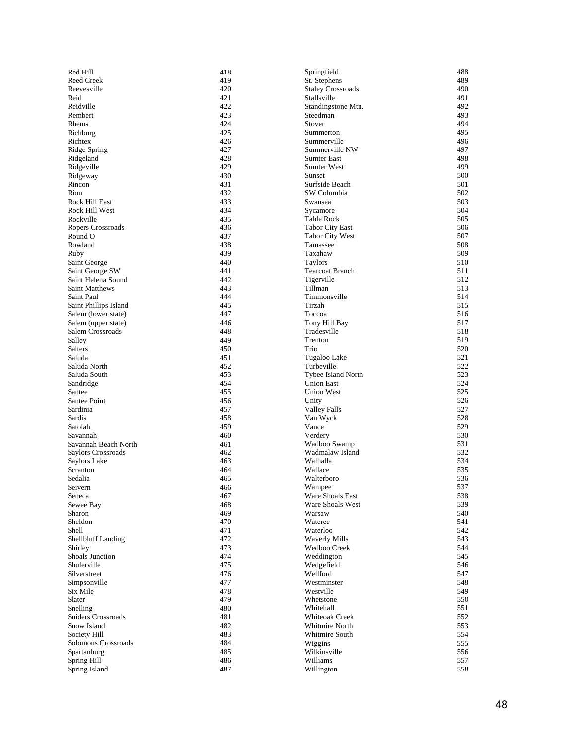| Red Hill                  | 418 | Springfield              | 488 |
|---------------------------|-----|--------------------------|-----|
| <b>Reed Creek</b>         | 419 | St. Stephens             | 489 |
| Reevesville               | 420 | <b>Staley Crossroads</b> | 490 |
| Reid                      | 421 | Stallsville              | 491 |
| Reidville                 | 422 | Standingstone Mtn.       | 492 |
| Rembert                   | 423 | Steedman                 | 493 |
| Rhems                     | 424 | Stover                   | 494 |
| Richburg                  | 425 | Summerton                | 495 |
| Richtex                   | 426 | Summerville              | 496 |
| Ridge Spring              | 427 | Summerville NW           | 497 |
| Ridgeland                 | 428 | Sumter East              | 498 |
| Ridgeville                | 429 | <b>Sumter West</b>       | 499 |
| Ridgeway                  | 430 | Sunset                   | 500 |
| Rincon                    | 431 | Surfside Beach           | 501 |
| Rion                      | 432 | SW Columbia              | 502 |
| Rock Hill East            | 433 | Swansea                  | 503 |
| Rock Hill West            | 434 | Sycamore                 | 504 |
| Rockville                 | 435 | <b>Table Rock</b>        | 505 |
| Ropers Crossroads         | 436 | <b>Tabor City East</b>   | 506 |
| Round O                   | 437 | <b>Tabor City West</b>   | 507 |
| Rowland                   | 438 | Tamassee                 | 508 |
| Ruby                      | 439 | Taxahaw                  | 509 |
| Saint George              | 440 | <b>Taylors</b>           | 510 |
| Saint George SW           | 441 | <b>Tearcoat Branch</b>   | 511 |
| Saint Helena Sound        | 442 | Tigerville               | 512 |
| <b>Saint Matthews</b>     | 443 | Tillman                  | 513 |
| Saint Paul                | 444 | Timmonsville             | 514 |
| Saint Phillips Island     | 445 | Tirzah                   | 515 |
| Salem (lower state)       | 447 | Toccoa                   | 516 |
| Salem (upper state)       | 446 | Tony Hill Bay            | 517 |
| Salem Crossroads          | 448 | Tradesville              | 518 |
| Salley                    | 449 | Trenton                  | 519 |
| Salters                   | 450 | Trio                     | 520 |
| Saluda                    | 451 | Tugaloo Lake             | 521 |
| Saluda North              | 452 | Turbeville               | 522 |
| Saluda South              | 453 | Tybee Island North       | 523 |
| Sandridge                 | 454 | <b>Union East</b>        | 524 |
| Santee                    | 455 | <b>Union West</b>        | 525 |
| Santee Point              | 456 | Unity                    | 526 |
| Sardinia                  | 457 | <b>Valley Falls</b>      | 527 |
| Sardis                    | 458 | Van Wyck                 | 528 |
| Satolah                   | 459 | Vance                    | 529 |
| Savannah                  | 460 | Verdery                  | 530 |
| Savannah Beach North      | 461 | Wadboo Swamp             | 531 |
| Saylors Crossroads        | 462 | Wadmalaw Island          | 532 |
| Saylors Lake              | 463 | Walhalla                 | 534 |
| Scranton                  | 464 | Wallace                  | 535 |
| Sedalia                   | 465 | Walterboro               | 536 |
| Seivern                   | 466 | Wampee                   | 537 |
| Seneca                    | 467 | Ware Shoals East         | 538 |
| Sewee Bay                 | 468 | Ware Shoals West         | 539 |
| Sharon                    | 469 | Warsaw                   | 540 |
| Sheldon                   | 470 | Wateree                  | 541 |
| Shell                     | 471 | Waterloo                 | 542 |
| <b>Shellbluff Landing</b> | 472 | <b>Waverly Mills</b>     | 543 |
| Shirley                   | 473 | <b>Wedboo Creek</b>      | 544 |
| Shoals Junction           | 474 | Weddington               | 545 |
| Shulerville               | 475 | Wedgefield               | 546 |
| Silverstreet              | 476 | Wellford                 | 547 |
| Simpsonville              | 477 | Westminster              | 548 |
| Six Mile                  | 478 | Westville                | 549 |
| Slater                    | 479 | Whetstone                | 550 |
| Snelling                  | 480 | Whitehall                | 551 |
| <b>Sniders Crossroads</b> | 481 | <b>Whiteoak Creek</b>    | 552 |
| Snow Island               | 482 | Whitmire North           | 553 |
| Society Hill              | 483 | Whitmire South           | 554 |
| Solomons Crossroads       | 484 | Wiggins                  | 555 |
| Spartanburg               | 485 | Wilkinsville             | 556 |
| Spring Hill               | 486 | Williams                 | 557 |
| Spring Island             | 487 | Willington               | 558 |
|                           |     |                          |     |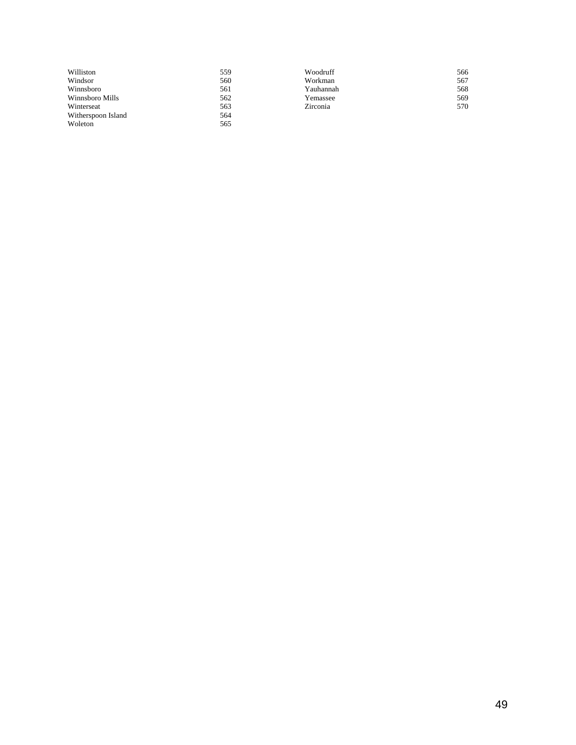| Williston          | 559 | Woodruff  | 566 |
|--------------------|-----|-----------|-----|
| Windsor            | 560 | Workman   | 567 |
| Winnsboro          | 561 | Yauhannah | 568 |
| Winnsboro Mills    | 562 | Yemassee  | 569 |
| Winterseat         | 563 | Zirconia  | 570 |
| Witherspoon Island | 564 |           |     |
| Woleton            | 565 |           |     |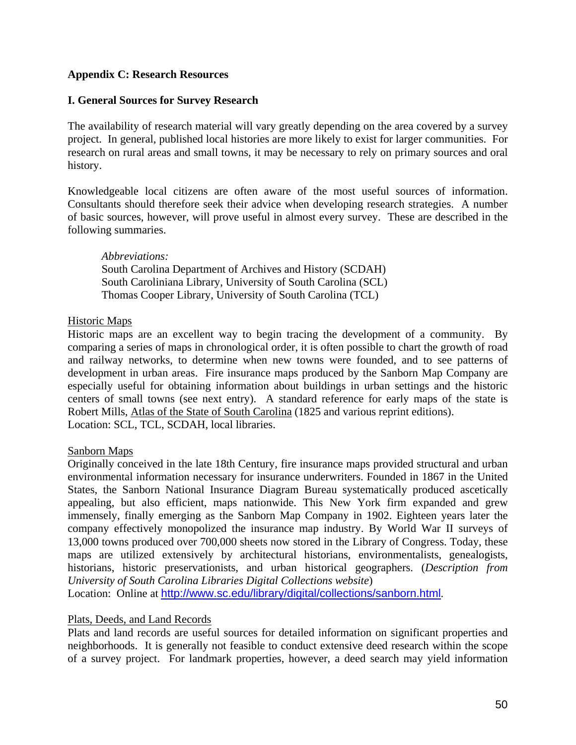# **Appendix C: Research Resources**

### **I. General Sources for Survey Research**

The availability of research material will vary greatly depending on the area covered by a survey project. In general, published local histories are more likely to exist for larger communities. For research on rural areas and small towns, it may be necessary to rely on primary sources and oral history.

Knowledgeable local citizens are often aware of the most useful sources of information. Consultants should therefore seek their advice when developing research strategies. A number of basic sources, however, will prove useful in almost every survey. These are described in the following summaries.

*Abbreviations:* South Carolina Department of Archives and History (SCDAH) South Caroliniana Library, University of South Carolina (SCL) Thomas Cooper Library, University of South Carolina (TCL)

### Historic Maps

Historic maps are an excellent way to begin tracing the development of a community. By comparing a series of maps in chronological order, it is often possible to chart the growth of road and railway networks, to determine when new towns were founded, and to see patterns of development in urban areas. Fire insurance maps produced by the Sanborn Map Company are especially useful for obtaining information about buildings in urban settings and the historic centers of small towns (see next entry). A standard reference for early maps of the state is Robert Mills, Atlas of the State of South Carolina (1825 and various reprint editions). Location: SCL, TCL, SCDAH, local libraries.

### Sanborn Maps

Originally conceived in the late 18th Century, fire insurance maps provided structural and urban environmental information necessary for insurance underwriters. Founded in 1867 in the United States, the Sanborn National Insurance Diagram Bureau systematically produced ascetically appealing, but also efficient, maps nationwide. This New York firm expanded and grew immensely, finally emerging as the Sanborn Map Company in 1902. Eighteen years later the company effectively monopolized the insurance map industry. By World War II surveys of 13,000 towns produced over 700,000 sheets now stored in the Library of Congress. Today, these maps are utilized extensively by architectural historians, environmentalists, genealogists, historians, historic preservationists, and urban historical geographers. (*Description from University of South Carolina Libraries Digital Collections website*)

Location: Online at <http://www.sc.edu/library/digital/collections/sanborn.html>.

### Plats, Deeds, and Land Records

Plats and land records are useful sources for detailed information on significant properties and neighborhoods. It is generally not feasible to conduct extensive deed research within the scope of a survey project. For landmark properties, however, a deed search may yield information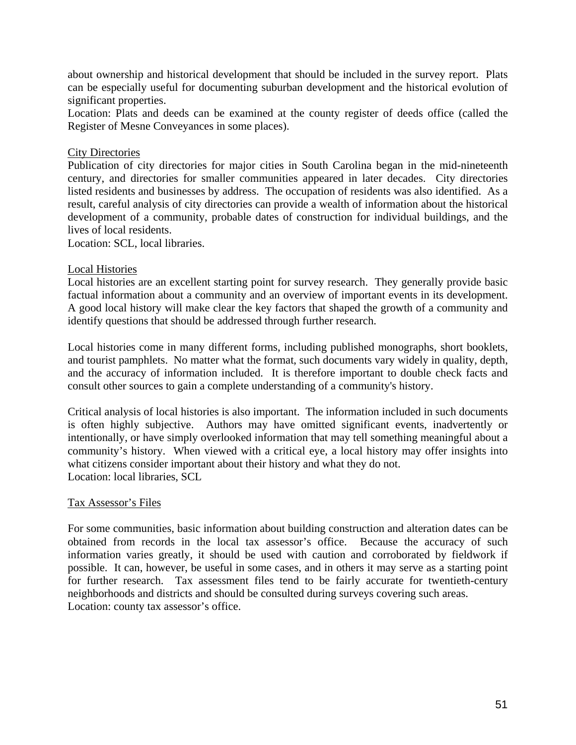about ownership and historical development that should be included in the survey report. Plats can be especially useful for documenting suburban development and the historical evolution of significant properties.

Location: Plats and deeds can be examined at the county register of deeds office (called the Register of Mesne Conveyances in some places).

# City Directories

Publication of city directories for major cities in South Carolina began in the mid-nineteenth century, and directories for smaller communities appeared in later decades. City directories listed residents and businesses by address. The occupation of residents was also identified. As a result, careful analysis of city directories can provide a wealth of information about the historical development of a community, probable dates of construction for individual buildings, and the lives of local residents.

Location: SCL, local libraries.

### Local Histories

Local histories are an excellent starting point for survey research. They generally provide basic factual information about a community and an overview of important events in its development. A good local history will make clear the key factors that shaped the growth of a community and identify questions that should be addressed through further research.

Local histories come in many different forms, including published monographs, short booklets, and tourist pamphlets. No matter what the format, such documents vary widely in quality, depth, and the accuracy of information included. It is therefore important to double check facts and consult other sources to gain a complete understanding of a community's history.

Critical analysis of local histories is also important. The information included in such documents is often highly subjective. Authors may have omitted significant events, inadvertently or intentionally, or have simply overlooked information that may tell something meaningful about a community's history. When viewed with a critical eye, a local history may offer insights into what citizens consider important about their history and what they do not. Location: local libraries, SCL

### Tax Assessor's Files

For some communities, basic information about building construction and alteration dates can be obtained from records in the local tax assessor's office. Because the accuracy of such information varies greatly, it should be used with caution and corroborated by fieldwork if possible. It can, however, be useful in some cases, and in others it may serve as a starting point for further research. Tax assessment files tend to be fairly accurate for twentieth-century neighborhoods and districts and should be consulted during surveys covering such areas. Location: county tax assessor's office.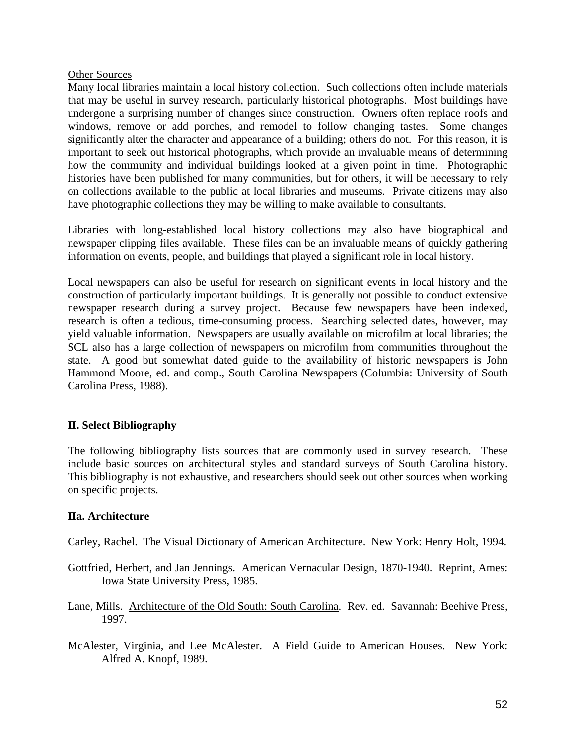#### Other Sources

Many local libraries maintain a local history collection. Such collections often include materials that may be useful in survey research, particularly historical photographs. Most buildings have undergone a surprising number of changes since construction. Owners often replace roofs and windows, remove or add porches, and remodel to follow changing tastes. Some changes significantly alter the character and appearance of a building; others do not. For this reason, it is important to seek out historical photographs, which provide an invaluable means of determining how the community and individual buildings looked at a given point in time. Photographic histories have been published for many communities, but for others, it will be necessary to rely on collections available to the public at local libraries and museums. Private citizens may also have photographic collections they may be willing to make available to consultants.

Libraries with long-established local history collections may also have biographical and newspaper clipping files available. These files can be an invaluable means of quickly gathering information on events, people, and buildings that played a significant role in local history.

Local newspapers can also be useful for research on significant events in local history and the construction of particularly important buildings. It is generally not possible to conduct extensive newspaper research during a survey project. Because few newspapers have been indexed, research is often a tedious, time-consuming process. Searching selected dates, however, may yield valuable information. Newspapers are usually available on microfilm at local libraries; the SCL also has a large collection of newspapers on microfilm from communities throughout the state. A good but somewhat dated guide to the availability of historic newspapers is John Hammond Moore, ed. and comp., South Carolina Newspapers (Columbia: University of South Carolina Press, 1988).

# **II. Select Bibliography**

The following bibliography lists sources that are commonly used in survey research. These include basic sources on architectural styles and standard surveys of South Carolina history. This bibliography is not exhaustive, and researchers should seek out other sources when working on specific projects.

### **IIa. Architecture**

Carley, Rachel. The Visual Dictionary of American Architecture. New York: Henry Holt, 1994.

- Gottfried, Herbert, and Jan Jennings. American Vernacular Design, 1870-1940. Reprint, Ames: Iowa State University Press, 1985.
- Lane, Mills. Architecture of the Old South: South Carolina. Rev. ed. Savannah: Beehive Press, 1997.
- McAlester, Virginia, and Lee McAlester. A Field Guide to American Houses. New York: Alfred A. Knopf, 1989.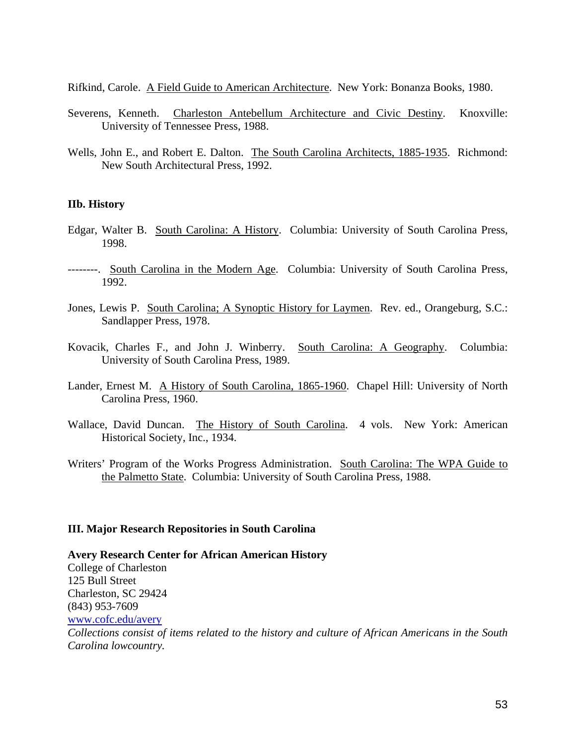Rifkind, Carole. A Field Guide to American Architecture. New York: Bonanza Books, 1980.

- Severens, Kenneth. Charleston Antebellum Architecture and Civic Destiny. Knoxville: University of Tennessee Press, 1988.
- Wells, John E., and Robert E. Dalton. The South Carolina Architects, 1885-1935. Richmond: New South Architectural Press, 1992.

#### **IIb. History**

- Edgar, Walter B. South Carolina: A History. Columbia: University of South Carolina Press, 1998.
- --------. South Carolina in the Modern Age. Columbia: University of South Carolina Press, 1992.
- Jones, Lewis P. South Carolina; A Synoptic History for Laymen. Rev. ed., Orangeburg, S.C.: Sandlapper Press, 1978.
- Kovacik, Charles F., and John J. Winberry. South Carolina: A Geography. Columbia: University of South Carolina Press, 1989.
- Lander, Ernest M. A History of South Carolina, 1865-1960. Chapel Hill: University of North Carolina Press, 1960.
- Wallace, David Duncan. The History of South Carolina. 4 vols. New York: American Historical Society, Inc., 1934.
- Writers' Program of the Works Progress Administration. South Carolina: The WPA Guide to the Palmetto State. Columbia: University of South Carolina Press, 1988.

#### **III. Major Research Repositories in South Carolina**

**Avery Research Center for African American History** College of Charleston 125 Bull Street Charleston, SC 29424 (843) 953-7609 [www.cofc.edu/avery](http://www.cofc.edu/avery) *Collections consist of items related to the history and culture of African Americans in the South Carolina lowcountry.*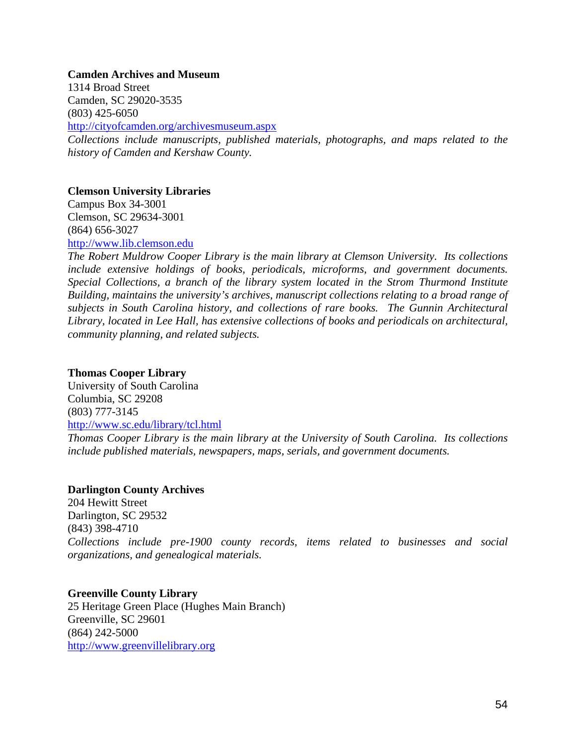#### **Camden Archives and Museum**

1314 Broad Street Camden, SC 29020-3535 (803) 425-6050 <http://cityofcamden.org/archivesmuseum.aspx> *Collections include manuscripts, published materials, photographs, and maps related to the history of Camden and Kershaw County.* 

### **Clemson University Libraries**

Campus Box 34-3001 Clemson, SC 29634-3001 (864) 656-3027 [http://www.lib.clemson.edu](http://www.lib.clemson.edu/) 

*The Robert Muldrow Cooper Library is the main library at Clemson University. Its collections include extensive holdings of books, periodicals, microforms, and government documents. Special Collections, a branch of the library system located in the Strom Thurmond Institute Building, maintains the university's archives, manuscript collections relating to a broad range of subjects in South Carolina history, and collections of rare books. The Gunnin Architectural Library, located in Lee Hall, has extensive collections of books and periodicals on architectural, community planning, and related subjects.* 

#### **Thomas Cooper Library**

University of South Carolina Columbia, SC 29208 (803) 777-3145 <http://www.sc.edu/library/tcl.html>

*Thomas Cooper Library is the main library at the University of South Carolina. Its collections include published materials, newspapers, maps, serials, and government documents.* 

#### **Darlington County Archives**

204 Hewitt Street Darlington, SC 29532 (843) 398-4710 *Collections include pre-1900 county records, items related to businesses and social organizations, and genealogical materials.* 

# **Greenville County Library**

25 Heritage Green Place (Hughes Main Branch) Greenville, SC 29601 (864) 242-5000 [http://www.greenvillelibrary.org](http://www.greenvillelibrary.org/)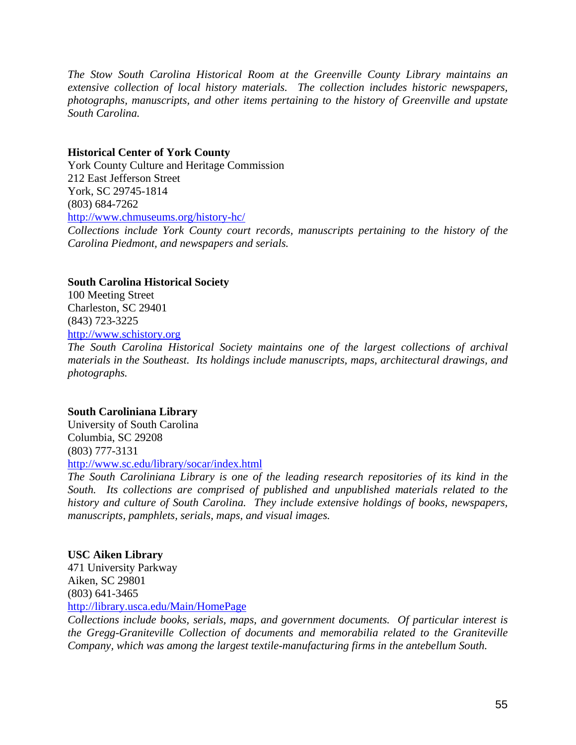*The Stow South Carolina Historical Room at the Greenville County Library maintains an extensive collection of local history materials. The collection includes historic newspapers, photographs, manuscripts, and other items pertaining to the history of Greenville and upstate South Carolina.* 

# **Historical Center of York County**

York County Culture and Heritage Commission 212 East Jefferson Street York, SC 29745-1814 (803) 684-7262 <http://www.chmuseums.org/history-hc/>

*Collections include York County court records, manuscripts pertaining to the history of the Carolina Piedmont, and newspapers and serials.* 

### **South Carolina Historical Society**

100 Meeting Street Charleston, SC 29401 (843) 723-3225 [http://www.schistory.org](http://www.schistory.org/)

*The South Carolina Historical Society maintains one of the largest collections of archival materials in the Southeast. Its holdings include manuscripts, maps, architectural drawings, and photographs.* 

# **South Caroliniana Library**

University of South Carolina Columbia, SC 29208 (803) 777-3131 <http://www.sc.edu/library/socar/index.html>

*The South Caroliniana Library is one of the leading research repositories of its kind in the South. Its collections are comprised of published and unpublished materials related to the history and culture of South Carolina. They include extensive holdings of books, newspapers, manuscripts, pamphlets, serials, maps, and visual images.* 

### **USC Aiken Library**

471 University Parkway Aiken, SC 29801 (803) 641-3465 <http://library.usca.edu/Main/HomePage>

*Collections include books, serials, maps, and government documents. Of particular interest is the Gregg-Graniteville Collection of documents and memorabilia related to the Graniteville Company, which was among the largest textile-manufacturing firms in the antebellum South.*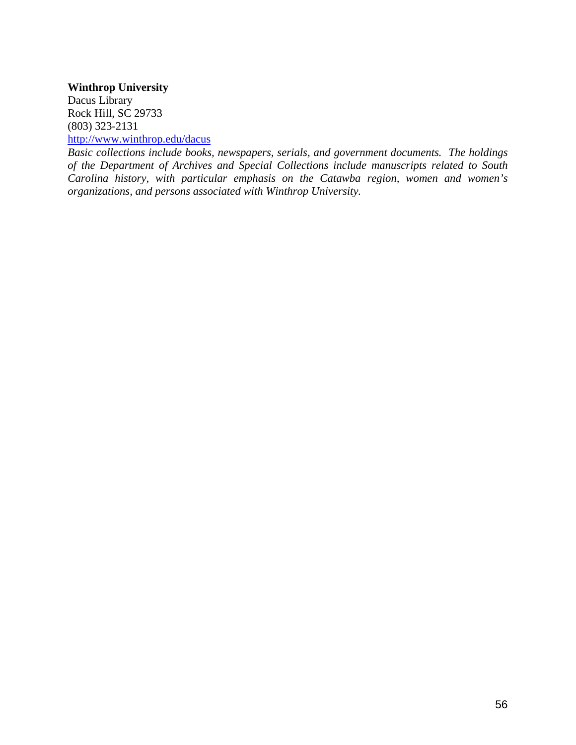# **Winthrop University**

Dacus Library Rock Hill, SC 29733 (803) 323-2131

<http://www.winthrop.edu/dacus>

*Basic collections include books, newspapers, serials, and government documents. The holdings of the Department of Archives and Special Collections include manuscripts related to South Carolina history, with particular emphasis on the Catawba region, women and women's organizations, and persons associated with Winthrop University.*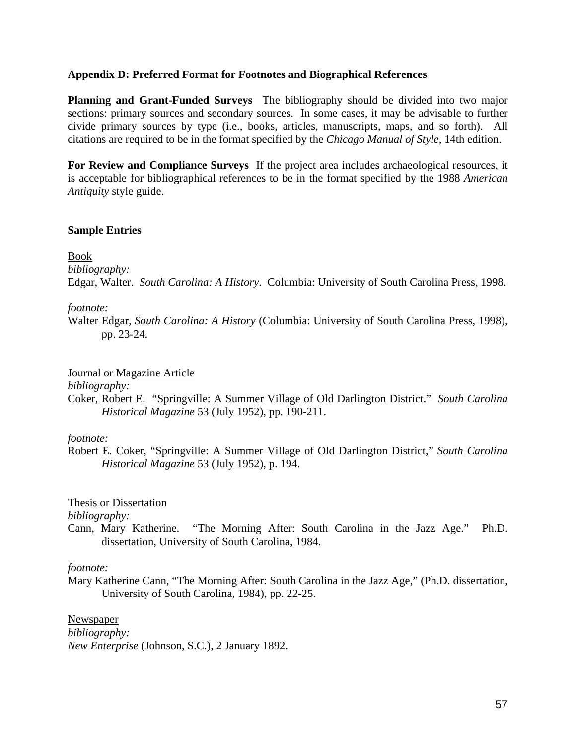### **Appendix D: Preferred Format for Footnotes and Biographical References**

**Planning and Grant-Funded Surveys** The bibliography should be divided into two major sections: primary sources and secondary sources. In some cases, it may be advisable to further divide primary sources by type (i.e., books, articles, manuscripts, maps, and so forth). All citations are required to be in the format specified by the *Chicago Manual of Style*, 14th edition.

**For Review and Compliance Surveys** If the project area includes archaeological resources, it is acceptable for bibliographical references to be in the format specified by the 1988 *American Antiquity* style guide.

# **Sample Entries**

### Book

*bibliography:* 

Edgar, Walter. *South Carolina: A History*. Columbia: University of South Carolina Press, 1998.

### *footnote:*

Walter Edgar, *South Carolina: A History* (Columbia: University of South Carolina Press, 1998), pp. 23-24.

Journal or Magazine Article

*bibliography:*

Coker, Robert E. "Springville: A Summer Village of Old Darlington District." *South Carolina Historical Magazine* 53 (July 1952), pp. 190-211.

### *footnote:*

Robert E. Coker, "Springville: A Summer Village of Old Darlington District," *South Carolina Historical Magazine* 53 (July 1952), p. 194.

Thesis or Dissertation

*bibliography:*

Cann, Mary Katherine. "The Morning After: South Carolina in the Jazz Age." Ph.D. dissertation, University of South Carolina, 1984.

### *footnote:*

Mary Katherine Cann, "The Morning After: South Carolina in the Jazz Age," (Ph.D. dissertation, University of South Carolina, 1984), pp. 22-25.

Newspaper *bibliography: New Enterprise* (Johnson, S.C.), 2 January 1892.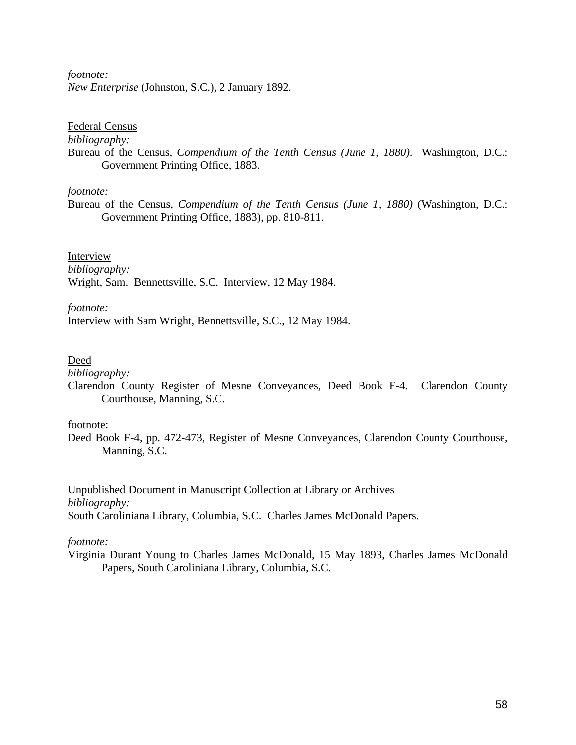# *footnote:*

*New Enterprise* (Johnston, S.C.), 2 January 1892.

#### Federal Census

*bibliography:* 

Bureau of the Census, *Compendium of the Tenth Census (June 1, 1880)*. Washington, D.C.: Government Printing Office, 1883.

### *footnote:*

Bureau of the Census, *Compendium of the Tenth Census (June 1, 1880)* (Washington, D.C.: Government Printing Office, 1883), pp. 810-811.

# Interview

*bibliography:*  Wright, Sam. Bennettsville, S.C. Interview, 12 May 1984.

### *footnote:*

Interview with Sam Wright, Bennettsville, S.C., 12 May 1984.

### Deed

*bibliography:* 

Clarendon County Register of Mesne Conveyances, Deed Book F-4. Clarendon County Courthouse, Manning, S.C.

#### footnote:

Deed Book F-4, pp. 472-473, Register of Mesne Conveyances, Clarendon County Courthouse, Manning, S.C.

Unpublished Document in Manuscript Collection at Library or Archives *bibliography:*  South Caroliniana Library, Columbia, S.C. Charles James McDonald Papers.

### *footnote:*

Virginia Durant Young to Charles James McDonald, 15 May 1893, Charles James McDonald Papers, South Caroliniana Library, Columbia, S.C.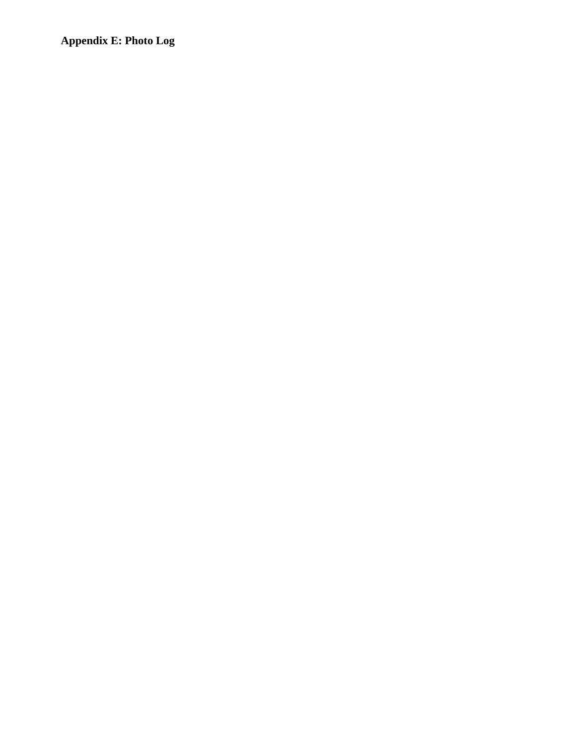**Appendix E: Photo Log**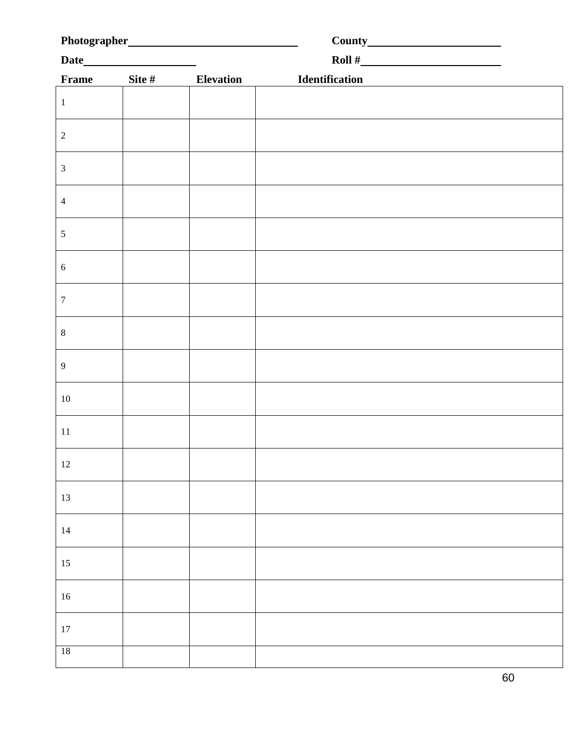| <b>Frame</b>     | Site # | Elevation | Identification<br>and the contract of the contract of the contract of the contract of the contract of the contract of the contract of the contract of the contract of the contract of the contract of the contract of the contra |  |  |  |
|------------------|--------|-----------|----------------------------------------------------------------------------------------------------------------------------------------------------------------------------------------------------------------------------------|--|--|--|
| $\,1\,$          |        |           |                                                                                                                                                                                                                                  |  |  |  |
| $\sqrt{2}$       |        |           |                                                                                                                                                                                                                                  |  |  |  |
| $\mathfrak{Z}$   |        |           |                                                                                                                                                                                                                                  |  |  |  |
| $\sqrt{4}$       |        |           |                                                                                                                                                                                                                                  |  |  |  |
| $\sqrt{5}$       |        |           |                                                                                                                                                                                                                                  |  |  |  |
| $\sqrt{6}$       |        |           |                                                                                                                                                                                                                                  |  |  |  |
| $\boldsymbol{7}$ |        |           |                                                                                                                                                                                                                                  |  |  |  |
| $\,8\,$          |        |           |                                                                                                                                                                                                                                  |  |  |  |
| 9                |        |           |                                                                                                                                                                                                                                  |  |  |  |
| $10\,$           |        |           |                                                                                                                                                                                                                                  |  |  |  |
| 11               |        |           |                                                                                                                                                                                                                                  |  |  |  |
| $12\,$           |        |           |                                                                                                                                                                                                                                  |  |  |  |
| $13\,$           |        |           |                                                                                                                                                                                                                                  |  |  |  |
| 14               |        |           |                                                                                                                                                                                                                                  |  |  |  |
| 15               |        |           |                                                                                                                                                                                                                                  |  |  |  |
| $16\,$           |        |           |                                                                                                                                                                                                                                  |  |  |  |
| $17\,$           |        |           |                                                                                                                                                                                                                                  |  |  |  |
| $18\,$           |        |           |                                                                                                                                                                                                                                  |  |  |  |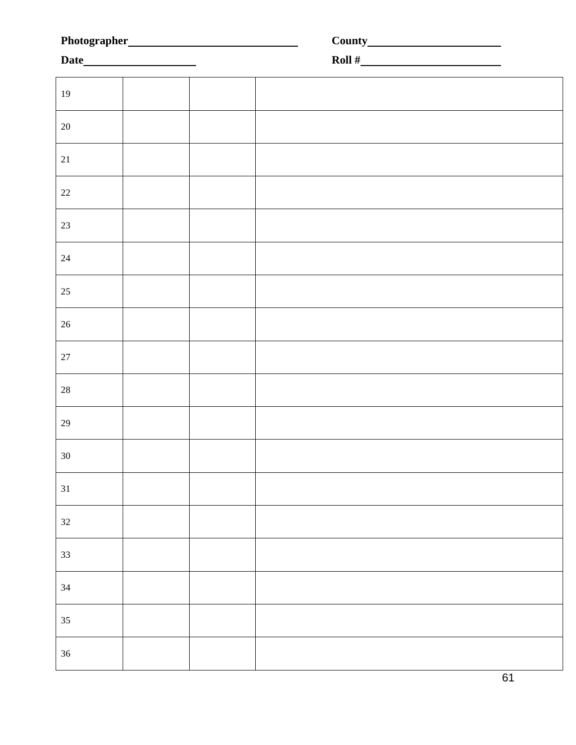|        |  | Roll $#$ |  |
|--------|--|----------|--|
|        |  |          |  |
| 19     |  |          |  |
| 20     |  |          |  |
| $21\,$ |  |          |  |
| $22\,$ |  |          |  |
| $23\,$ |  |          |  |
| $24\,$ |  |          |  |
| $25\,$ |  |          |  |
| 26     |  |          |  |
| $27\,$ |  |          |  |
| $28\,$ |  |          |  |
| $29\,$ |  |          |  |
| $30\,$ |  |          |  |
| 31     |  |          |  |
| $32\,$ |  |          |  |
| 33     |  |          |  |
| 34     |  |          |  |
| $35\,$ |  |          |  |
| $36\,$ |  |          |  |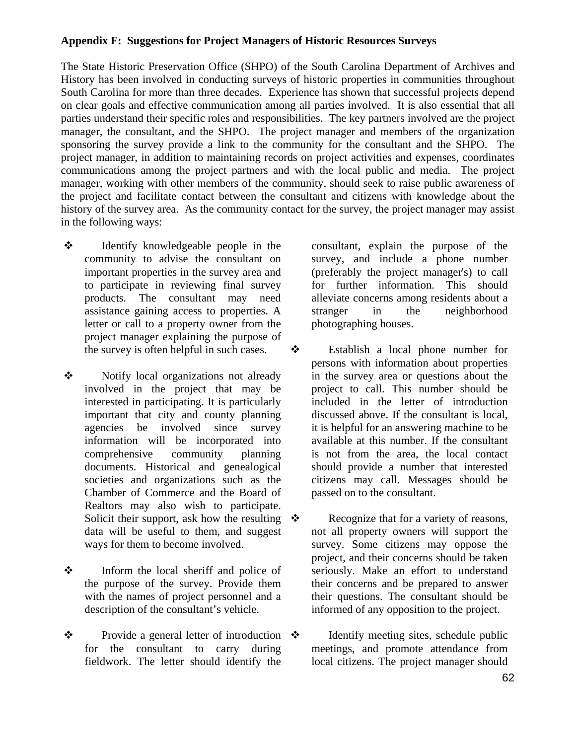# **Appendix F: Suggestions for Project Managers of Historic Resources Surveys**

The State Historic Preservation Office (SHPO) of the South Carolina Department of Archives and History has been involved in conducting surveys of historic properties in communities throughout South Carolina for more than three decades. Experience has shown that successful projects depend on clear goals and effective communication among all parties involved. It is also essential that all parties understand their specific roles and responsibilities. The key partners involved are the project manager, the consultant, and the SHPO. The project manager and members of the organization sponsoring the survey provide a link to the community for the consultant and the SHPO. The project manager, in addition to maintaining records on project activities and expenses, coordinates communications among the project partners and with the local public and media. The project manager, working with other members of the community, should seek to raise public awareness of the project and facilitate contact between the consultant and citizens with knowledge about the history of the survey area. As the community contact for the survey, the project manager may assist in the following ways:

- Identify knowledgeable people in the community to advise the consultant on important properties in the survey area and to participate in reviewing final survey products. The consultant may need assistance gaining access to properties. A letter or call to a property owner from the project manager explaining the purpose of the survey is often helpful in such cases.
- Notify local organizations not already involved in the project that may be interested in participating. It is particularly important that city and county planning agencies be involved since survey information will be incorporated into comprehensive community planning documents. Historical and genealogical societies and organizations such as the Chamber of Commerce and the Board of Realtors may also wish to participate. Solicit their support, ask how the resulting  $\cdot$ data will be useful to them, and suggest ways for them to become involved.
- $\triangle$  Inform the local sheriff and police of the purpose of the survey. Provide them with the names of project personnel and a description of the consultant's vehicle.
- $\mathbf{\hat{\cdot}}$  Provide a general letter of introduction  $\mathbf{\hat{\cdot}}$ for the consultant to carry during fieldwork. The letter should identify the

consultant, explain the purpose of the survey, and include a phone number (preferably the project manager's) to call for further information. This should alleviate concerns among residents about a stranger in the neighborhood photographing houses.

- Establish a local phone number for persons with information about properties in the survey area or questions about the project to call. This number should be included in the letter of introduction discussed above. If the consultant is local, it is helpful for an answering machine to be available at this number. If the consultant is not from the area, the local contact should provide a number that interested citizens may call. Messages should be passed on to the consultant.
	- Recognize that for a variety of reasons, not all property owners will support the survey. Some citizens may oppose the project, and their concerns should be taken seriously. Make an effort to understand their concerns and be prepared to answer their questions. The consultant should be informed of any opposition to the project.
	- Identify meeting sites, schedule public meetings, and promote attendance from local citizens. The project manager should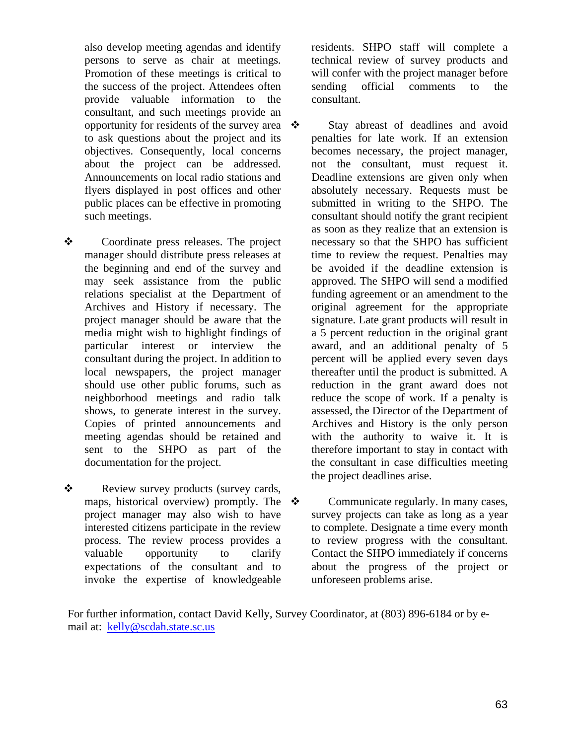also develop meeting agendas and identify persons to serve as chair at meetings. Promotion of these meetings is critical to the success of the project. Attendees often provide valuable information to the consultant, and such meetings provide an opportunity for residents of the survey area  $\cdot$ to ask questions about the project and its objectives. Consequently, local concerns about the project can be addressed. Announcements on local radio stations and flyers displayed in post offices and other public places can be effective in promoting such meetings.

- Coordinate press releases. The project manager should distribute press releases at the beginning and end of the survey and may seek assistance from the public relations specialist at the Department of Archives and History if necessary. The project manager should be aware that the media might wish to highlight findings of particular interest or interview the consultant during the project. In addition to local newspapers, the project manager should use other public forums, such as neighborhood meetings and radio talk shows, to generate interest in the survey. Copies of printed announcements and meeting agendas should be retained and sent to the SHPO as part of the documentation for the project.
- \* Review survey products (survey cards, maps, historical overview) promptly. The  $\cdot$ project manager may also wish to have interested citizens participate in the review process. The review process provides a valuable opportunity to clarify expectations of the consultant and to invoke the expertise of knowledgeable

residents. SHPO staff will complete a technical review of survey products and will confer with the project manager before sending official comments to the consultant.

 Stay abreast of deadlines and avoid penalties for late work. If an extension becomes necessary, the project manager, not the consultant, must request it. Deadline extensions are given only when absolutely necessary. Requests must be submitted in writing to the SHPO. The consultant should notify the grant recipient as soon as they realize that an extension is necessary so that the SHPO has sufficient time to review the request. Penalties may be avoided if the deadline extension is approved. The SHPO will send a modified funding agreement or an amendment to the original agreement for the appropriate signature. Late grant products will result in a 5 percent reduction in the original grant award, and an additional penalty of 5 percent will be applied every seven days thereafter until the product is submitted. A reduction in the grant award does not reduce the scope of work. If a penalty is assessed, the Director of the Department of Archives and History is the only person with the authority to waive it. It is therefore important to stay in contact with the consultant in case difficulties meeting the project deadlines arise.

 Communicate regularly. In many cases, survey projects can take as long as a year to complete. Designate a time every month to review progress with the consultant. Contact the SHPO immediately if concerns about the progress of the project or unforeseen problems arise.

For further information, contact David Kelly, Survey Coordinator, at (803) 896-6184 or by email at: [kelly@scdah.state.sc.us](mailto:kelly@scdah.state.sc.us)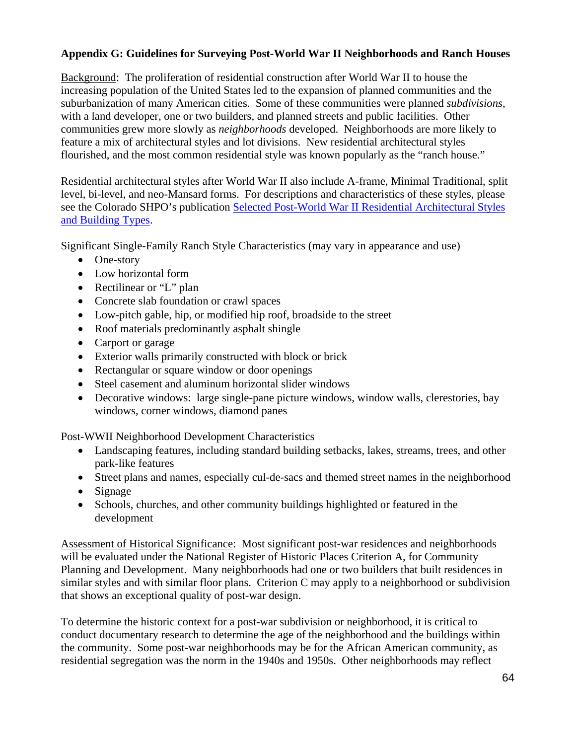# **Appendix G: Guidelines for Surveying Post-World War II Neighborhoods and Ranch Houses**

Background: The proliferation of residential construction after World War II to house the increasing population of the United States led to the expansion of planned communities and the suburbanization of many American cities. Some of these communities were planned *subdivisions*, with a land developer, one or two builders, and planned streets and public facilities. Other communities grew more slowly as *neighborhoods* developed. Neighborhoods are more likely to feature a mix of architectural styles and lot divisions. New residential architectural styles flourished, and the most common residential style was known popularly as the "ranch house."

Residential architectural styles after World War II also include A-frame, Minimal Traditional, split level, bi-level, and neo-Mansard forms. For descriptions and characteristics of these styles, please see the Colorado SHPO's publication [Selected Post-World War II Residential Architectural Styles](http://www.historycolorado.org/oahp/post-world-war-ii-documents)  [and Building Types](http://www.historycolorado.org/oahp/post-world-war-ii-documents).

Significant Single-Family Ranch Style Characteristics (may vary in appearance and use)

- One-story
- Low horizontal form
- Rectilinear or "L" plan
- Concrete slab foundation or crawl spaces
- Low-pitch gable, hip, or modified hip roof, broadside to the street
- Roof materials predominantly asphalt shingle
- Carport or garage
- Exterior walls primarily constructed with block or brick
- Rectangular or square window or door openings
- Steel casement and aluminum horizontal slider windows
- Decorative windows: large single-pane picture windows, window walls, clerestories, bay windows, corner windows, diamond panes

Post-WWII Neighborhood Development Characteristics

- Landscaping features, including standard building setbacks, lakes, streams, trees, and other park-like features
- Street plans and names, especially cul-de-sacs and themed street names in the neighborhood
- Signage
- Schools, churches, and other community buildings highlighted or featured in the development

Assessment of Historical Significance: Most significant post-war residences and neighborhoods will be evaluated under the National Register of Historic Places Criterion A, for Community Planning and Development. Many neighborhoods had one or two builders that built residences in similar styles and with similar floor plans. Criterion C may apply to a neighborhood or subdivision that shows an exceptional quality of post-war design.

To determine the historic context for a post-war subdivision or neighborhood, it is critical to conduct documentary research to determine the age of the neighborhood and the buildings within the community. Some post-war neighborhoods may be for the African American community, as residential segregation was the norm in the 1940s and 1950s. Other neighborhoods may reflect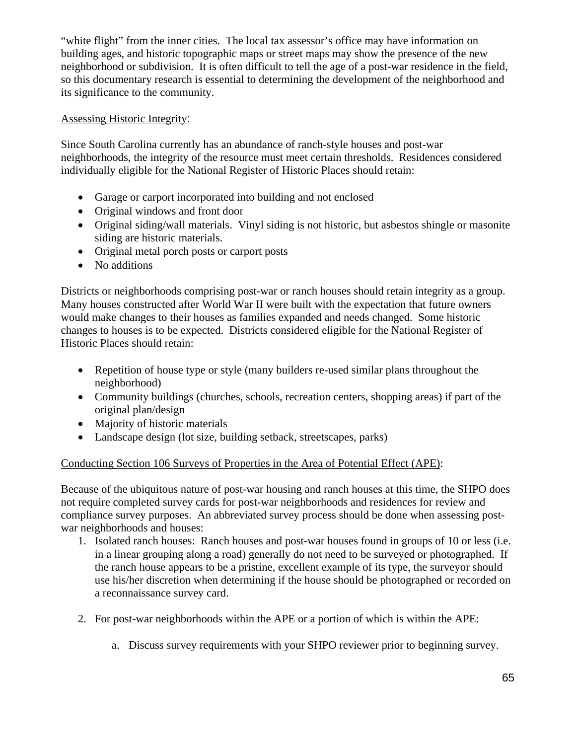"white flight" from the inner cities. The local tax assessor's office may have information on building ages, and historic topographic maps or street maps may show the presence of the new neighborhood or subdivision. It is often difficult to tell the age of a post-war residence in the field, so this documentary research is essential to determining the development of the neighborhood and its significance to the community.

# Assessing Historic Integrity:

Since South Carolina currently has an abundance of ranch-style houses and post-war neighborhoods, the integrity of the resource must meet certain thresholds. Residences considered individually eligible for the National Register of Historic Places should retain:

- Garage or carport incorporated into building and not enclosed
- Original windows and front door
- Original siding/wall materials. Vinyl siding is not historic, but asbestos shingle or masonite siding are historic materials.
- Original metal porch posts or carport posts
- No additions

Districts or neighborhoods comprising post-war or ranch houses should retain integrity as a group. Many houses constructed after World War II were built with the expectation that future owners would make changes to their houses as families expanded and needs changed. Some historic changes to houses is to be expected. Districts considered eligible for the National Register of Historic Places should retain:

- Repetition of house type or style (many builders re-used similar plans throughout the neighborhood)
- Community buildings (churches, schools, recreation centers, shopping areas) if part of the original plan/design
- Majority of historic materials
- Landscape design (lot size, building setback, streetscapes, parks)

# Conducting Section 106 Surveys of Properties in the Area of Potential Effect (APE):

Because of the ubiquitous nature of post-war housing and ranch houses at this time, the SHPO does not require completed survey cards for post-war neighborhoods and residences for review and compliance survey purposes. An abbreviated survey process should be done when assessing postwar neighborhoods and houses:

- 1. Isolated ranch houses: Ranch houses and post-war houses found in groups of 10 or less (i.e. in a linear grouping along a road) generally do not need to be surveyed or photographed. If the ranch house appears to be a pristine, excellent example of its type, the surveyor should use his/her discretion when determining if the house should be photographed or recorded on a reconnaissance survey card.
- 2. For post-war neighborhoods within the APE or a portion of which is within the APE:
	- a. Discuss survey requirements with your SHPO reviewer prior to beginning survey.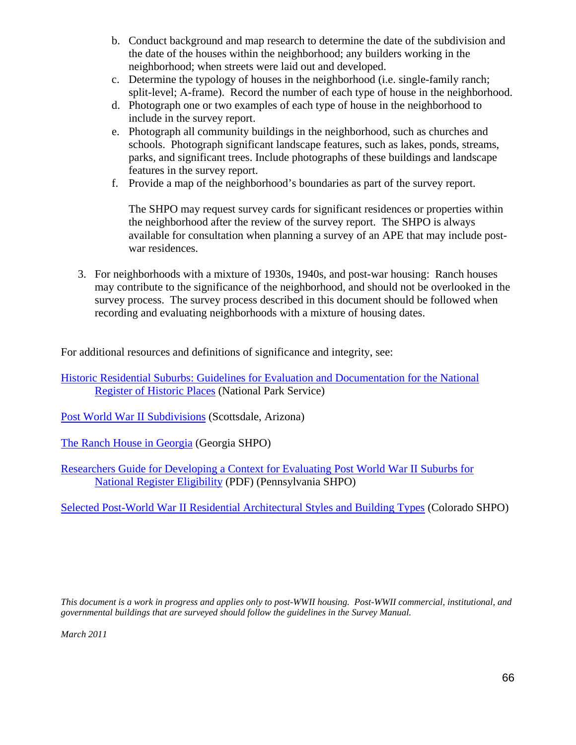- b. Conduct background and map research to determine the date of the subdivision and the date of the houses within the neighborhood; any builders working in the neighborhood; when streets were laid out and developed.
- c. Determine the typology of houses in the neighborhood (i.e. single-family ranch; split-level; A-frame). Record the number of each type of house in the neighborhood.
- d. Photograph one or two examples of each type of house in the neighborhood to include in the survey report.
- e. Photograph all community buildings in the neighborhood, such as churches and schools. Photograph significant landscape features, such as lakes, ponds, streams, parks, and significant trees. Include photographs of these buildings and landscape features in the survey report.
- f. Provide a map of the neighborhood's boundaries as part of the survey report.

The SHPO may request survey cards for significant residences or properties within the neighborhood after the review of the survey report. The SHPO is always available for consultation when planning a survey of an APE that may include postwar residences.

3. For neighborhoods with a mixture of 1930s, 1940s, and post-war housing: Ranch houses may contribute to the significance of the neighborhood, and should not be overlooked in the survey process. The survey process described in this document should be followed when recording and evaluating neighborhoods with a mixture of housing dates.

For additional resources and definitions of significance and integrity, see:

[Historic Residential Suburbs: Guidelines for Evaluation and Documentation for the National](http://www.cr.nps.gov/nr/publications/bulletins/suburbs/)  [Register of Historic Places](http://www.cr.nps.gov/nr/publications/bulletins/suburbs/) (National Park Service)

[Post World War II Subdivisions](http://www.scottsdaleaz.gov/historiczoning/neighborhoods) (Scottsdale, Arizona)

[The Ranch House in Georgia](http://www.gashpo.org/content/displaycontent.asp?txtDocument=434) (Georgia SHPO)

[Researchers Guide for Developing a Context for Evaluating Post World War II Suburbs for](http://www.portal.state.pa.us/portal/server.pt/document/913635/pws_researchers_guide_pdf)  [National Register Eligibility](http://www.portal.state.pa.us/portal/server.pt/document/913635/pws_researchers_guide_pdf) (PDF) (Pennsylvania SHPO)

[Selected Post-World War II Residential Architectural Styles and Building Types](http://www.historycolorado.org/oahp/post-world-war-ii-documents) (Colorado SHPO)

*This document is a work in progress and applies only to post-WWII housing. Post-WWII commercial, institutional, and governmental buildings that are surveyed should follow the guidelines in the Survey Manual.* 

*March 2011*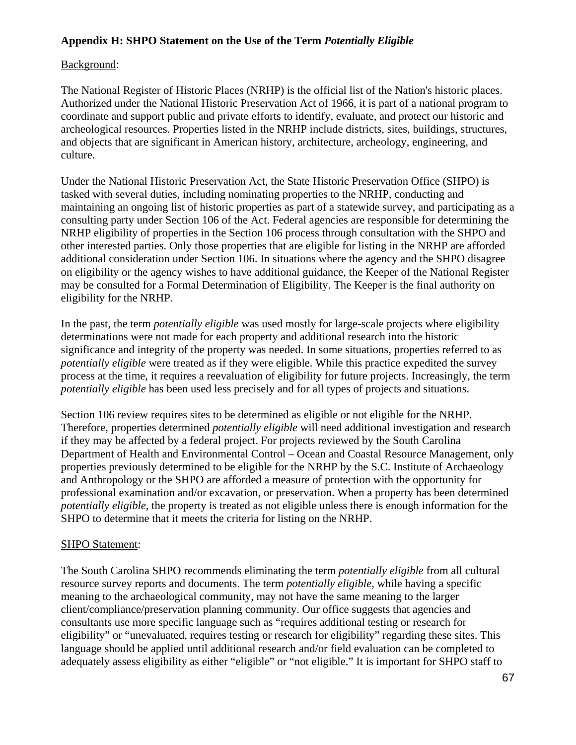# **Appendix H: SHPO Statement on the Use of the Term** *Potentially Eligible*

# Background:

The National Register of Historic Places (NRHP) is the official list of the Nation's historic places. Authorized under the National Historic Preservation Act of 1966, it is part of a national program to coordinate and support public and private efforts to identify, evaluate, and protect our historic and archeological resources. Properties listed in the NRHP include districts, sites, buildings, structures, and objects that are significant in American history, architecture, archeology, engineering, and culture.

Under the National Historic Preservation Act, the State Historic Preservation Office (SHPO) is tasked with several duties, including nominating properties to the NRHP, conducting and maintaining an ongoing list of historic properties as part of a statewide survey, and participating as a consulting party under Section 106 of the Act. Federal agencies are responsible for determining the NRHP eligibility of properties in the Section 106 process through consultation with the SHPO and other interested parties. Only those properties that are eligible for listing in the NRHP are afforded additional consideration under Section 106. In situations where the agency and the SHPO disagree on eligibility or the agency wishes to have additional guidance, the Keeper of the National Register may be consulted for a Formal Determination of Eligibility. The Keeper is the final authority on eligibility for the NRHP.

In the past, the term *potentially eligible* was used mostly for large-scale projects where eligibility determinations were not made for each property and additional research into the historic significance and integrity of the property was needed. In some situations, properties referred to as *potentially eligible* were treated as if they were eligible. While this practice expedited the survey process at the time, it requires a reevaluation of eligibility for future projects. Increasingly, the term *potentially eligible* has been used less precisely and for all types of projects and situations.

Section 106 review requires sites to be determined as eligible or not eligible for the NRHP. Therefore, properties determined *potentially eligible* will need additional investigation and research if they may be affected by a federal project. For projects reviewed by the South Carolina Department of Health and Environmental Control – Ocean and Coastal Resource Management, only properties previously determined to be eligible for the NRHP by the S.C. Institute of Archaeology and Anthropology or the SHPO are afforded a measure of protection with the opportunity for professional examination and/or excavation, or preservation. When a property has been determined *potentially eligible*, the property is treated as not eligible unless there is enough information for the SHPO to determine that it meets the criteria for listing on the NRHP.

# SHPO Statement:

The South Carolina SHPO recommends eliminating the term *potentially eligible* from all cultural resource survey reports and documents. The term *potentially eligible*, while having a specific meaning to the archaeological community, may not have the same meaning to the larger client/compliance/preservation planning community. Our office suggests that agencies and consultants use more specific language such as "requires additional testing or research for eligibility" or "unevaluated, requires testing or research for eligibility" regarding these sites. This language should be applied until additional research and/or field evaluation can be completed to adequately assess eligibility as either "eligible" or "not eligible." It is important for SHPO staff to